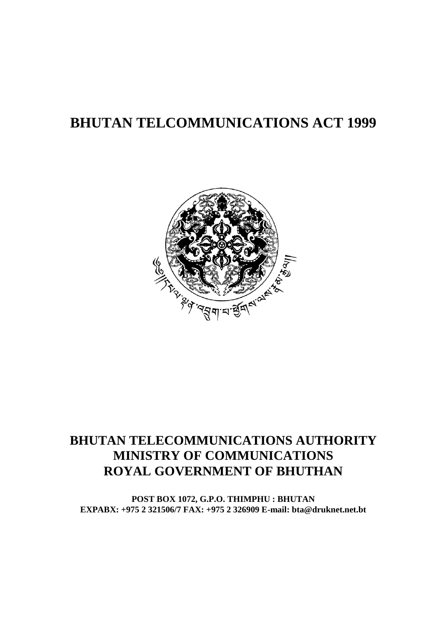# **BHUTAN TELCOMMUNICATIONS ACT 1999**



# **BHUTAN TELECOMMUNICATIONS AUTHORITY MINISTRY OF COMMUNICATIONS ROYAL GOVERNMENT OF BHUTHAN**

**POST BOX 1072, G.P.O. THIMPHU : BHUTAN EXPABX: +975 2 321506/7 FAX: +975 2 326909 E-mail: bta@druknet.net.bt**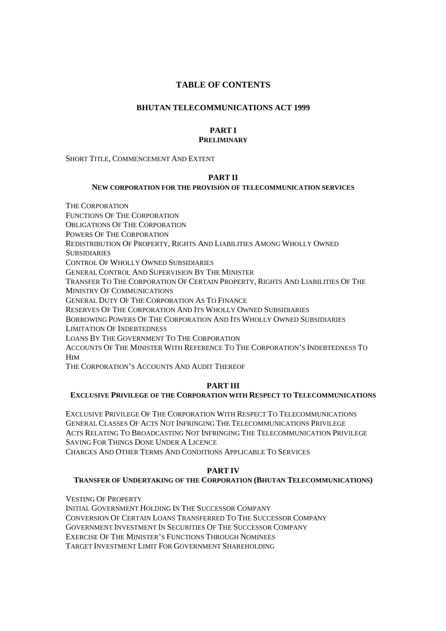# **TABLE OF CONTENTS**

# **BHUTAN TELECOMMUNICATIONS ACT 1999**

# **PART I PRELIMINARY**

SHORT TITLE, COMMENCEMENT AND EXTENT

# **PART II**

# **NEW CORPORATION FOR THE PROVISION OF TELECOMMUNICATION SERVICES**

THE CORPORATION FUNCTIONS OF THE CORPORATION OBLIGATIONS OF THE CORPORATION POWERS OF THE CORPORATION REDISTRIBUTION OF PROPERTY, RIGHTS AND LIABILITIES AMONG WHOLLY OWNED **SUBSIDIARIES** CONTROL OF WHOLLY OWNED SUBSIDIARIES GENERAL CONTROL AND SUPERVISION BY THE MINISTER TRANSFER TO THE CORPORATION OF CERTAIN PROPERTY, RIGHTS AND LIABILITIES OF THE MINISTRY OF COMMUNICATIONS GENERAL DUTY OF THE CORPORATION AS TO FINANCE RESERVES OF THE CORPORATION AND ITS WHOLLY OWNED SUBSIDIARIES BORROWING POWERS OF THE CORPORATION AND ITS WHOLLY OWNED SUBSIDIARIES LIMITATION OF INDEBTEDNESS LOANS BY THE GOVERNMENT TO THE CORPORATION ACCOUNTS OF THE MINISTER WITH REFERENCE TO THE CORPORATION'S INDEBTEDNESS TO **HIM** 

THE CORPORATION'S ACCOUNTS AND AUDIT THEREOF

# **PART III**

# **EXCLUSIVE PRIVILEGE OF THE CORPORATION WITH RESPECT TO TELECOMMUNICATIONS**

EXCLUSIVE PRIVILEGE OF THE CORPORATION WITH RESPECT TO TELECOMMUNICATIONS GENERAL CLASSES OF ACTS NOT INFRINGING THE TELECOMMUNICATIONS PRIVILEGE ACTS RELATING TO BROADCASTING NOT INFRINGING THE TELECOMMUNICATION PRIVILEGE SAVING FOR THINGS DONE UNDER A LICENCE

CHARGES AND OTHER TERMS AND CONDITIONS APPLICABLE TO SERVICES

# **PART IV**

# **TRANSFER OF UNDERTAKING OF THE CORPORATION (BHUTAN TELECOMMUNICATIONS)**

VESTING OF PROPERTY

INITIAL GOVERNMENT HOLDING IN THE SUCCESSOR COMPANY CONVERSION OF CERTAIN LOANS TRANSFERRED TO THE SUCCESSOR COMPANY GOVERNMENT INVESTMENT IN SECURITIES OF THE SUCCESSOR COMPANY EXERCISE OF THE MINISTER'S FUNCTIONS THROUGH NOMINEES TARGET INVESTMENT LIMIT FOR GOVERNMENT SHAREHOLDING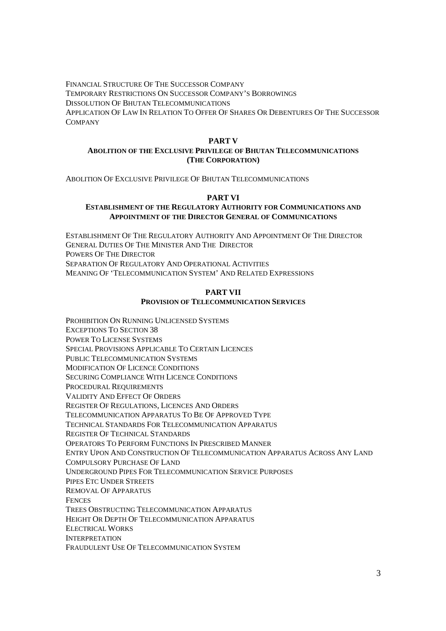FINANCIAL STRUCTURE OF THE SUCCESSOR COMPANY TEMPORARY RESTRICTIONS ON SUCCESSOR COMPANY'S BORROWINGS DISSOLUTION OF BHUTAN TELECOMMUNICATIONS APPLICATION OF LAW IN RELATION TO OFFER OF SHARES OR DEBENTURES OF THE SUCCESSOR COMPANY

# **PART V**

# **ABOLITION OF THE EXCLUSIVE PRIVILEGE OF BHUTAN TELECOMMUNICATIONS (THE CORPORATION)**

ABOLITION OF EXCLUSIVE PRIVILEGE OF BHUTAN TELECOMMUNICATIONS

## **PART VI**

# **ESTABLISHMENT OF THE REGULATORY AUTHORITY FOR COMMUNICATIONS AND APPOINTMENT OF THE DIRECTOR GENERAL OF COMMUNICATIONS**

ESTABLISHMENT OF THE REGULATORY AUTHORITY AND APPOINTMENT OF THE DIRECTOR GENERAL DUTIES OF THE MINISTER AND THE DIRECTOR POWERS OF THE DIRECTOR SEPARATION OF REGULATORY AND OPERATIONAL ACTIVITIES MEANING OF 'TELECOMMUNICATION SYSTEM' AND RELATED EXPRESSIONS

## **PART VII PROVISION OF TELECOMMUNICATION SERVICES**

PROHIBITION ON RUNNING UNLICENSED SYSTEMS EXCEPTIONS TO SECTION 38 POWER TO LICENSE SYSTEMS SPECIAL PROVISIONS APPLICABLE TO CERTAIN LICENCES PUBLIC TELECOMMUNICATION SYSTEMS MODIFICATION OF LICENCE CONDITIONS SECURING COMPLIANCE WITH LICENCE CONDITIONS PROCEDURAL REQUIREMENTS VALIDITY AND EFFECT OF ORDERS REGISTER OF REGULATIONS, LICENCES AND ORDERS TELECOMMUNICATION APPARATUS TO BE OF APPROVED TYPE TECHNICAL STANDARDS FOR TELECOMMUNICATION APPARATUS REGISTER OF TECHNICAL STANDARDS OPERATORS TO PERFORM FUNCTIONS IN PRESCRIBED MANNER ENTRY UPON AND CONSTRUCTION OF TELECOMMUNICATION APPARATUS ACROSS ANY LAND COMPULSORY PURCHASE OF LAND UNDERGROUND PIPES FOR TELECOMMUNICATION SERVICE PURPOSES PIPES ETC UNDER STREETS REMOVAL OF APPARATUS **FENCES** TREES OBSTRUCTING TELECOMMUNICATION APPARATUS HEIGHT OR DEPTH OF TELECOMMUNICATION APPARATUS ELECTRICAL WORKS INTERPRETATION FRAUDULENT USE OF TELECOMMUNICATION SYSTEM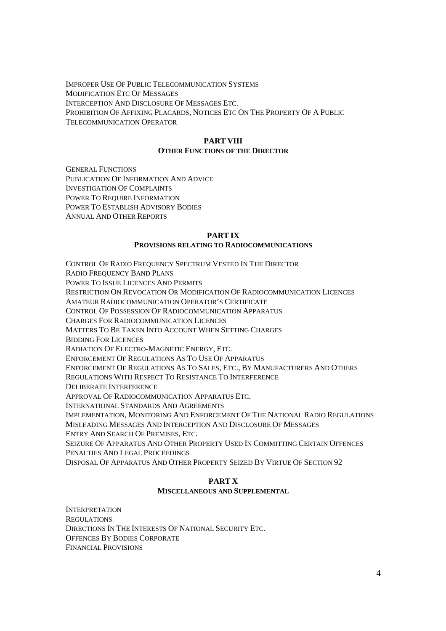IMPROPER USE OF PUBLIC TELECOMMUNICATION SYSTEMS MODIFICATION ETC OF MESSAGES INTERCEPTION AND DISCLOSURE OF MESSAGES ETC. PROHIBITION OF AFFIXING PLACARDS, NOTICES ETC ON THE PROPERTY OF A PUBLIC TELECOMMUNICATION OPERATOR

# **PART VIII**

# **OTHER FUNCTIONS OF THE DIRECTOR**

GENERAL FUNCTIONS PUBLICATION OF INFORMATION AND ADVICE INVESTIGATION OF COMPLAINTS POWER TO REQUIRE INFORMATION POWER TO ESTABLISH ADVISORY BODIES ANNUAL AND OTHER REPORTS

# **PART IX**

# **PROVISIONS RELATING TO RADIOCOMMUNICATIONS**

CONTROL OF RADIO FREQUENCY SPECTRUM VESTED IN THE DIRECTOR

RADIO FREQUENCY BAND PLANS

POWER TO ISSUE LICENCES AND PERMITS

RESTRICTION ON REVOCATION OR MODIFICATION OF RADIOCOMMUNICATION LICENCES

AMATEUR RADIOCOMMUNICATION OPERATOR'S CERTIFICATE

CONTROL OF POSSESSION OF RADIOCOMMUNICATION APPARATUS

CHARGES FOR RADIOCOMMUNICATION LICENCES

MATTERS TO BE TAKEN INTO ACCOUNT WHEN SETTING CHARGES

BIDDING FOR LICENCES

RADIATION OF ELECTRO-MAGNETIC ENERGY, ETC.

ENFORCEMENT OF REGULATIONS AS TO USE OF APPARATUS

ENFORCEMENT OF REGULATIONS AS TO SALES, ETC., BY MANUFACTURERS AND OTHERS

REGULATIONS WITH RESPECT TO RESISTANCE TO INTERFERENCE

DELIBERATE INTERFERENCE

APPROVAL OF RADIOCOMMUNICATION APPARATUS ETC.

INTERNATIONAL STANDARDS AND AGREEMENTS

IMPLEMENTATION, MONITORING AND ENFORCEMENT OF THE NATIONAL RADIO REGULATIONS MISLEADING MESSAGES AND INTERCEPTION AND DISCLOSURE OF MESSAGES ENTRY AND SEARCH OF PREMISES, ETC.

SEIZURE OF APPARATUS AND OTHER PROPERTY USED IN COMMITTING CERTAIN OFFENCES PENALTIES AND LEGAL PROCEEDINGS

DISPOSAL OF APPARATUS AND OTHER PROPERTY SEIZED BY VIRTUE OF SECTION 92

# **PART X MISCELLANEOUS AND SUPPLEMENTAL**

INTERPRETATION **REGULATIONS** DIRECTIONS IN THE INTERESTS OF NATIONAL SECURITY ETC. OFFENCES BY BODIES CORPORATE FINANCIAL PROVISIONS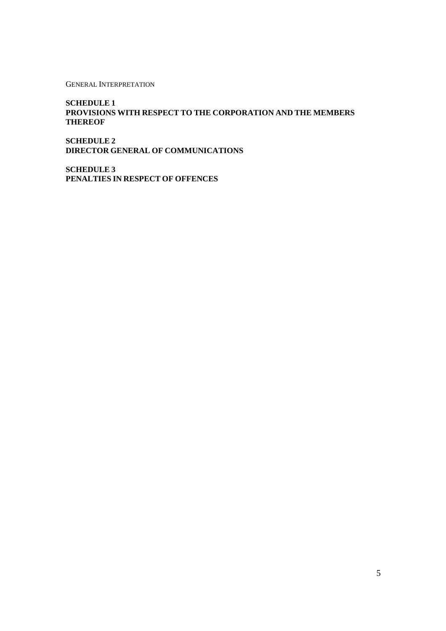GENERAL INTERPRETATION

**SCHEDULE 1 PROVISIONS WITH RESPECT TO THE CORPORATION AND THE MEMBERS THEREOF** 

**SCHEDULE 2 DIRECTOR GENERAL OF COMMUNICATIONS** 

**SCHEDULE 3 PENALTIES IN RESPECT OF OFFENCES**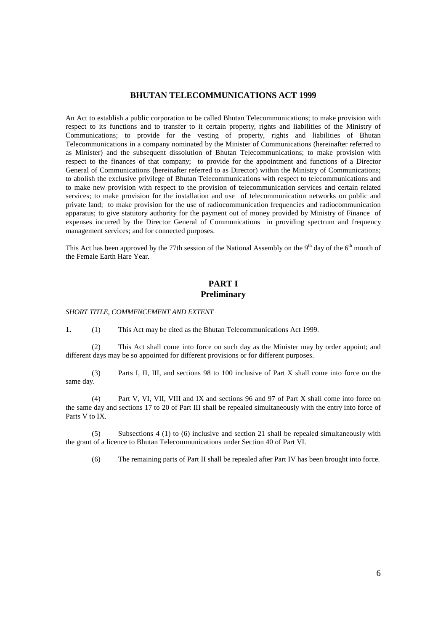# **BHUTAN TELECOMMUNICATIONS ACT 1999**

An Act to establish a public corporation to be called Bhutan Telecommunications; to make provision with respect to its functions and to transfer to it certain property, rights and liabilities of the Ministry of Communications; to provide for the vesting of property, rights and liabilities of Bhutan Telecommunications in a company nominated by the Minister of Communications (hereinafter referred to as Minister) and the subsequent dissolution of Bhutan Telecommunications; to make provision with respect to the finances of that company; to provide for the appointment and functions of a Director General of Communications (hereinafter referred to as Director) within the Ministry of Communications; to abolish the exclusive privilege of Bhutan Telecommunications with respect to telecommunications and to make new provision with respect to the provision of telecommunication services and certain related services; to make provision for the installation and use of telecommunication networks on public and private land; to make provision for the use of radiocommunication frequencies and radiocommunication apparatus; to give statutory authority for the payment out of money provided by Ministry of Finance of expenses incurred by the Director General of Communications in providing spectrum and frequency management services; and for connected purposes.

This Act has been approved by the 77th session of the National Assembly on the  $9<sup>th</sup>$  day of the  $6<sup>th</sup>$  month of the Female Earth Hare Year.

# **PART I Preliminary**

#### *SHORT TITLE, COMMENCEMENT AND EXTENT*

**1.** (1) This Act may be cited as the Bhutan Telecommunications Act 1999.

 (2) This Act shall come into force on such day as the Minister may by order appoint; and different days may be so appointed for different provisions or for different purposes.

 (3) Parts I, II, III, and sections 98 to 100 inclusive of Part X shall come into force on the same day.

 (4) Part V, VI, VII, VIII and IX and sections 96 and 97 of Part X shall come into force on the same day and sections 17 to 20 of Part III shall be repealed simultaneously with the entry into force of Parts V to IX.

 (5) Subsections 4 (1) to (6) inclusive and section 21 shall be repealed simultaneously with the grant of a licence to Bhutan Telecommunications under Section 40 of Part VI.

(6) The remaining parts of Part II shall be repealed after Part IV has been brought into force.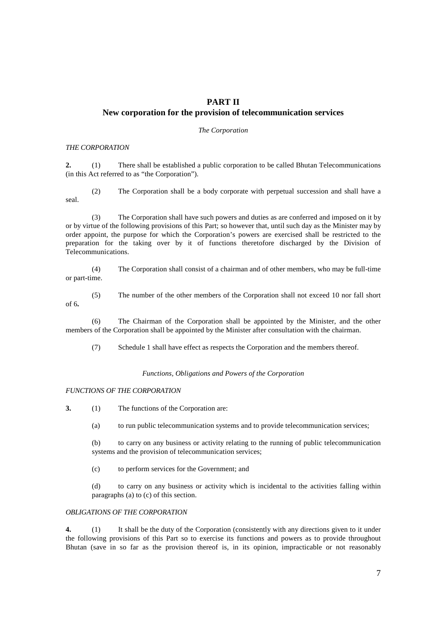# **PART II New corporation for the provision of telecommunication services**

*The Corporation* 

#### *THE CORPORATION*

**2.** (1) There shall be established a public corporation to be called Bhutan Telecommunications (in this Act referred to as "the Corporation").

 (2) The Corporation shall be a body corporate with perpetual succession and shall have a seal.

 (3) The Corporation shall have such powers and duties as are conferred and imposed on it by or by virtue of the following provisions of this Part; so however that, until such day as the Minister may by order appoint, the purpose for which the Corporation's powers are exercised shall be restricted to the preparation for the taking over by it of functions theretofore discharged by the Division of Telecommunications.

 (4) The Corporation shall consist of a chairman and of other members, who may be full-time or part-time.

- of 6**.**
- (5) The number of the other members of the Corporation shall not exceed 10 nor fall short

 (6) The Chairman of the Corporation shall be appointed by the Minister, and the other members of the Corporation shall be appointed by the Minister after consultation with the chairman.

(7) Schedule 1 shall have effect as respects the Corporation and the members thereof.

## *Functions, Obligations and Powers of the Corporation*

# *FUNCTIONS OF THE CORPORATION*

**3.** (1) The functions of the Corporation are:

(a) to run public telecommunication systems and to provide telecommunication services;

(b) to carry on any business or activity relating to the running of public telecommunication systems and the provision of telecommunication services;

(c) to perform services for the Government; and

(d) to carry on any business or activity which is incidental to the activities falling within paragraphs (a) to (c) of this section.

# *OBLIGATIONS OF THE CORPORATION*

**4.** (1) It shall be the duty of the Corporation (consistently with any directions given to it under the following provisions of this Part so to exercise its functions and powers as to provide throughout Bhutan (save in so far as the provision thereof is, in its opinion, impracticable or not reasonably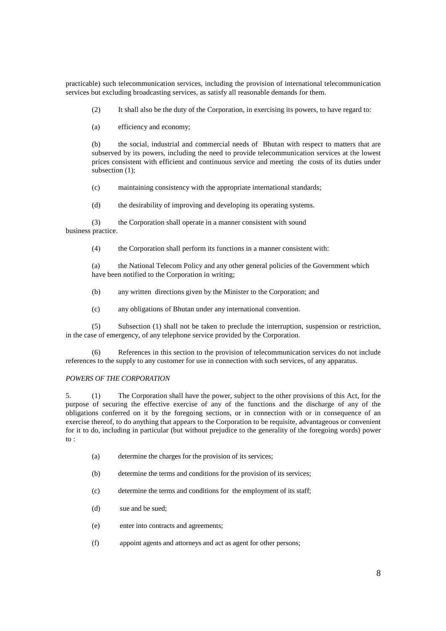practicable) such telecommunication services, including the provision of international telecommunication services but excluding broadcasting services, as satisfy all reasonable demands for them.

(2) It shall also be the duty of the Corporation, in exercising its powers, to have regard to:

(a) efficiency and economy;

(b) the social, industrial and commercial needs of Bhutan with respect to matters that are subserved by its powers, including the need to provide telecommunication services at the lowest prices consistent with efficient and continuous service and meeting the costs of its duties under subsection (1):

(c) maintaining consistency with the appropriate international standards;

(d) the desirability of improving and developing its operating systems.

 (3) the Corporation shall operate in a manner consistent with sound business practice.

(4) the Corporation shall perform its functions in a manner consistent with:

(a) the National Telecom Policy and any other general policies of the Government which have been notified to the Corporation in writing;

(b) any written directions given by the Minister to the Corporation; and

(c) any obligations of Bhutan under any international convention.

 (5) Subsection (1) shall not be taken to preclude the interruption, suspension or restriction, in the case of emergency, of any telephone service provided by the Corporation.

 (6) References in this section to the provision of telecommunication services do not include references to the supply to any customer for use in connection with such services, of any apparatus.

#### *POWERS OF THE CORPORATION*

5. (1) The Corporation shall have the power, subject to the other provisions of this Act, for the purpose of securing the effective exercise of any of the functions and the discharge of any of the obligations conferred on it by the foregoing sections, or in connection with or in consequence of an exercise thereof, to do anything that appears to the Corporation to be requisite, advantageous or convenient for it to do, including in particular (but without prejudice to the generality of the foregoing words) power to :

- (a) determine the charges for the provision of its services;
- (b) determine the terms and conditions for the provision of its services;
- (c) determine the terms and conditions for the employment of its staff;
- (d) sue and be sued;
- (e) enter into contracts and agreements;
- (f) appoint agents and attorneys and act as agent for other persons;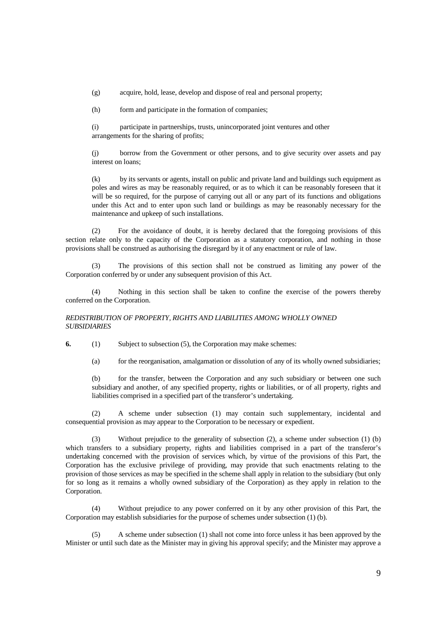(g) acquire, hold, lease, develop and dispose of real and personal property;

(h) form and participate in the formation of companies;

 (i) participate in partnerships, trusts, unincorporated joint ventures and other arrangements for the sharing of profits;

(j) borrow from the Government or other persons, and to give security over assets and pay interest on loans;

(k) by its servants or agents, install on public and private land and buildings such equipment as poles and wires as may be reasonably required, or as to which it can be reasonably foreseen that it will be so required, for the purpose of carrying out all or any part of its functions and obligations under this Act and to enter upon such land or buildings as may be reasonably necessary for the maintenance and upkeep of such installations.

 (2) For the avoidance of doubt, it is hereby declared that the foregoing provisions of this section relate only to the capacity of the Corporation as a statutory corporation, and nothing in those provisions shall be construed as authorising the disregard by it of any enactment or rule of law.

 (3) The provisions of this section shall not be construed as limiting any power of the Corporation conferred by or under any subsequent provision of this Act.

 (4) Nothing in this section shall be taken to confine the exercise of the powers thereby conferred on the Corporation.

## *REDISTRIBUTION OF PROPERTY, RIGHTS AND LIABILITIES AMONG WHOLLY OWNED SUBSIDIARIES*

**6.** (1) Subject to subsection (5), the Corporation may make schemes:

(a) for the reorganisation, amalgamation or dissolution of any of its wholly owned subsidiaries;

(b) for the transfer, between the Corporation and any such subsidiary or between one such subsidiary and another, of any specified property, rights or liabilities, or of all property, rights and liabilities comprised in a specified part of the transferor's undertaking.

 (2) A scheme under subsection (1) may contain such supplementary, incidental and consequential provision as may appear to the Corporation to be necessary or expedient.

 (3) Without prejudice to the generality of subsection (2), a scheme under subsection (1) (b) which transfers to a subsidiary property, rights and liabilities comprised in a part of the transferor's undertaking concerned with the provision of services which, by virtue of the provisions of this Part, the Corporation has the exclusive privilege of providing, may provide that such enactments relating to the provision of those services as may be specified in the scheme shall apply in relation to the subsidiary (but only for so long as it remains a wholly owned subsidiary of the Corporation) as they apply in relation to the Corporation.

 (4) Without prejudice to any power conferred on it by any other provision of this Part, the Corporation may establish subsidiaries for the purpose of schemes under subsection (1) (b).

 (5) A scheme under subsection (1) shall not come into force unless it has been approved by the Minister or until such date as the Minister may in giving his approval specify; and the Minister may approve a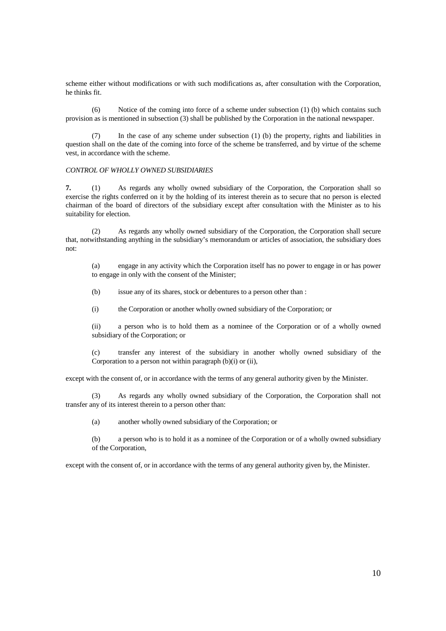scheme either without modifications or with such modifications as, after consultation with the Corporation, he thinks fit.

 (6) Notice of the coming into force of a scheme under subsection (1) (b) which contains such provision as is mentioned in subsection (3) shall be published by the Corporation in the national newspaper.

 (7) In the case of any scheme under subsection (1) (b) the property, rights and liabilities in question shall on the date of the coming into force of the scheme be transferred, and by virtue of the scheme vest, in accordance with the scheme.

## *CONTROL OF WHOLLY OWNED SUBSIDIARIES*

**7.** (1) As regards any wholly owned subsidiary of the Corporation, the Corporation shall so exercise the rights conferred on it by the holding of its interest therein as to secure that no person is elected chairman of the board of directors of the subsidiary except after consultation with the Minister as to his suitability for election.

 (2) As regards any wholly owned subsidiary of the Corporation, the Corporation shall secure that, notwithstanding anything in the subsidiary's memorandum or articles of association, the subsidiary does not:

(a) engage in any activity which the Corporation itself has no power to engage in or has power to engage in only with the consent of the Minister;

(b) issue any of its shares, stock or debentures to a person other than :

(i) the Corporation or another wholly owned subsidiary of the Corporation; or

(ii) a person who is to hold them as a nominee of the Corporation or of a wholly owned subsidiary of the Corporation; or

(c) transfer any interest of the subsidiary in another wholly owned subsidiary of the Corporation to a person not within paragraph (b)(i) or (ii),

except with the consent of, or in accordance with the terms of any general authority given by the Minister.

 (3) As regards any wholly owned subsidiary of the Corporation, the Corporation shall not transfer any of its interest therein to a person other than:

(a) another wholly owned subsidiary of the Corporation; or

(b) a person who is to hold it as a nominee of the Corporation or of a wholly owned subsidiary of the Corporation,

except with the consent of, or in accordance with the terms of any general authority given by, the Minister.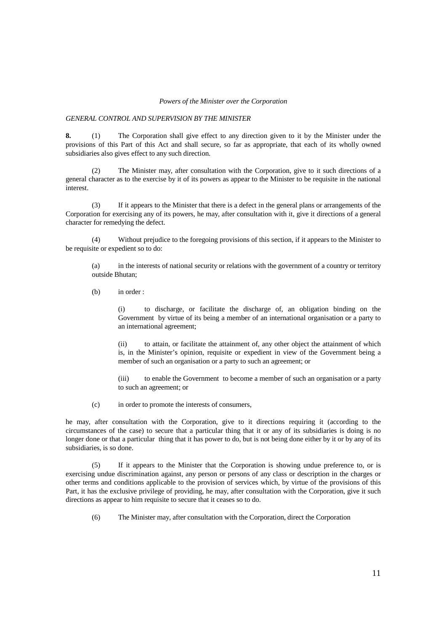#### *Powers of the Minister over the Corporation*

#### *GENERAL CONTROL AND SUPERVISION BY THE MINISTER*

**8.** (1) The Corporation shall give effect to any direction given to it by the Minister under the provisions of this Part of this Act and shall secure, so far as appropriate, that each of its wholly owned subsidiaries also gives effect to any such direction.

 (2) The Minister may, after consultation with the Corporation, give to it such directions of a general character as to the exercise by it of its powers as appear to the Minister to be requisite in the national interest.

 (3) If it appears to the Minister that there is a defect in the general plans or arrangements of the Corporation for exercising any of its powers, he may, after consultation with it, give it directions of a general character for remedying the defect.

 (4) Without prejudice to the foregoing provisions of this section, if it appears to the Minister to be requisite or expedient so to do:

(a) in the interests of national security or relations with the government of a country or territory outside Bhutan;

(b) in order :

(i) to discharge, or facilitate the discharge of, an obligation binding on the Government by virtue of its being a member of an international organisation or a party to an international agreement;

(ii) to attain, or facilitate the attainment of, any other object the attainment of which is, in the Minister's opinion, requisite or expedient in view of the Government being a member of such an organisation or a party to such an agreement; or

(iii) to enable the Government to become a member of such an organisation or a party to such an agreement; or

(c) in order to promote the interests of consumers,

he may, after consultation with the Corporation, give to it directions requiring it (according to the circumstances of the case) to secure that a particular thing that it or any of its subsidiaries is doing is no longer done or that a particular thing that it has power to do, but is not being done either by it or by any of its subsidiaries, is so done.

 (5) If it appears to the Minister that the Corporation is showing undue preference to, or is exercising undue discrimination against, any person or persons of any class or description in the charges or other terms and conditions applicable to the provision of services which, by virtue of the provisions of this Part, it has the exclusive privilege of providing, he may, after consultation with the Corporation, give it such directions as appear to him requisite to secure that it ceases so to do.

(6) The Minister may, after consultation with the Corporation, direct the Corporation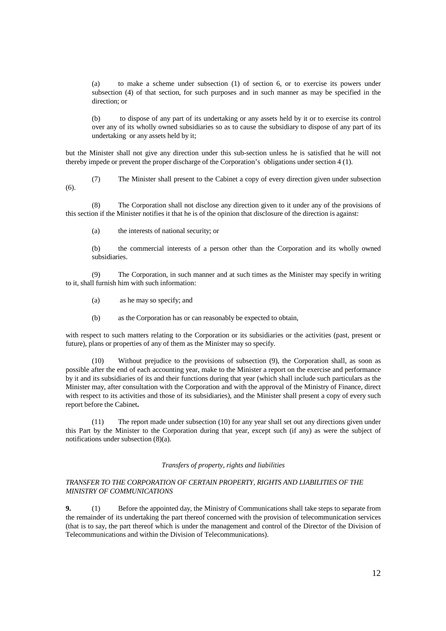(a) to make a scheme under subsection (1) of section 6, or to exercise its powers under subsection (4) of that section, for such purposes and in such manner as may be specified in the direction; or

(b) to dispose of any part of its undertaking or any assets held by it or to exercise its control over any of its wholly owned subsidiaries so as to cause the subsidiary to dispose of any part of its undertaking or any assets held by it;

but the Minister shall not give any direction under this sub-section unless he is satisfied that he will not thereby impede or prevent the proper discharge of the Corporation's obligations under section 4 (1).

(7) The Minister shall present to the Cabinet a copy of every direction given under subsection

 (8) The Corporation shall not disclose any direction given to it under any of the provisions of this section if the Minister notifies it that he is of the opinion that disclosure of the direction is against:

(a) the interests of national security; or

 $(6)$ .

(b) the commercial interests of a person other than the Corporation and its wholly owned subsidiaries.

(9) The Corporation, in such manner and at such times as the Minister may specify in writing to it, shall furnish him with such information:

(a) as he may so specify; and

(b) as the Corporation has or can reasonably be expected to obtain,

with respect to such matters relating to the Corporation or its subsidiaries or the activities (past, present or future), plans or properties of any of them as the Minister may so specify.

 (10) Without prejudice to the provisions of subsection (9), the Corporation shall, as soon as possible after the end of each accounting year, make to the Minister a report on the exercise and performance by it and its subsidiaries of its and their functions during that year (which shall include such particulars as the Minister may, after consultation with the Corporation and with the approval of the Ministry of Finance, direct with respect to its activities and those of its subsidiaries), and the Minister shall present a copy of every such report before the Cabinet**.**

 (11) The report made under subsection (10) for any year shall set out any directions given under this Part by the Minister to the Corporation during that year, except such (if any) as were the subject of notifications under subsection (8)(a).

# *Transfers of property, rights and liabilities*

## *TRANSFER TO THE CORPORATION OF CERTAIN PROPERTY, RIGHTS AND LIABILITIES OF THE MINISTRY OF COMMUNICATIONS*

**9.** (1) Before the appointed day, the Ministry of Communications shall take steps to separate from the remainder of its undertaking the part thereof concerned with the provision of telecommunication services (that is to say, the part thereof which is under the management and control of the Director of the Division of Telecommunications and within the Division of Telecommunications).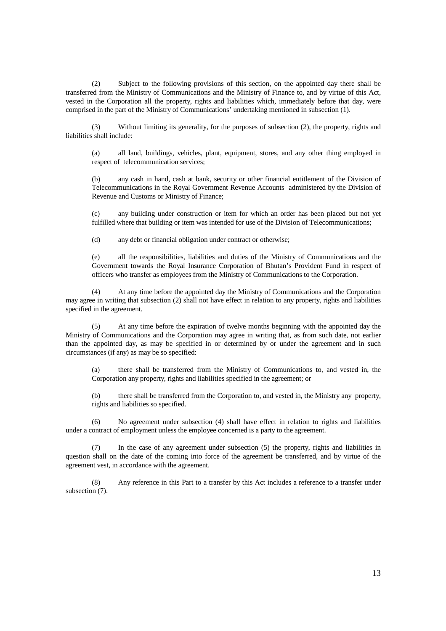(2) Subject to the following provisions of this section, on the appointed day there shall be transferred from the Ministry of Communications and the Ministry of Finance to, and by virtue of this Act, vested in the Corporation all the property, rights and liabilities which, immediately before that day, were comprised in the part of the Ministry of Communications' undertaking mentioned in subsection (1).

 (3) Without limiting its generality, for the purposes of subsection (2), the property, rights and liabilities shall include:

(a) all land, buildings, vehicles, plant, equipment, stores, and any other thing employed in respect of telecommunication services;

(b) any cash in hand, cash at bank, security or other financial entitlement of the Division of Telecommunications in the Royal Government Revenue Accounts administered by the Division of Revenue and Customs or Ministry of Finance;

(c) any building under construction or item for which an order has been placed but not yet fulfilled where that building or item was intended for use of the Division of Telecommunications;

(d) any debt or financial obligation under contract or otherwise;

(e) all the responsibilities, liabilities and duties of the Ministry of Communications and the Government towards the Royal Insurance Corporation of Bhutan's Provident Fund in respect of officers who transfer as employees from the Ministry of Communications to the Corporation.

 (4) At any time before the appointed day the Ministry of Communications and the Corporation may agree in writing that subsection (2) shall not have effect in relation to any property, rights and liabilities specified in the agreement.

 (5) At any time before the expiration of twelve months beginning with the appointed day the Ministry of Communications and the Corporation may agree in writing that, as from such date, not earlier than the appointed day, as may be specified in or determined by or under the agreement and in such circumstances (if any) as may be so specified:

(a) there shall be transferred from the Ministry of Communications to, and vested in, the Corporation any property, rights and liabilities specified in the agreement; or

(b) there shall be transferred from the Corporation to, and vested in, the Ministry any property, rights and liabilities so specified.

 (6) No agreement under subsection (4) shall have effect in relation to rights and liabilities under a contract of employment unless the employee concerned is a party to the agreement.

 (7) In the case of any agreement under subsection (5) the property, rights and liabilities in question shall on the date of the coming into force of the agreement be transferred, and by virtue of the agreement vest, in accordance with the agreement.

 (8) Any reference in this Part to a transfer by this Act includes a reference to a transfer under subsection (7).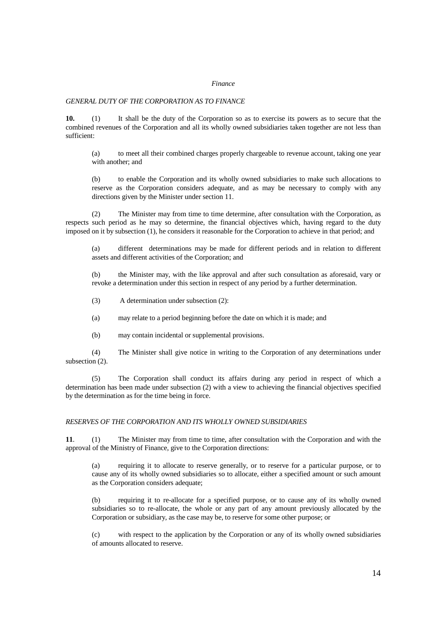#### *Finance*

#### *GENERAL DUTY OF THE CORPORATION AS TO FINANCE*

**10.** (1) It shall be the duty of the Corporation so as to exercise its powers as to secure that the combined revenues of the Corporation and all its wholly owned subsidiaries taken together are not less than sufficient:

(a) to meet all their combined charges properly chargeable to revenue account, taking one year with another; and

(b) to enable the Corporation and its wholly owned subsidiaries to make such allocations to reserve as the Corporation considers adequate, and as may be necessary to comply with any directions given by the Minister under section 11.

 (2) The Minister may from time to time determine, after consultation with the Corporation, as respects such period as he may so determine, the financial objectives which, having regard to the duty imposed on it by subsection (1), he considers it reasonable for the Corporation to achieve in that period; and

(a) different determinations may be made for different periods and in relation to different assets and different activities of the Corporation; and

(b) the Minister may, with the like approval and after such consultation as aforesaid, vary or revoke a determination under this section in respect of any period by a further determination.

(3) A determination under subsection (2):

(a) may relate to a period beginning before the date on which it is made; and

(b) may contain incidental or supplemental provisions.

 (4) The Minister shall give notice in writing to the Corporation of any determinations under subsection (2).

 (5) The Corporation shall conduct its affairs during any period in respect of which a determination has been made under subsection (2) with a view to achieving the financial objectives specified by the determination as for the time being in force.

## *RESERVES OF THE CORPORATION AND ITS WHOLLY OWNED SUBSIDIARIES*

**11**. (1) The Minister may from time to time, after consultation with the Corporation and with the approval of the Ministry of Finance, give to the Corporation directions:

(a) requiring it to allocate to reserve generally, or to reserve for a particular purpose, or to cause any of its wholly owned subsidiaries so to allocate, either a specified amount or such amount as the Corporation considers adequate;

(b) requiring it to re-allocate for a specified purpose, or to cause any of its wholly owned subsidiaries so to re-allocate, the whole or any part of any amount previously allocated by the Corporation or subsidiary, as the case may be, to reserve for some other purpose; or

(c) with respect to the application by the Corporation or any of its wholly owned subsidiaries of amounts allocated to reserve.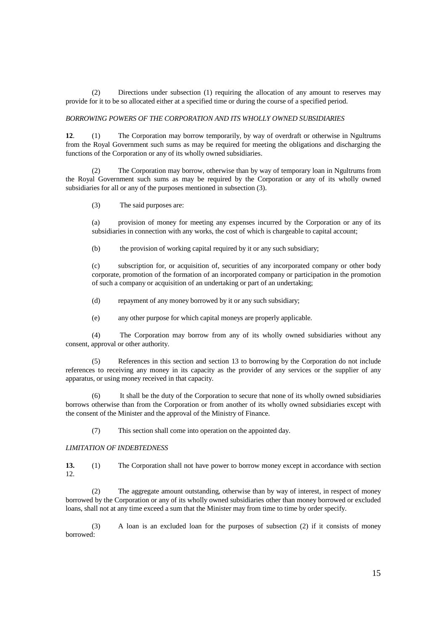(2) Directions under subsection (1) requiring the allocation of any amount to reserves may provide for it to be so allocated either at a specified time or during the course of a specified period.

#### *BORROWING POWERS OF THE CORPORATION AND ITS WHOLLY OWNED SUBSIDIARIES*

**12**. (1) The Corporation may borrow temporarily, by way of overdraft or otherwise in Ngultrums from the Royal Government such sums as may be required for meeting the obligations and discharging the functions of the Corporation or any of its wholly owned subsidiaries.

 (2) The Corporation may borrow, otherwise than by way of temporary loan in Ngultrums from the Royal Government such sums as may be required by the Corporation or any of its wholly owned subsidiaries for all or any of the purposes mentioned in subsection (3).

(3) The said purposes are:

(a) provision of money for meeting any expenses incurred by the Corporation or any of its subsidiaries in connection with any works, the cost of which is chargeable to capital account;

(b) the provision of working capital required by it or any such subsidiary;

(c) subscription for, or acquisition of, securities of any incorporated company or other body corporate, promotion of the formation of an incorporated company or participation in the promotion of such a company or acquisition of an undertaking or part of an undertaking;

(d) repayment of any money borrowed by it or any such subsidiary;

(e) any other purpose for which capital moneys are properly applicable.

 (4) The Corporation may borrow from any of its wholly owned subsidiaries without any consent, approval or other authority.

 (5) References in this section and section 13 to borrowing by the Corporation do not include references to receiving any money in its capacity as the provider of any services or the supplier of any apparatus, or using money received in that capacity.

 (6) It shall be the duty of the Corporation to secure that none of its wholly owned subsidiaries borrows otherwise than from the Corporation or from another of its wholly owned subsidiaries except with the consent of the Minister and the approval of the Ministry of Finance.

(7) This section shall come into operation on the appointed day.

# *LIMITATION OF INDEBTEDNESS*

**13.** (1) The Corporation shall not have power to borrow money except in accordance with section 12.

 (2) The aggregate amount outstanding, otherwise than by way of interest, in respect of money borrowed by the Corporation or any of its wholly owned subsidiaries other than money borrowed or excluded loans, shall not at any time exceed a sum that the Minister may from time to time by order specify.

 (3) A loan is an excluded loan for the purposes of subsection (2) if it consists of money borrowed: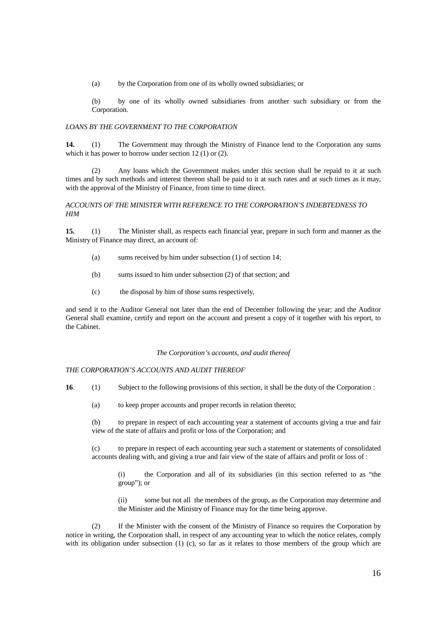(a) by the Corporation from one of its wholly owned subsidiaries; or

(b) by one of its wholly owned subsidiaries from another such subsidiary or from the Corporation.

## *LOANS BY THE GOVERNMENT TO THE CORPORATION*

**14.** (1) The Government may through the Ministry of Finance lend to the Corporation any sums which it has power to borrow under section 12 (1) or (2).

 (2) Any loans which the Government makes under this section shall be repaid to it at such times and by such methods and interest thereon shall be paid to it at such rates and at such times as it may, with the approval of the Ministry of Finance, from time to time direct.

#### *ACCOUNTS OF THE MINISTER WITH REFERENCE TO THE CORPORATION'S INDEBTEDNESS TO HIM*

**15.** (1) The Minister shall, as respects each financial year, prepare in such form and manner as the Ministry of Finance may direct, an account of:

- (a) sums received by him under subsection (1) of section 14;
- (b) sums issued to him under subsection (2) of that section; and
- (c) the disposal by him of those sums respectively,

and send it to the Auditor General not later than the end of December following the year; and the Auditor General shall examine, certify and report on the account and present a copy of it together with his report, to the Cabinet.

#### *The Corporation's accounts, and audit thereof*

#### *THE CORPORATION'S ACCOUNTS AND AUDIT THEREOF*

- **16**. (1) Subject to the following provisions of this section, it shall be the duty of the Corporation :
	- (a) to keep proper accounts and proper records in relation thereto;

(b) to prepare in respect of each accounting year a statement of accounts giving a true and fair view of the state of affairs and profit or loss of the Corporation; and

(c) to prepare in respect of each accounting year such a statement or statements of consolidated accounts dealing with, and giving a true and fair view of the state of affairs and profit or loss of :

(i) the Corporation and all of its subsidiaries (in this section referred to as "the group"); or

(ii) some but not all the members of the group, as the Corporation may determine and the Minister and the Ministry of Finance may for the time being approve.

 (2) If the Minister with the consent of the Ministry of Finance so requires the Corporation by notice in writing, the Corporation shall, in respect of any accounting year to which the notice relates, comply with its obligation under subsection (1) (c), so far as it relates to those members of the group which are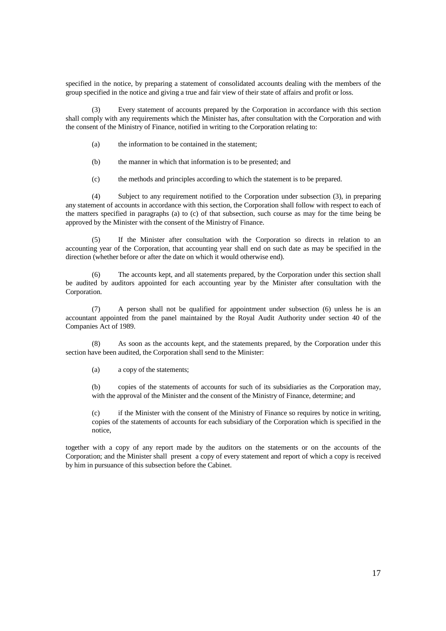specified in the notice, by preparing a statement of consolidated accounts dealing with the members of the group specified in the notice and giving a true and fair view of their state of affairs and profit or loss.

 (3) Every statement of accounts prepared by the Corporation in accordance with this section shall comply with any requirements which the Minister has, after consultation with the Corporation and with the consent of the Ministry of Finance, notified in writing to the Corporation relating to:

- (a) the information to be contained in the statement;
- (b) the manner in which that information is to be presented; and
- (c) the methods and principles according to which the statement is to be prepared.

 (4) Subject to any requirement notified to the Corporation under subsection (3), in preparing any statement of accounts in accordance with this section, the Corporation shall follow with respect to each of the matters specified in paragraphs (a) to (c) of that subsection, such course as may for the time being be approved by the Minister with the consent of the Ministry of Finance.

 (5) If the Minister after consultation with the Corporation so directs in relation to an accounting year of the Corporation, that accounting year shall end on such date as may be specified in the direction (whether before or after the date on which it would otherwise end).

 (6) The accounts kept, and all statements prepared, by the Corporation under this section shall be audited by auditors appointed for each accounting year by the Minister after consultation with the Corporation.

 (7) A person shall not be qualified for appointment under subsection (6) unless he is an accountant appointed from the panel maintained by the Royal Audit Authority under section 40 of the Companies Act of 1989.

 (8) As soon as the accounts kept, and the statements prepared, by the Corporation under this section have been audited, the Corporation shall send to the Minister:

(a) a copy of the statements;

(b) copies of the statements of accounts for such of its subsidiaries as the Corporation may, with the approval of the Minister and the consent of the Ministry of Finance, determine; and

(c) if the Minister with the consent of the Ministry of Finance so requires by notice in writing, copies of the statements of accounts for each subsidiary of the Corporation which is specified in the notice,

together with a copy of any report made by the auditors on the statements or on the accounts of the Corporation; and the Minister shall present a copy of every statement and report of which a copy is received by him in pursuance of this subsection before the Cabinet.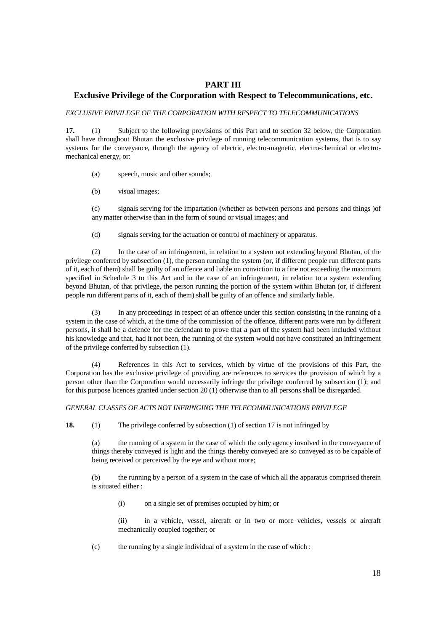# **PART III**

# **Exclusive Privilege of the Corporation with Respect to Telecommunications, etc.**

*EXCLUSIVE PRIVILEGE OF THE CORPORATION WITH RESPECT TO TELECOMMUNICATIONS* 

**17.** (1) Subject to the following provisions of this Part and to section 32 below, the Corporation shall have throughout Bhutan the exclusive privilege of running telecommunication systems, that is to say systems for the conveyance, through the agency of electric, electro-magnetic, electro-chemical or electromechanical energy, or:

(a) speech, music and other sounds;

(b) visual images;

(c) signals serving for the impartation (whether as between persons and persons and things )of any matter otherwise than in the form of sound or visual images; and

(d) signals serving for the actuation or control of machinery or apparatus.

 (2) In the case of an infringement, in relation to a system not extending beyond Bhutan, of the privilege conferred by subsection (1), the person running the system (or, if different people run different parts of it, each of them) shall be guilty of an offence and liable on conviction to a fine not exceeding the maximum specified in Schedule 3 to this Act and in the case of an infringement, in relation to a system extending beyond Bhutan, of that privilege, the person running the portion of the system within Bhutan (or, if different people run different parts of it, each of them) shall be guilty of an offence and similarly liable.

 (3) In any proceedings in respect of an offence under this section consisting in the running of a system in the case of which, at the time of the commission of the offence, different parts were run by different persons, it shall be a defence for the defendant to prove that a part of the system had been included without his knowledge and that, had it not been, the running of the system would not have constituted an infringement of the privilege conferred by subsection (1).

 (4) References in this Act to services, which by virtue of the provisions of this Part, the Corporation has the exclusive privilege of providing are references to services the provision of which by a person other than the Corporation would necessarily infringe the privilege conferred by subsection (1); and for this purpose licences granted under section 20 (1) otherwise than to all persons shall be disregarded.

## *GENERAL CLASSES OF ACTS NOT INFRINGING THE TELECOMMUNICATIONS PRIVILEGE*

**18.** (1) The privilege conferred by subsection (1) of section 17 is not infringed by

(a) the running of a system in the case of which the only agency involved in the conveyance of things thereby conveyed is light and the things thereby conveyed are so conveyed as to be capable of being received or perceived by the eye and without more;

(b) the running by a person of a system in the case of which all the apparatus comprised therein is situated either :

(i) on a single set of premises occupied by him; or

(ii) in a vehicle, vessel, aircraft or in two or more vehicles, vessels or aircraft mechanically coupled together; or

(c) the running by a single individual of a system in the case of which :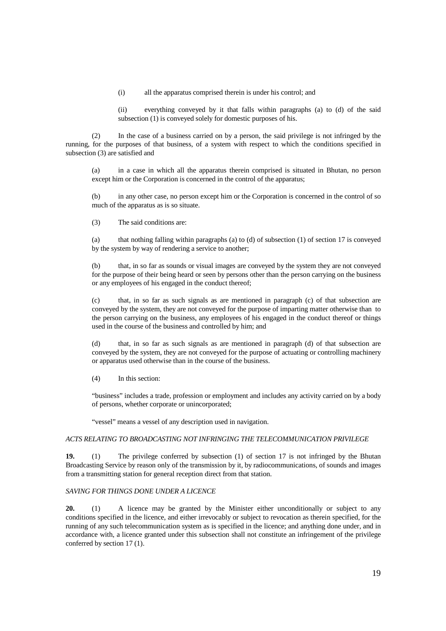(i) all the apparatus comprised therein is under his control; and

(ii) everything conveyed by it that falls within paragraphs (a) to (d) of the said subsection (1) is conveyed solely for domestic purposes of his.

 (2) In the case of a business carried on by a person, the said privilege is not infringed by the running, for the purposes of that business, of a system with respect to which the conditions specified in subsection (3) are satisfied and

(a) in a case in which all the apparatus therein comprised is situated in Bhutan, no person except him or the Corporation is concerned in the control of the apparatus;

(b) in any other case, no person except him or the Corporation is concerned in the control of so much of the apparatus as is so situate.

(3) The said conditions are:

(a) that nothing falling within paragraphs (a) to (d) of subsection (1) of section 17 is conveyed by the system by way of rendering a service to another;

(b) that, in so far as sounds or visual images are conveyed by the system they are not conveyed for the purpose of their being heard or seen by persons other than the person carrying on the business or any employees of his engaged in the conduct thereof;

(c) that, in so far as such signals as are mentioned in paragraph (c) of that subsection are conveyed by the system, they are not conveyed for the purpose of imparting matter otherwise than to the person carrying on the business, any employees of his engaged in the conduct thereof or things used in the course of the business and controlled by him; and

(d) that, in so far as such signals as are mentioned in paragraph (d) of that subsection are conveyed by the system, they are not conveyed for the purpose of actuating or controlling machinery or apparatus used otherwise than in the course of the business.

(4) In this section:

"business" includes a trade, profession or employment and includes any activity carried on by a body of persons, whether corporate or unincorporated;

"vessel" means a vessel of any description used in navigation.

## *ACTS RELATING TO BROADCASTING NOT INFRINGING THE TELECOMMUNICATION PRIVILEGE*

**19.** (1) The privilege conferred by subsection (1) of section 17 is not infringed by the Bhutan Broadcasting Service by reason only of the transmission by it, by radiocommunications, of sounds and images from a transmitting station for general reception direct from that station.

# *SAVING FOR THINGS DONE UNDER A LICENCE*

20. (1) A licence may be granted by the Minister either unconditionally or subject to any conditions specified in the licence, and either irrevocably or subject to revocation as therein specified, for the running of any such telecommunication system as is specified in the licence; and anything done under, and in accordance with, a licence granted under this subsection shall not constitute an infringement of the privilege conferred by section 17 (1).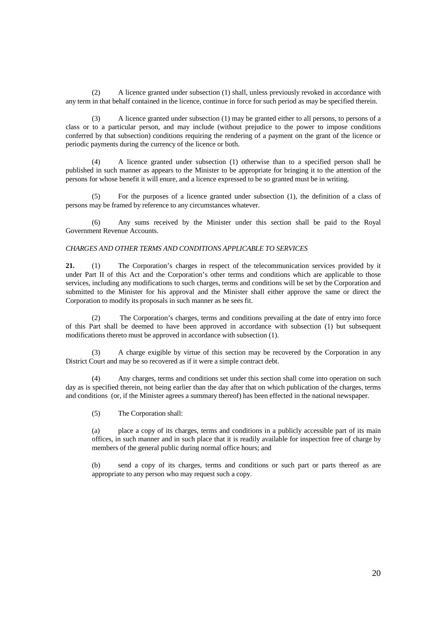(2) A licence granted under subsection (1) shall, unless previously revoked in accordance with any term in that behalf contained in the licence, continue in force for such period as may be specified therein.

 (3) A licence granted under subsection (1) may be granted either to all persons, to persons of a class or to a particular person, and may include (without prejudice to the power to impose conditions conferred by that subsection) conditions requiring the rendering of a payment on the grant of the licence or periodic payments during the currency of the licence or both.

 (4) A licence granted under subsection (1) otherwise than to a specified person shall be published in such manner as appears to the Minister to be appropriate for bringing it to the attention of the persons for whose benefit it will enure, and a licence expressed to be so granted must be in writing.

 (5) For the purposes of a licence granted under subsection (1), the definition of a class of persons may be framed by reference to any circumstances whatever.

 (6) Any sums received by the Minister under this section shall be paid to the Royal Government Revenue Accounts.

#### *CHARGES AND OTHER TERMS AND CONDITIONS APPLICABLE TO SERVICES*

**21.** (1) The Corporation's charges in respect of the telecommunication services provided by it under Part II of this Act and the Corporation's other terms and conditions which are applicable to those services, including any modifications to such charges, terms and conditions will be set by the Corporation and submitted to the Minister for his approval and the Minister shall either approve the same or direct the Corporation to modify its proposals in such manner as he sees fit.

 (2) The Corporation's charges, terms and conditions prevailing at the date of entry into force of this Part shall be deemed to have been approved in accordance with subsection (1) but subsequent modifications thereto must be approved in accordance with subsection (1).

 (3) A charge exigible by virtue of this section may be recovered by the Corporation in any District Court and may be so recovered as if it were a simple contract debt.

 (4) Any charges, terms and conditions set under this section shall come into operation on such day as is specified therein, not being earlier than the day after that on which publication of the charges, terms and conditions (or, if the Minister agrees a summary thereof) has been effected in the national newspaper.

(5) The Corporation shall:

(a) place a copy of its charges, terms and conditions in a publicly accessible part of its main offices, in such manner and in such place that it is readily available for inspection free of charge by members of the general public during normal office hours; and

send a copy of its charges, terms and conditions or such part or parts thereof as are appropriate to any person who may request such a copy.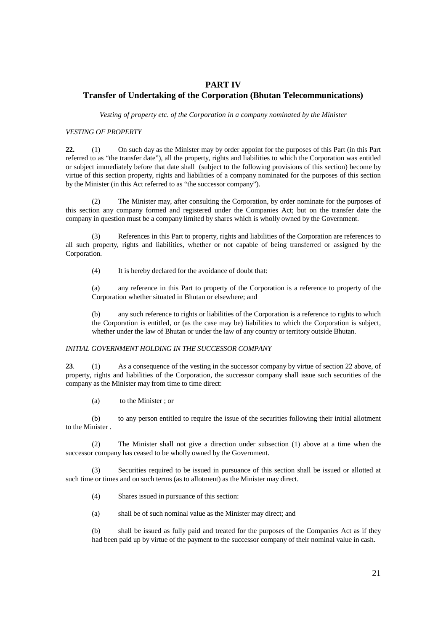# **PART IV Transfer of Undertaking of the Corporation (Bhutan Telecommunications)**

*Vesting of property etc. of the Corporation in a company nominated by the Minister* 

### *VESTING OF PROPERTY*

**22.** (1) On such day as the Minister may by order appoint for the purposes of this Part (in this Part referred to as "the transfer date"), all the property, rights and liabilities to which the Corporation was entitled or subject immediately before that date shall (subject to the following provisions of this section) become by virtue of this section property, rights and liabilities of a company nominated for the purposes of this section by the Minister (in this Act referred to as "the successor company").

 (2) The Minister may, after consulting the Corporation, by order nominate for the purposes of this section any company formed and registered under the Companies Act; but on the transfer date the company in question must be a company limited by shares which is wholly owned by the Government.

 (3) References in this Part to property, rights and liabilities of the Corporation are references to all such property, rights and liabilities, whether or not capable of being transferred or assigned by the Corporation.

(4) It is hereby declared for the avoidance of doubt that:

(a) any reference in this Part to property of the Corporation is a reference to property of the Corporation whether situated in Bhutan or elsewhere; and

(b) any such reference to rights or liabilities of the Corporation is a reference to rights to which the Corporation is entitled, or (as the case may be) liabilities to which the Corporation is subject, whether under the law of Bhutan or under the law of any country or territory outside Bhutan.

#### *INITIAL GOVERNMENT HOLDING IN THE SUCCESSOR COMPANY*

23. (1) As a consequence of the vesting in the successor company by virtue of section 22 above, of property, rights and liabilities of the Corporation, the successor company shall issue such securities of the company as the Minister may from time to time direct:

(a) to the Minister ; or

 (b) to any person entitled to require the issue of the securities following their initial allotment to the Minister .

 (2) The Minister shall not give a direction under subsection (1) above at a time when the successor company has ceased to be wholly owned by the Government.

 (3) Securities required to be issued in pursuance of this section shall be issued or allotted at such time or times and on such terms (as to allotment) as the Minister may direct.

(4) Shares issued in pursuance of this section:

(a) shall be of such nominal value as the Minister may direct; and

(b) shall be issued as fully paid and treated for the purposes of the Companies Act as if they had been paid up by virtue of the payment to the successor company of their nominal value in cash.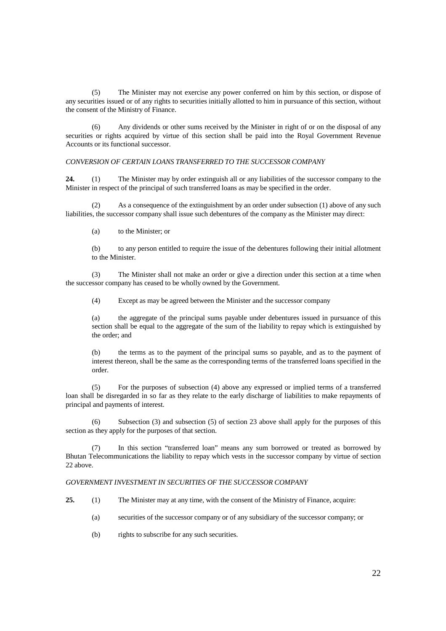(5) The Minister may not exercise any power conferred on him by this section, or dispose of any securities issued or of any rights to securities initially allotted to him in pursuance of this section, without the consent of the Ministry of Finance.

 (6) Any dividends or other sums received by the Minister in right of or on the disposal of any securities or rights acquired by virtue of this section shall be paid into the Royal Government Revenue Accounts or its functional successor.

#### *CONVERSION OF CERTAIN LOANS TRANSFERRED TO THE SUCCESSOR COMPANY*

**24.** (1) The Minister may by order extinguish all or any liabilities of the successor company to the Minister in respect of the principal of such transferred loans as may be specified in the order.

 (2) As a consequence of the extinguishment by an order under subsection (1) above of any such liabilities, the successor company shall issue such debentures of the company as the Minister may direct:

(a) to the Minister; or

(b) to any person entitled to require the issue of the debentures following their initial allotment to the Minister.

 (3) The Minister shall not make an order or give a direction under this section at a time when the successor company has ceased to be wholly owned by the Government.

(4) Except as may be agreed between the Minister and the successor company

(a) the aggregate of the principal sums payable under debentures issued in pursuance of this section shall be equal to the aggregate of the sum of the liability to repay which is extinguished by the order; and

(b) the terms as to the payment of the principal sums so payable, and as to the payment of interest thereon, shall be the same as the corresponding terms of the transferred loans specified in the order.

 (5) For the purposes of subsection (4) above any expressed or implied terms of a transferred loan shall be disregarded in so far as they relate to the early discharge of liabilities to make repayments of principal and payments of interest.

 (6) Subsection (3) and subsection (5) of section 23 above shall apply for the purposes of this section as they apply for the purposes of that section.

 (7) In this section "transferred loan" means any sum borrowed or treated as borrowed by Bhutan Telecommunications the liability to repay which vests in the successor company by virtue of section 22 above.

#### *GOVERNMENT INVESTMENT IN SECURITIES OF THE SUCCESSOR COMPANY*

- **25.** (1) The Minister may at any time, with the consent of the Ministry of Finance, acquire:
	- (a) securities of the successor company or of any subsidiary of the successor company; or
	- (b) rights to subscribe for any such securities.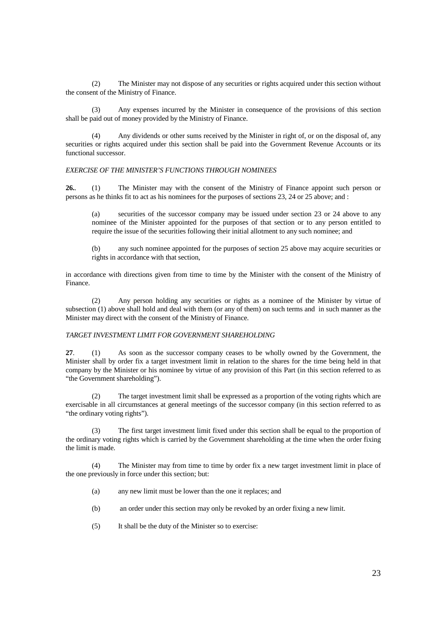(2) The Minister may not dispose of any securities or rights acquired under this section without the consent of the Ministry of Finance.

 (3) Any expenses incurred by the Minister in consequence of the provisions of this section shall be paid out of money provided by the Ministry of Finance.

 (4) Any dividends or other sums received by the Minister in right of, or on the disposal of, any securities or rights acquired under this section shall be paid into the Government Revenue Accounts or its functional successor.

## *EXERCISE OF THE MINISTER'S FUNCTIONS THROUGH NOMINEES*

26.. (1) The Minister may with the consent of the Ministry of Finance appoint such person or persons as he thinks fit to act as his nominees for the purposes of sections 23, 24 or 25 above; and :

securities of the successor company may be issued under section 23 or 24 above to any nominee of the Minister appointed for the purposes of that section or to any person entitled to require the issue of the securities following their initial allotment to any such nominee; and

(b) any such nominee appointed for the purposes of section 25 above may acquire securities or rights in accordance with that section,

in accordance with directions given from time to time by the Minister with the consent of the Ministry of Finance.

 (2) Any person holding any securities or rights as a nominee of the Minister by virtue of subsection (1) above shall hold and deal with them (or any of them) on such terms and in such manner as the Minister may direct with the consent of the Ministry of Finance.

#### *TARGET INVESTMENT LIMIT FOR GOVERNMENT SHAREHOLDING*

**27**. (1) As soon as the successor company ceases to be wholly owned by the Government, the Minister shall by order fix a target investment limit in relation to the shares for the time being held in that company by the Minister or his nominee by virtue of any provision of this Part (in this section referred to as "the Government shareholding").

 (2) The target investment limit shall be expressed as a proportion of the voting rights which are exercisable in all circumstances at general meetings of the successor company (in this section referred to as "the ordinary voting rights").

 (3) The first target investment limit fixed under this section shall be equal to the proportion of the ordinary voting rights which is carried by the Government shareholding at the time when the order fixing the limit is made.

 (4) The Minister may from time to time by order fix a new target investment limit in place of the one previously in force under this section; but:

- (a) any new limit must be lower than the one it replaces; and
- (b) an order under this section may only be revoked by an order fixing a new limit.
- (5) It shall be the duty of the Minister so to exercise: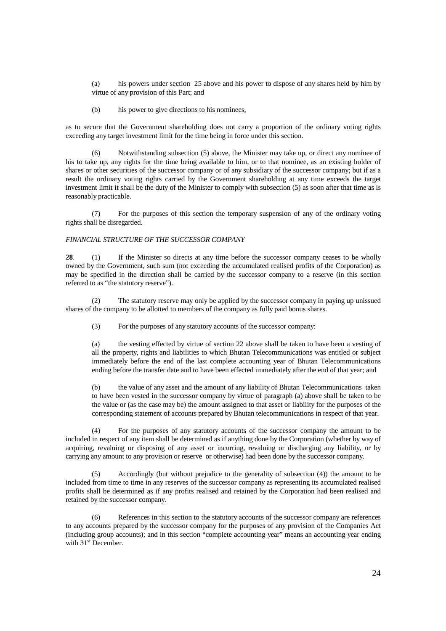(a) his powers under section 25 above and his power to dispose of any shares held by him by virtue of any provision of this Part; and

(b) his power to give directions to his nominees,

as to secure that the Government shareholding does not carry a proportion of the ordinary voting rights exceeding any target investment limit for the time being in force under this section.

 (6) Notwithstanding subsection (5) above, the Minister may take up, or direct any nominee of his to take up, any rights for the time being available to him, or to that nominee, as an existing holder of shares or other securities of the successor company or of any subsidiary of the successor company; but if as a result the ordinary voting rights carried by the Government shareholding at any time exceeds the target investment limit it shall be the duty of the Minister to comply with subsection (5) as soon after that time as is reasonably practicable.

 (7) For the purposes of this section the temporary suspension of any of the ordinary voting rights shall be disregarded.

#### *FINANCIAL STRUCTURE OF THE SUCCESSOR COMPANY*

28. (1) If the Minister so directs at any time before the successor company ceases to be wholly owned by the Government, such sum (not exceeding the accumulated realised profits of the Corporation) as may be specified in the direction shall be carried by the successor company to a reserve (in this section referred to as "the statutory reserve").

 (2) The statutory reserve may only be applied by the successor company in paying up unissued shares of the company to be allotted to members of the company as fully paid bonus shares.

(3) For the purposes of any statutory accounts of the successor company:

(a) the vesting effected by virtue of section 22 above shall be taken to have been a vesting of all the property, rights and liabilities to which Bhutan Telecommunications was entitled or subject immediately before the end of the last complete accounting year of Bhutan Telecommunications ending before the transfer date and to have been effected immediately after the end of that year; and

(b) the value of any asset and the amount of any liability of Bhutan Telecommunications taken to have been vested in the successor company by virtue of paragraph (a) above shall be taken to be the value or (as the case may be) the amount assigned to that asset or liability for the purposes of the corresponding statement of accounts prepared by Bhutan telecommunications in respect of that year.

 (4) For the purposes of any statutory accounts of the successor company the amount to be included in respect of any item shall be determined as if anything done by the Corporation (whether by way of acquiring, revaluing or disposing of any asset or incurring, revaluing or discharging any liability, or by carrying any amount to any provision or reserve or otherwise) had been done by the successor company.

 (5) Accordingly (but without prejudice to the generality of subsection (4)) the amount to be included from time to time in any reserves of the successor company as representing its accumulated realised profits shall be determined as if any profits realised and retained by the Corporation had been realised and retained by the successor company.

References in this section to the statutory accounts of the successor company are references to any accounts prepared by the successor company for the purposes of any provision of the Companies Act (including group accounts); and in this section "complete accounting year" means an accounting year ending with 31<sup>st</sup> December.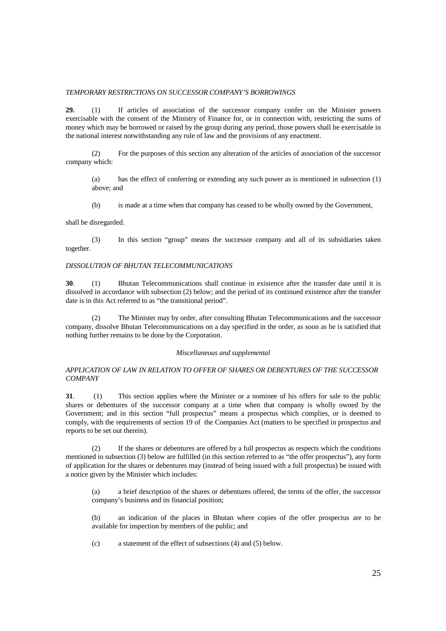#### *TEMPORARY RESTRICTIONS ON SUCCESSOR COMPANY'S BORROWINGS*

**29.** (1) If articles of association of the successor company confer on the Minister powers exercisable with the consent of the Ministry of Finance for, or in connection with, restricting the sums of money which may be borrowed or raised by the group during any period, those powers shall be exercisable in the national interest notwithstanding any rule of law and the provisions of any enactment.

 (2) For the purposes of this section any alteration of the articles of association of the successor company which:

(a) has the effect of conferring or extending any such power as is mentioned in subsection (1) above; and

(b) is made at a time when that company has ceased to be wholly owned by the Government,

shall be disregarded.

 (3) In this section "group" means the successor company and all of its subsidiaries taken together.

### *DISSOLUTION OF BHUTAN TELECOMMUNICATIONS*

**30**. (1) Bhutan Telecommunications shall continue in existence after the transfer date until it is dissolved in accordance with subsection (2) below; and the period of its continued existence after the transfer date is in this Act referred to as "the transitional period".

(2) The Minister may by order, after consulting Bhutan Telecommunications and the successor company, dissolve Bhutan Telecommunications on a day specified in the order, as soon as he is satisfied that nothing further remains to be done by the Corporation.

## *Miscellaneous and supplemental*

## *APPLICATION OF LAW IN RELATION TO OFFER OF SHARES OR DEBENTURES OF THE SUCCESSOR COMPANY*

**31.** (1) This section applies where the Minister or a nominee of his offers for sale to the public shares or debentures of the successor company at a time when that company is wholly owned by the Government; and in this section "full prospectus" means a prospectus which complies, or is deemed to comply, with the requirements of section 19 of the Companies Act (matters to be specified in prospectus and reports to be set out therein).

 (2) If the shares or debentures are offered by a full prospectus as respects which the conditions mentioned in subsection (3) below are fulfilled (in this section referred to as "the offer prospectus"), any form of application for the shares or debentures may (instead of being issued with a full prospectus) be issued with a notice given by the Minister which includes:

(a) a brief description of the shares or debentures offered, the terms of the offer, the successor company's business and its financial position;

(b) an indication of the places in Bhutan where copies of the offer prospectus are to be available for inspection by members of the public; and

(c) a statement of the effect of subsections (4) and (5) below.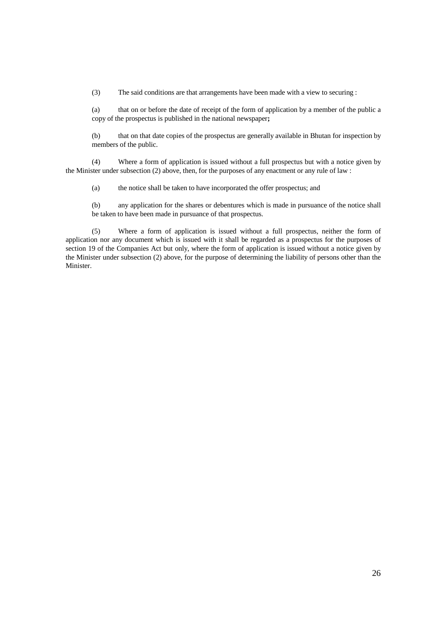(3) The said conditions are that arrangements have been made with a view to securing :

(a) that on or before the date of receipt of the form of application by a member of the public a copy of the prospectus is published in the national newspaper**;**

(b) that on that date copies of the prospectus are generally available in Bhutan for inspection by members of the public.

 (4) Where a form of application is issued without a full prospectus but with a notice given by the Minister under subsection (2) above, then, for the purposes of any enactment or any rule of law :

(a) the notice shall be taken to have incorporated the offer prospectus; and

(b) any application for the shares or debentures which is made in pursuance of the notice shall be taken to have been made in pursuance of that prospectus.

(5) Where a form of application is issued without a full prospectus, neither the form of application nor any document which is issued with it shall be regarded as a prospectus for the purposes of section 19 of the Companies Act but only, where the form of application is issued without a notice given by the Minister under subsection (2) above, for the purpose of determining the liability of persons other than the Minister.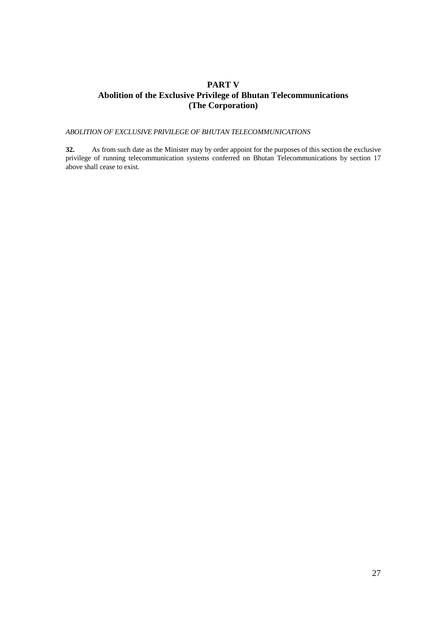# **PART V Abolition of the Exclusive Privilege of Bhutan Telecommunications (The Corporation)**

*ABOLITION OF EXCLUSIVE PRIVILEGE OF BHUTAN TELECOMMUNICATIONS*

**32.** As from such date as the Minister may by order appoint for the purposes of this section the exclusive privilege of running telecommunication systems conferred on Bhutan Telecommunications by section 17 above shall cease to exist.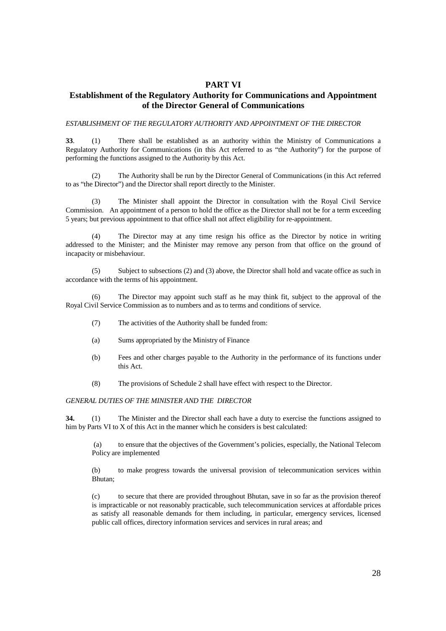# **PART VI**

# **Establishment of the Regulatory Authority for Communications and Appointment of the Director General of Communications**

#### *ESTABLISHMENT OF THE REGULATORY AUTHORITY AND APPOINTMENT OF THE DIRECTOR*

**33**. (1) There shall be established as an authority within the Ministry of Communications a Regulatory Authority for Communications (in this Act referred to as "the Authority") for the purpose of performing the functions assigned to the Authority by this Act.

 (2) The Authority shall be run by the Director General of Communications (in this Act referred to as "the Director") and the Director shall report directly to the Minister.

 (3) The Minister shall appoint the Director in consultation with the Royal Civil Service Commission. An appointment of a person to hold the office as the Director shall not be for a term exceeding 5 years; but previous appointment to that office shall not affect eligibility for re-appointment.

 (4) The Director may at any time resign his office as the Director by notice in writing addressed to the Minister; and the Minister may remove any person from that office on the ground of incapacity or misbehaviour.

 (5) Subject to subsections (2) and (3) above, the Director shall hold and vacate office as such in accordance with the terms of his appointment.

 (6) The Director may appoint such staff as he may think fit, subject to the approval of the Royal Civil Service Commission as to numbers and as to terms and conditions of service.

- (7) The activities of the Authority shall be funded from:
- (a) Sums appropriated by the Ministry of Finance
- (b) Fees and other charges payable to the Authority in the performance of its functions under this Act.
- (8) The provisions of Schedule 2 shall have effect with respect to the Director.

## *GENERAL DUTIES OF THE MINISTER AND THE DIRECTOR*

**34.** (1) The Minister and the Director shall each have a duty to exercise the functions assigned to him by Parts VI to X of this Act in the manner which he considers is best calculated:

 (a) to ensure that the objectives of the Government's policies, especially, the National Telecom Policy are implemented

(b) to make progress towards the universal provision of telecommunication services within Bhutan;

(c) to secure that there are provided throughout Bhutan, save in so far as the provision thereof is impracticable or not reasonably practicable, such telecommunication services at affordable prices as satisfy all reasonable demands for them including, in particular, emergency services, licensed public call offices, directory information services and services in rural areas; and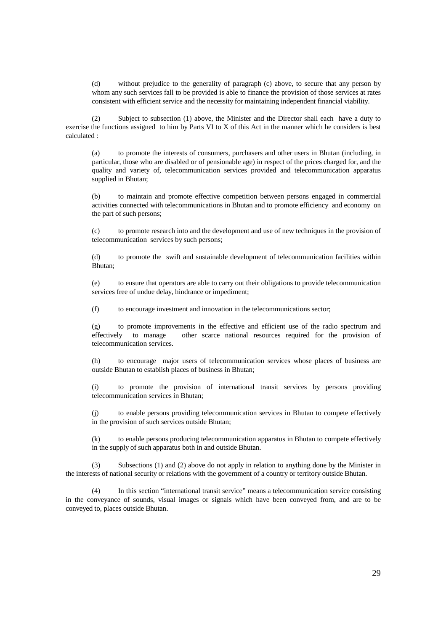(d) without prejudice to the generality of paragraph (c) above, to secure that any person by whom any such services fall to be provided is able to finance the provision of those services at rates consistent with efficient service and the necessity for maintaining independent financial viability.

 (2) Subject to subsection (1) above, the Minister and the Director shall each have a duty to exercise the functions assigned to him by Parts VI to X of this Act in the manner which he considers is best calculated :

(a) to promote the interests of consumers, purchasers and other users in Bhutan (including, in particular, those who are disabled or of pensionable age) in respect of the prices charged for, and the quality and variety of, telecommunication services provided and telecommunication apparatus supplied in Bhutan;

(b) to maintain and promote effective competition between persons engaged in commercial activities connected with telecommunications in Bhutan and to promote efficiency and economy on the part of such persons;

(c) to promote research into and the development and use of new techniques in the provision of telecommunication services by such persons;

(d) to promote the swift and sustainable development of telecommunication facilities within Bhutan;

(e) to ensure that operators are able to carry out their obligations to provide telecommunication services free of undue delay, hindrance or impediment;

(f) to encourage investment and innovation in the telecommunications sector;

(g) to promote improvements in the effective and efficient use of the radio spectrum and effectively to manage other scarce national resources required for the provision of telecommunication services.

(h) to encourage major users of telecommunication services whose places of business are outside Bhutan to establish places of business in Bhutan;

(i) to promote the provision of international transit services by persons providing telecommunication services in Bhutan;

(j) to enable persons providing telecommunication services in Bhutan to compete effectively in the provision of such services outside Bhutan;

(k) to enable persons producing telecommunication apparatus in Bhutan to compete effectively in the supply of such apparatus both in and outside Bhutan.

 (3) Subsections (1) and (2) above do not apply in relation to anything done by the Minister in the interests of national security or relations with the government of a country or territory outside Bhutan.

 (4) In this section "international transit service" means a telecommunication service consisting in the conveyance of sounds, visual images or signals which have been conveyed from, and are to be conveyed to, places outside Bhutan.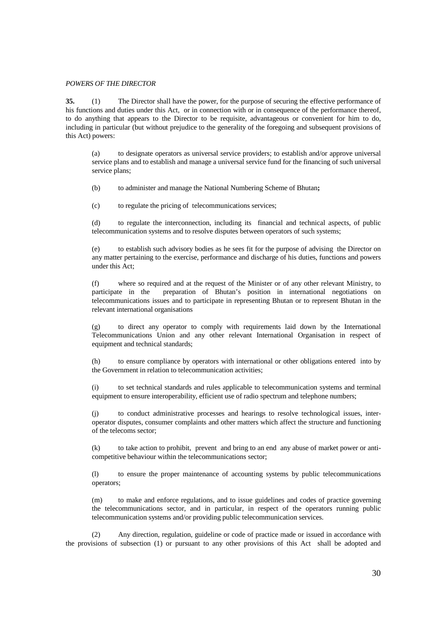#### *POWERS OF THE DIRECTOR*

**35.** (1) The Director shall have the power, for the purpose of securing the effective performance of his functions and duties under this Act, or in connection with or in consequence of the performance thereof, to do anything that appears to the Director to be requisite, advantageous or convenient for him to do, including in particular (but without prejudice to the generality of the foregoing and subsequent provisions of this Act) powers:

(a) to designate operators as universal service providers; to establish and/or approve universal service plans and to establish and manage a universal service fund for the financing of such universal service plans;

(b) to administer and manage the National Numbering Scheme of Bhutan**;**

(c) to regulate the pricing of telecommunications services;

(d) to regulate the interconnection, including its financial and technical aspects, of public telecommunication systems and to resolve disputes between operators of such systems;

(e) to establish such advisory bodies as he sees fit for the purpose of advising the Director on any matter pertaining to the exercise, performance and discharge of his duties, functions and powers under this Act;

(f) where so required and at the request of the Minister or of any other relevant Ministry, to participate in the preparation of Bhutan's position in international negotiations on telecommunications issues and to participate in representing Bhutan or to represent Bhutan in the relevant international organisations

(g) to direct any operator to comply with requirements laid down by the International Telecommunications Union and any other relevant International Organisation in respect of equipment and technical standards;

(h) to ensure compliance by operators with international or other obligations entered into by the Government in relation to telecommunication activities;

(i) to set technical standards and rules applicable to telecommunication systems and terminal equipment to ensure interoperability, efficient use of radio spectrum and telephone numbers;

(j) to conduct administrative processes and hearings to resolve technological issues, interoperator disputes, consumer complaints and other matters which affect the structure and functioning of the telecoms sector;

(k) to take action to prohibit, prevent and bring to an end any abuse of market power or anticompetitive behaviour within the telecommunications sector;

(l) to ensure the proper maintenance of accounting systems by public telecommunications operators;

(m) to make and enforce regulations, and to issue guidelines and codes of practice governing the telecommunications sector, and in particular, in respect of the operators running public telecommunication systems and/or providing public telecommunication services.

 (2) Any direction, regulation, guideline or code of practice made or issued in accordance with the provisions of subsection (1) or pursuant to any other provisions of this Act shall be adopted and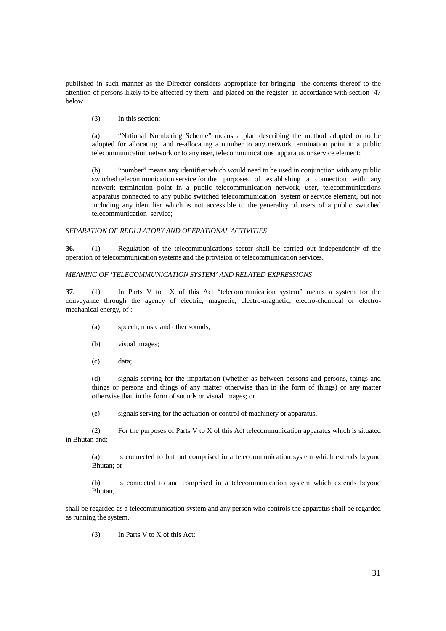published in such manner as the Director considers appropriate for bringing the contents thereof to the attention of persons likely to be affected by them and placed on the register in accordance with section 47 below.

(3) In this section:

(a) "National Numbering Scheme" means a plan describing the method adopted or to be adopted for allocating and re-allocating a number to any network termination point in a public telecommunication network or to any user, telecommunications apparatus or service element;

(b) "number" means any identifier which would need to be used in conjunction with any public switched telecommunication service for the purposes of establishing a connection with any network termination point in a public telecommunication network, user, telecommunications apparatus connected to any public switched telecommunication system or service element, but not including any identifier which is not accessible to the generality of users of a public switched telecommunication service;

## *SEPARATION OF REGULATORY AND OPERATIONAL ACTIVITIES*

**36.** (1) Regulation of the telecommunications sector shall be carried out independently of the operation of telecommunication systems and the provision of telecommunication services.

## *MEANING OF 'TELECOMMUNICATION SYSTEM' AND RELATED EXPRESSIONS*

**37**. (1) In Parts V to X of this Act "telecommunication system" means a system for the conveyance through the agency of electric, magnetic, electro-magnetic, electro-chemical or electromechanical energy, of :

- (a) speech, music and other sounds;
- (b) visual images;
- (c) data;

(d) signals serving for the impartation (whether as between persons and persons, things and things or persons and things of any matter otherwise than in the form of things) or any matter otherwise than in the form of sounds or visual images; or

(e) signals serving for the actuation or control of machinery or apparatus.

 (2) For the purposes of Parts V to X of this Act telecommunication apparatus which is situated in Bhutan and:

(a) is connected to but not comprised in a telecommunication system which extends beyond Bhutan; or

(b) is connected to and comprised in a telecommunication system which extends beyond Bhutan,

shall be regarded as a telecommunication system and any person who controls the apparatus shall be regarded as running the system.

(3) In Parts V to X of this Act: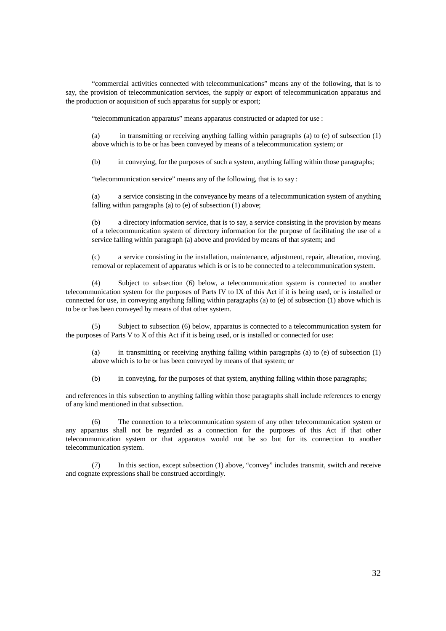"commercial activities connected with telecommunications" means any of the following, that is to say, the provision of telecommunication services, the supply or export of telecommunication apparatus and the production or acquisition of such apparatus for supply or export;

"telecommunication apparatus" means apparatus constructed or adapted for use :

(a) in transmitting or receiving anything falling within paragraphs (a) to (e) of subsection (1) above which is to be or has been conveyed by means of a telecommunication system; or

(b) in conveying, for the purposes of such a system, anything falling within those paragraphs;

"telecommunication service" means any of the following, that is to say :

(a) a service consisting in the conveyance by means of a telecommunication system of anything falling within paragraphs (a) to (e) of subsection (1) above;

(b) a directory information service, that is to say, a service consisting in the provision by means of a telecommunication system of directory information for the purpose of facilitating the use of a service falling within paragraph (a) above and provided by means of that system; and

(c) a service consisting in the installation, maintenance, adjustment, repair, alteration, moving, removal or replacement of apparatus which is or is to be connected to a telecommunication system.

 (4) Subject to subsection (6) below, a telecommunication system is connected to another telecommunication system for the purposes of Parts IV to IX of this Act if it is being used, or is installed or connected for use, in conveying anything falling within paragraphs (a) to (e) of subsection (1) above which is to be or has been conveyed by means of that other system.

 (5) Subject to subsection (6) below, apparatus is connected to a telecommunication system for the purposes of Parts V to X of this Act if it is being used, or is installed or connected for use:

(a) in transmitting or receiving anything falling within paragraphs (a) to (e) of subsection (1) above which is to be or has been conveyed by means of that system; or

(b) in conveying, for the purposes of that system, anything falling within those paragraphs;

and references in this subsection to anything falling within those paragraphs shall include references to energy of any kind mentioned in that subsection.

 (6) The connection to a telecommunication system of any other telecommunication system or any apparatus shall not be regarded as a connection for the purposes of this Act if that other telecommunication system or that apparatus would not be so but for its connection to another telecommunication system.

 (7) In this section, except subsection (1) above, "convey" includes transmit, switch and receive and cognate expressions shall be construed accordingly.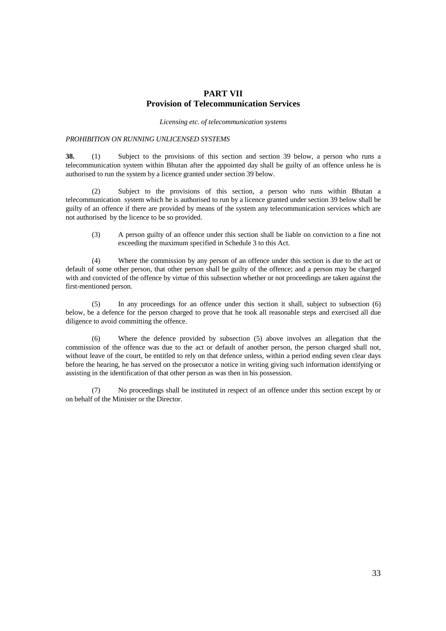# **PART VII Provision of Telecommunication Services**

*Licensing etc. of telecommunication systems* 

#### *PROHIBITION ON RUNNING UNLICENSED SYSTEMS*

**38.** (1) Subject to the provisions of this section and section 39 below, a person who runs a telecommunication system within Bhutan after the appointed day shall be guilty of an offence unless he is authorised to run the system by a licence granted under section 39 below.

 (2) Subject to the provisions of this section, a person who runs within Bhutan a telecommunication system which he is authorised to run by a licence granted under section 39 below shall be guilty of an offence if there are provided by means of the system any telecommunication services which are not authorised by the licence to be so provided.

(3) A person guilty of an offence under this section shall be liable on conviction to a fine not exceeding the maximum specified in Schedule 3 to this Act.

(4) Where the commission by any person of an offence under this section is due to the act or default of some other person, that other person shall be guilty of the offence; and a person may be charged with and convicted of the offence by virtue of this subsection whether or not proceedings are taken against the first-mentioned person.

 (5) In any proceedings for an offence under this section it shall, subject to subsection (6) below, be a defence for the person charged to prove that he took all reasonable steps and exercised all due diligence to avoid committing the offence.

 (6) Where the defence provided by subsection (5) above involves an allegation that the commission of the offence was due to the act or default of another person, the person charged shall not, without leave of the court, be entitled to rely on that defence unless, within a period ending seven clear days before the hearing, he has served on the prosecutor a notice in writing giving such information identifying or assisting in the identification of that other person as was then in his possession.

 (7) No proceedings shall be instituted in respect of an offence under this section except by or on behalf of the Minister or the Director.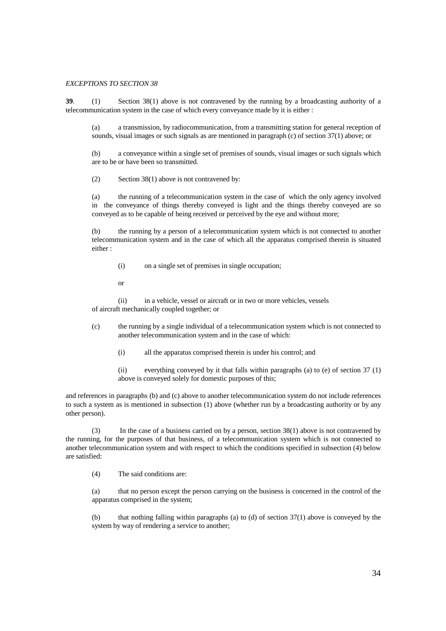#### *EXCEPTIONS TO SECTION 38*

**39**. (1) Section 38(1) above is not contravened by the running by a broadcasting authority of a telecommunication system in the case of which every conveyance made by it is either :

(a) a transmission, by radiocommunication, from a transmitting station for general reception of sounds, visual images or such signals as are mentioned in paragraph (c) of section 37(1) above; or

(b) a conveyance within a single set of premises of sounds, visual images or such signals which are to be or have been so transmitted.

(2) Section 38(1) above is not contravened by:

(a) the running of a telecommunication system in the case of which the only agency involved in the conveyance of things thereby conveyed is light and the things thereby conveyed are so conveyed as to be capable of being received or perceived by the eye and without more;

(b) the running by a person of a telecommunication system which is not connected to another telecommunication system and in the case of which all the apparatus comprised therein is situated either :

- (i) on a single set of premises in single occupation;
- or

 (ii) in a vehicle, vessel or aircraft or in two or more vehicles, vessels of aircraft mechanically coupled together; or

- (c) the running by a single individual of a telecommunication system which is not connected to another telecommunication system and in the case of which:
	- (i) all the apparatus comprised therein is under his control; and
	- (ii) everything conveyed by it that falls within paragraphs (a) to (e) of section 37 (1) above is conveyed solely for domestic purposes of this;

and references in paragraphs (b) and (c) above to another telecommunication system do not include references to such a system as is mentioned in subsection (1) above (whether run by a broadcasting authority or by any other person).

 (3) In the case of a business carried on by a person, section 38(1) above is not contravened by the running, for the purposes of that business, of a telecommunication system which is not connected to another telecommunication system and with respect to which the conditions specified in subsection (4) below are satisfied:

(4) The said conditions are:

(a) that no person except the person carrying on the business is concerned in the control of the apparatus comprised in the system;

(b) that nothing falling within paragraphs (a) to (d) of section 37(1) above is conveyed by the system by way of rendering a service to another;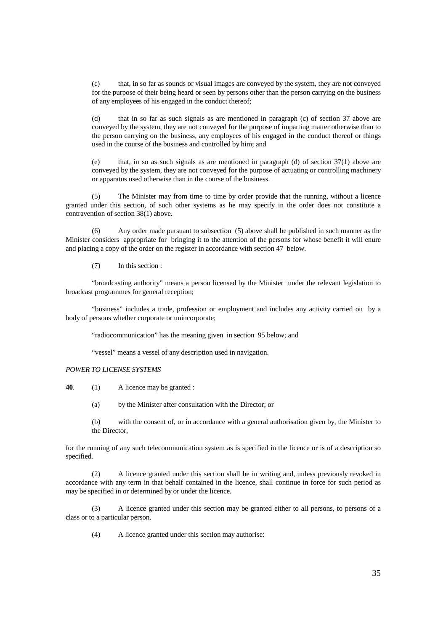(c) that, in so far as sounds or visual images are conveyed by the system, they are not conveyed for the purpose of their being heard or seen by persons other than the person carrying on the business of any employees of his engaged in the conduct thereof;

(d) that in so far as such signals as are mentioned in paragraph (c) of section 37 above are conveyed by the system, they are not conveyed for the purpose of imparting matter otherwise than to the person carrying on the business, any employees of his engaged in the conduct thereof or things used in the course of the business and controlled by him; and

(e) that, in so as such signals as are mentioned in paragraph (d) of section  $37(1)$  above are conveyed by the system, they are not conveyed for the purpose of actuating or controlling machinery or apparatus used otherwise than in the course of the business.

 (5) The Minister may from time to time by order provide that the running, without a licence granted under this section, of such other systems as he may specify in the order does not constitute a contravention of section 38(1) above.

 (6) Any order made pursuant to subsection (5) above shall be published in such manner as the Minister considers appropriate for bringing it to the attention of the persons for whose benefit it will enure and placing a copy of the order on the register in accordance with section 47 below.

(7) In this section :

 "broadcasting authority" means a person licensed by the Minister under the relevant legislation to broadcast programmes for general reception;

 "business" includes a trade, profession or employment and includes any activity carried on by a body of persons whether corporate or unincorporate;

"radiocommunication" has the meaning given in section 95 below; and

"vessel" means a vessel of any description used in navigation.

#### *POWER TO LICENSE SYSTEMS*

**40**. (1) A licence may be granted :

(a) by the Minister after consultation with the Director; or

(b) with the consent of, or in accordance with a general authorisation given by, the Minister to the Director,

for the running of any such telecommunication system as is specified in the licence or is of a description so specified.

 (2) A licence granted under this section shall be in writing and, unless previously revoked in accordance with any term in that behalf contained in the licence, shall continue in force for such period as may be specified in or determined by or under the licence.

 (3) A licence granted under this section may be granted either to all persons, to persons of a class or to a particular person.

(4) A licence granted under this section may authorise: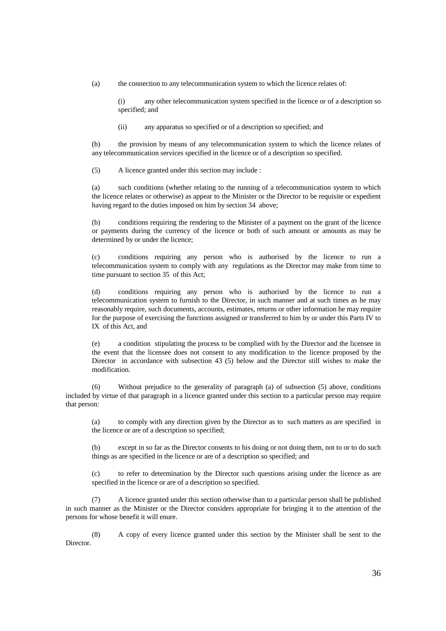(a) the connection to any telecommunication system to which the licence relates of:

(i) any other telecommunication system specified in the licence or of a description so specified; and

(ii) any apparatus so specified or of a description so specified; and

(b) the provision by means of any telecommunication system to which the licence relates of any telecommunication services specified in the licence or of a description so specified.

(5) A licence granted under this section may include :

(a) such conditions (whether relating to the running of a telecommunication system to which the licence relates or otherwise) as appear to the Minister or the Director to be requisite or expedient having regard to the duties imposed on him by section 34 above;

(b) conditions requiring the rendering to the Minister of a payment on the grant of the licence or payments during the currency of the licence or both of such amount or amounts as may be determined by or under the licence;

(c) conditions requiring any person who is authorised by the licence to run a telecommunication system to comply with any regulations as the Director may make from time to time pursuant to section 35 of this Act;

(d) conditions requiring any person who is authorised by the licence to run a telecommunication system to furnish to the Director, in such manner and at such times as he may reasonably require, such documents, accounts, estimates, returns or other information he may require for the purpose of exercising the functions assigned or transferred to him by or under this Parts IV to IX of this Act, and

(e) a condition stipulating the process to be complied with by the Director and the licensee in the event that the licensee does not consent to any modification to the licence proposed by the Director in accordance with subsection 43 (5) below and the Director still wishes to make the modification.

 (6) Without prejudice to the generality of paragraph (a) of subsection (5) above, conditions included by virtue of that paragraph in a licence granted under this section to a particular person may require that person:

(a) to comply with any direction given by the Director as to such matters as are specified in the licence or are of a description so specified;

(b) except in so far as the Director consents to his doing or not doing them, not to or to do such things as are specified in the licence or are of a description so specified; and

(c) to refer to determination by the Director such questions arising under the licence as are specified in the licence or are of a description so specified.

 (7) A licence granted under this section otherwise than to a particular person shall be published in such manner as the Minister or the Director considers appropriate for bringing it to the attention of the persons for whose benefit it will enure.

 (8) A copy of every licence granted under this section by the Minister shall be sent to the Director.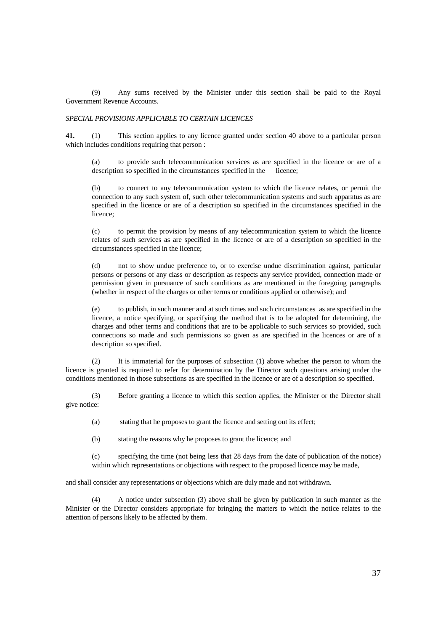(9) Any sums received by the Minister under this section shall be paid to the Royal Government Revenue Accounts.

## *SPECIAL PROVISIONS APPLICABLE TO CERTAIN LICENCES*

**41.** (1) This section applies to any licence granted under section 40 above to a particular person which includes conditions requiring that person :

(a) to provide such telecommunication services as are specified in the licence or are of a description so specified in the circumstances specified in the licence;

(b) to connect to any telecommunication system to which the licence relates, or permit the connection to any such system of, such other telecommunication systems and such apparatus as are specified in the licence or are of a description so specified in the circumstances specified in the licence;

(c) to permit the provision by means of any telecommunication system to which the licence relates of such services as are specified in the licence or are of a description so specified in the circumstances specified in the licence;

(d) not to show undue preference to, or to exercise undue discrimination against, particular persons or persons of any class or description as respects any service provided, connection made or permission given in pursuance of such conditions as are mentioned in the foregoing paragraphs (whether in respect of the charges or other terms or conditions applied or otherwise); and

(e) to publish, in such manner and at such times and such circumstances as are specified in the licence, a notice specifying, or specifying the method that is to be adopted for determining, the charges and other terms and conditions that are to be applicable to such services so provided, such connections so made and such permissions so given as are specified in the licences or are of a description so specified.

 (2) It is immaterial for the purposes of subsection (1) above whether the person to whom the licence is granted is required to refer for determination by the Director such questions arising under the conditions mentioned in those subsections as are specified in the licence or are of a description so specified.

 (3) Before granting a licence to which this section applies, the Minister or the Director shall give notice:

(a) stating that he proposes to grant the licence and setting out its effect;

(b) stating the reasons why he proposes to grant the licence; and

(c) specifying the time (not being less that 28 days from the date of publication of the notice) within which representations or objections with respect to the proposed licence may be made,

and shall consider any representations or objections which are duly made and not withdrawn.

 (4) A notice under subsection (3) above shall be given by publication in such manner as the Minister or the Director considers appropriate for bringing the matters to which the notice relates to the attention of persons likely to be affected by them.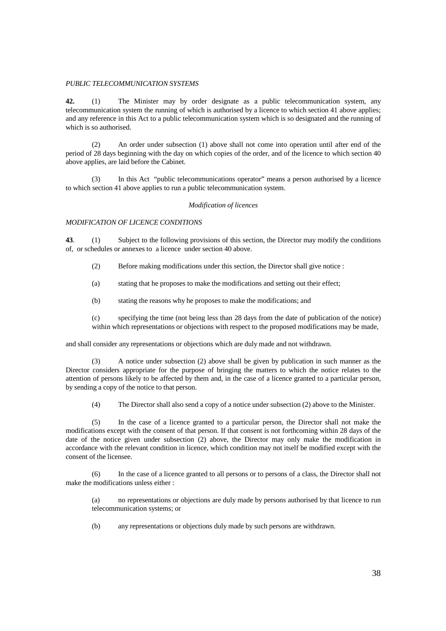## *PUBLIC TELECOMMUNICATION SYSTEMS*

**42.** (1) The Minister may by order designate as a public telecommunication system, any telecommunication system the running of which is authorised by a licence to which section 41 above applies; and any reference in this Act to a public telecommunication system which is so designated and the running of which is so authorised.

 (2) An order under subsection (1) above shall not come into operation until after end of the period of 28 days beginning with the day on which copies of the order, and of the licence to which section 40 above applies, are laid before the Cabinet.

 (3) In this Act "public telecommunications operator" means a person authorised by a licence to which section 41 above applies to run a public telecommunication system.

#### *Modification of licences*

## *MODIFICATION OF LICENCE CONDITIONS*

**43**. (1) Subject to the following provisions of this section, the Director may modify the conditions of, or schedules or annexes to a licence under section 40 above.

(2) Before making modifications under this section, the Director shall give notice :

(a) stating that he proposes to make the modifications and setting out their effect;

(b) stating the reasons why he proposes to make the modifications; and

(c) specifying the time (not being less than 28 days from the date of publication of the notice) within which representations or objections with respect to the proposed modifications may be made,

and shall consider any representations or objections which are duly made and not withdrawn.

 (3) A notice under subsection (2) above shall be given by publication in such manner as the Director considers appropriate for the purpose of bringing the matters to which the notice relates to the attention of persons likely to be affected by them and, in the case of a licence granted to a particular person, by sending a copy of the notice to that person.

(4) The Director shall also send a copy of a notice under subsection (2) above to the Minister.

 (5) In the case of a licence granted to a particular person, the Director shall not make the modifications except with the consent of that person. If that consent is not forthcoming within 28 days of the date of the notice given under subsection (2) above, the Director may only make the modification in accordance with the relevant condition in licence, which condition may not itself be modified except with the consent of the licensee.

 (6) In the case of a licence granted to all persons or to persons of a class, the Director shall not make the modifications unless either :

(a) no representations or objections are duly made by persons authorised by that licence to run telecommunication systems; or

(b) any representations or objections duly made by such persons are withdrawn.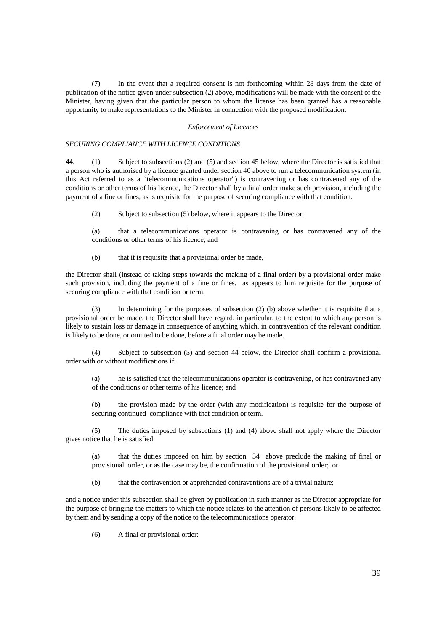(7) In the event that a required consent is not forthcoming within 28 days from the date of publication of the notice given under subsection (2) above, modifications will be made with the consent of the Minister, having given that the particular person to whom the license has been granted has a reasonable opportunity to make representations to the Minister in connection with the proposed modification.

#### *Enforcement of Licences*

## *SECURING COMPLIANCE WITH LICENCE CONDITIONS*

**44**. (1) Subject to subsections (2) and (5) and section 45 below, where the Director is satisfied that a person who is authorised by a licence granted under section 40 above to run a telecommunication system (in this Act referred to as a "telecommunications operator") is contravening or has contravened any of the conditions or other terms of his licence, the Director shall by a final order make such provision, including the payment of a fine or fines, as is requisite for the purpose of securing compliance with that condition.

(2) Subject to subsection (5) below, where it appears to the Director:

(a) that a telecommunications operator is contravening or has contravened any of the conditions or other terms of his licence; and

(b) that it is requisite that a provisional order be made,

the Director shall (instead of taking steps towards the making of a final order) by a provisional order make such provision, including the payment of a fine or fines, as appears to him requisite for the purpose of securing compliance with that condition or term.

 (3) In determining for the purposes of subsection (2) (b) above whether it is requisite that a provisional order be made, the Director shall have regard, in particular, to the extent to which any person is likely to sustain loss or damage in consequence of anything which, in contravention of the relevant condition is likely to be done, or omitted to be done, before a final order may be made.

 (4) Subject to subsection (5) and section 44 below, the Director shall confirm a provisional order with or without modifications if:

(a) he is satisfied that the telecommunications operator is contravening, or has contravened any of the conditions or other terms of his licence; and

(b) the provision made by the order (with any modification) is requisite for the purpose of securing continued compliance with that condition or term.

 (5) The duties imposed by subsections (1) and (4) above shall not apply where the Director gives notice that he is satisfied:

(a) that the duties imposed on him by section 34 above preclude the making of final or provisional order, or as the case may be, the confirmation of the provisional order; or

(b) that the contravention or apprehended contraventions are of a trivial nature;

and a notice under this subsection shall be given by publication in such manner as the Director appropriate for the purpose of bringing the matters to which the notice relates to the attention of persons likely to be affected by them and by sending a copy of the notice to the telecommunications operator.

(6) A final or provisional order: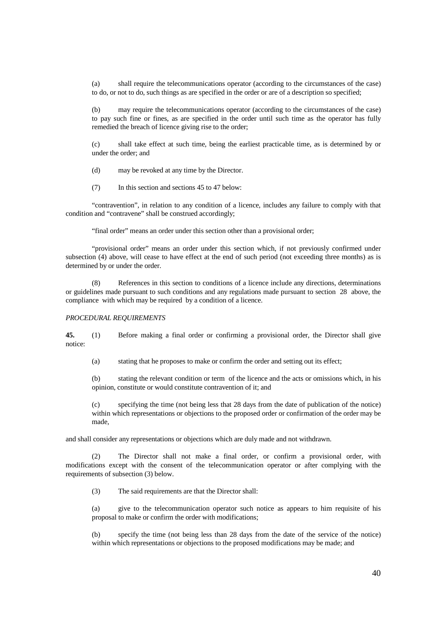(a) shall require the telecommunications operator (according to the circumstances of the case) to do, or not to do, such things as are specified in the order or are of a description so specified;

(b) may require the telecommunications operator (according to the circumstances of the case) to pay such fine or fines, as are specified in the order until such time as the operator has fully remedied the breach of licence giving rise to the order;

(c) shall take effect at such time, being the earliest practicable time, as is determined by or under the order; and

(d) may be revoked at any time by the Director.

(7) In this section and sections 45 to 47 below:

 "contravention", in relation to any condition of a licence, includes any failure to comply with that condition and "contravene" shall be construed accordingly;

"final order" means an order under this section other than a provisional order;

 "provisional order" means an order under this section which, if not previously confirmed under subsection (4) above, will cease to have effect at the end of such period (not exceeding three months) as is determined by or under the order.

 (8) References in this section to conditions of a licence include any directions, determinations or guidelines made pursuant to such conditions and any regulations made pursuant to section 28 above, the compliance with which may be required by a condition of a licence.

## *PROCEDURAL REQUIREMENTS*

**45.** (1) Before making a final order or confirming a provisional order, the Director shall give notice:

(a) stating that he proposes to make or confirm the order and setting out its effect;

(b) stating the relevant condition or term of the licence and the acts or omissions which, in his opinion, constitute or would constitute contravention of it; and

(c) specifying the time (not being less that 28 days from the date of publication of the notice) within which representations or objections to the proposed order or confirmation of the order may be made,

and shall consider any representations or objections which are duly made and not withdrawn.

 (2) The Director shall not make a final order, or confirm a provisional order, with modifications except with the consent of the telecommunication operator or after complying with the requirements of subsection (3) below.

(3) The said requirements are that the Director shall:

(a) give to the telecommunication operator such notice as appears to him requisite of his proposal to make or confirm the order with modifications;

(b) specify the time (not being less than 28 days from the date of the service of the notice) within which representations or objections to the proposed modifications may be made; and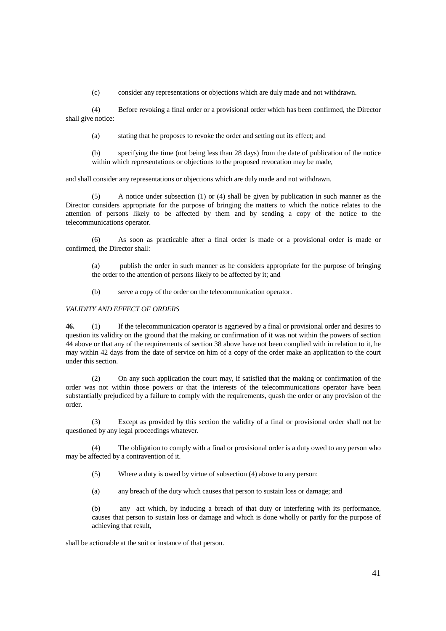(c) consider any representations or objections which are duly made and not withdrawn.

 (4) Before revoking a final order or a provisional order which has been confirmed, the Director shall give notice:

(a) stating that he proposes to revoke the order and setting out its effect; and

(b) specifying the time (not being less than 28 days) from the date of publication of the notice within which representations or objections to the proposed revocation may be made,

and shall consider any representations or objections which are duly made and not withdrawn.

 (5) A notice under subsection (1) or (4) shall be given by publication in such manner as the Director considers appropriate for the purpose of bringing the matters to which the notice relates to the attention of persons likely to be affected by them and by sending a copy of the notice to the telecommunications operator.

 (6) As soon as practicable after a final order is made or a provisional order is made or confirmed, the Director shall:

(a) publish the order in such manner as he considers appropriate for the purpose of bringing the order to the attention of persons likely to be affected by it; and

(b) serve a copy of the order on the telecommunication operator.

## *VALIDITY AND EFFECT OF ORDERS*

**46.** (1) If the telecommunication operator is aggrieved by a final or provisional order and desires to question its validity on the ground that the making or confirmation of it was not within the powers of section 44 above or that any of the requirements of section 38 above have not been complied with in relation to it, he may within 42 days from the date of service on him of a copy of the order make an application to the court under this section.

 (2) On any such application the court may, if satisfied that the making or confirmation of the order was not within those powers or that the interests of the telecommunications operator have been substantially prejudiced by a failure to comply with the requirements, quash the order or any provision of the order.

 (3) Except as provided by this section the validity of a final or provisional order shall not be questioned by any legal proceedings whatever.

 (4) The obligation to comply with a final or provisional order is a duty owed to any person who may be affected by a contravention of it.

- (5) Where a duty is owed by virtue of subsection (4) above to any person:
- (a) any breach of the duty which causes that person to sustain loss or damage; and

(b) any act which, by inducing a breach of that duty or interfering with its performance, causes that person to sustain loss or damage and which is done wholly or partly for the purpose of achieving that result,

shall be actionable at the suit or instance of that person.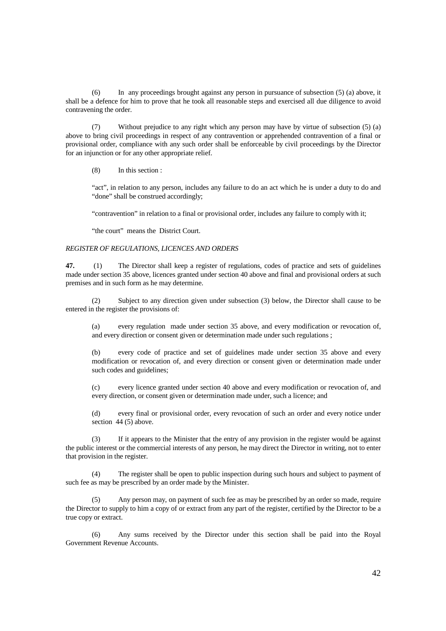(6) In any proceedings brought against any person in pursuance of subsection (5) (a) above, it shall be a defence for him to prove that he took all reasonable steps and exercised all due diligence to avoid contravening the order.

 (7) Without prejudice to any right which any person may have by virtue of subsection (5) (a) above to bring civil proceedings in respect of any contravention or apprehended contravention of a final or provisional order, compliance with any such order shall be enforceable by civil proceedings by the Director for an injunction or for any other appropriate relief.

(8) In this section :

"act", in relation to any person, includes any failure to do an act which he is under a duty to do and "done" shall be construed accordingly;

"contravention" in relation to a final or provisional order, includes any failure to comply with it;

"the court" means the District Court.

#### *REGISTER OF REGULATIONS, LICENCES AND ORDERS*

**47.** (1) The Director shall keep a register of regulations, codes of practice and sets of guidelines made under section 35 above, licences granted under section 40 above and final and provisional orders at such premises and in such form as he may determine.

 (2) Subject to any direction given under subsection (3) below, the Director shall cause to be entered in the register the provisions of:

(a) every regulation made under section 35 above, and every modification or revocation of, and every direction or consent given or determination made under such regulations ;

(b) every code of practice and set of guidelines made under section 35 above and every modification or revocation of, and every direction or consent given or determination made under such codes and guidelines;

(c) every licence granted under section 40 above and every modification or revocation of, and every direction, or consent given or determination made under, such a licence; and

(d) every final or provisional order, every revocation of such an order and every notice under section 44 (5) above.

 (3) If it appears to the Minister that the entry of any provision in the register would be against the public interest or the commercial interests of any person, he may direct the Director in writing, not to enter that provision in the register.

 (4) The register shall be open to public inspection during such hours and subject to payment of such fee as may be prescribed by an order made by the Minister.

Any person may, on payment of such fee as may be prescribed by an order so made, require the Director to supply to him a copy of or extract from any part of the register, certified by the Director to be a true copy or extract.

 (6) Any sums received by the Director under this section shall be paid into the Royal Government Revenue Accounts.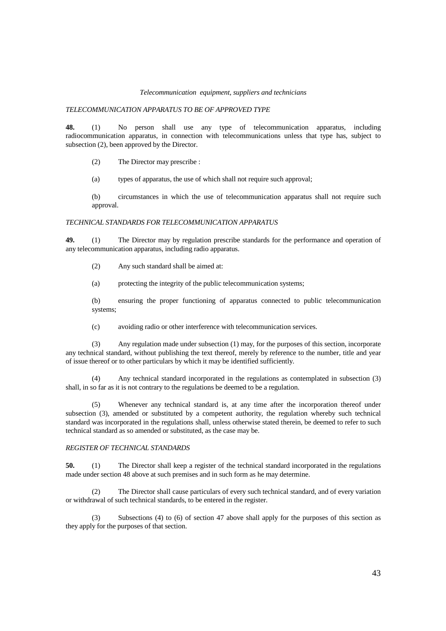#### *Telecommunication equipment, suppliers and technicians*

## *TELECOMMUNICATION APPARATUS TO BE OF APPROVED TYPE*

**48.** (1) No person shall use any type of telecommunication apparatus, including radiocommunication apparatus, in connection with telecommunications unless that type has, subject to subsection (2), been approved by the Director.

(2) The Director may prescribe :

(a) types of apparatus, the use of which shall not require such approval;

(b) circumstances in which the use of telecommunication apparatus shall not require such approval.

#### *TECHNICAL STANDARDS FOR TELECOMMUNICATION APPARATUS*

**49.** (1) The Director may by regulation prescribe standards for the performance and operation of any telecommunication apparatus, including radio apparatus.

(2) Any such standard shall be aimed at:

(a) protecting the integrity of the public telecommunication systems;

(b) ensuring the proper functioning of apparatus connected to public telecommunication systems;

(c) avoiding radio or other interference with telecommunication services.

 (3) Any regulation made under subsection (1) may, for the purposes of this section, incorporate any technical standard, without publishing the text thereof, merely by reference to the number, title and year of issue thereof or to other particulars by which it may be identified sufficiently.

 (4) Any technical standard incorporated in the regulations as contemplated in subsection (3) shall, in so far as it is not contrary to the regulations be deemed to be a regulation.

 (5) Whenever any technical standard is, at any time after the incorporation thereof under subsection (3), amended or substituted by a competent authority, the regulation whereby such technical standard was incorporated in the regulations shall, unless otherwise stated therein, be deemed to refer to such technical standard as so amended or substituted, as the case may be.

## *REGISTER OF TECHNICAL STANDARDS*

**50.** (1) The Director shall keep a register of the technical standard incorporated in the regulations made under section 48 above at such premises and in such form as he may determine.

 (2) The Director shall cause particulars of every such technical standard, and of every variation or withdrawal of such technical standards, to be entered in the register.

 (3) Subsections (4) to (6) of section 47 above shall apply for the purposes of this section as they apply for the purposes of that section.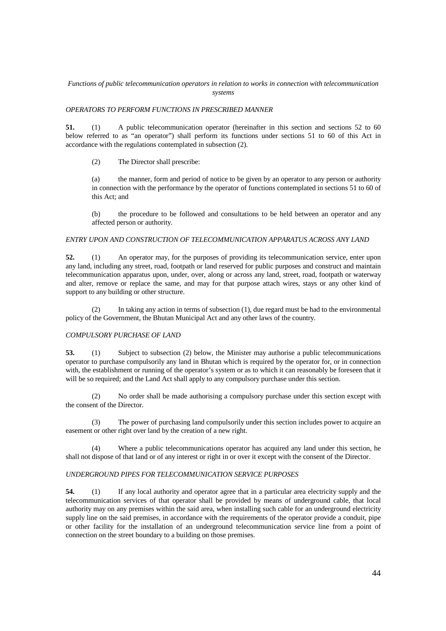## *Functions of public telecommunication operators in relation to works in connection with telecommunication systems*

## *OPERATORS TO PERFORM FUNCTIONS IN PRESCRIBED MANNER*

**51.** (1) A public telecommunication operator (hereinafter in this section and sections 52 to 60 below referred to as "an operator") shall perform its functions under sections 51 to 60 of this Act in accordance with the regulations contemplated in subsection (2).

(2) The Director shall prescribe:

(a) the manner, form and period of notice to be given by an operator to any person or authority in connection with the performance by the operator of functions contemplated in sections 51 to 60 of this Act; and

(b) the procedure to be followed and consultations to be held between an operator and any affected person or authority.

## *ENTRY UPON AND CONSTRUCTION OF TELECOMMUNICATION APPARATUS ACROSS ANY LAND*

**52.** (1) An operator may, for the purposes of providing its telecommunication service, enter upon any land, including any street, road, footpath or land reserved for public purposes and construct and maintain telecommunication apparatus upon, under, over, along or across any land, street, road, footpath or waterway and alter, remove or replace the same, and may for that purpose attach wires, stays or any other kind of support to any building or other structure.

 (2) In taking any action in terms of subsection (1), due regard must be had to the environmental policy of the Government, the Bhutan Municipal Act and any other laws of the country.

## *COMPULSORY PURCHASE OF LAND*

**53.** (1) Subject to subsection (2) below, the Minister may authorise a public telecommunications operator to purchase compulsorily any land in Bhutan which is required by the operator for, or in connection with, the establishment or running of the operator's system or as to which it can reasonably be foreseen that it will be so required; and the Land Act shall apply to any compulsory purchase under this section.

 (2) No order shall be made authorising a compulsory purchase under this section except with the consent of the Director.

 (3) The power of purchasing land compulsorily under this section includes power to acquire an easement or other right over land by the creation of a new right.

 (4) Where a public telecommunications operator has acquired any land under this section, he shall not dispose of that land or of any interest or right in or over it except with the consent of the Director.

## *UNDERGROUND PIPES FOR TELECOMMUNICATION SERVICE PURPOSES*

**54.** (1) If any local authority and operator agree that in a particular area electricity supply and the telecommunication services of that operator shall be provided by means of underground cable, that local authority may on any premises within the said area, when installing such cable for an underground electricity supply line on the said premises, in accordance with the requirements of the operator provide a conduit, pipe or other facility for the installation of an underground telecommunication service line from a point of connection on the street boundary to a building on those premises.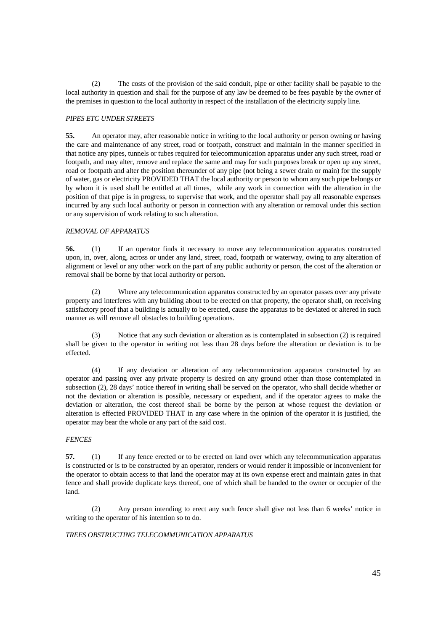(2) The costs of the provision of the said conduit, pipe or other facility shall be payable to the local authority in question and shall for the purpose of any law be deemed to be fees payable by the owner of the premises in question to the local authority in respect of the installation of the electricity supply line.

## *PIPES ETC UNDER STREETS*

**55.** An operator may, after reasonable notice in writing to the local authority or person owning or having the care and maintenance of any street, road or footpath, construct and maintain in the manner specified in that notice any pipes, tunnels or tubes required for telecommunication apparatus under any such street, road or footpath, and may alter, remove and replace the same and may for such purposes break or open up any street, road or footpath and alter the position thereunder of any pipe (not being a sewer drain or main) for the supply of water, gas or electricity PROVIDED THAT the local authority or person to whom any such pipe belongs or by whom it is used shall be entitled at all times, while any work in connection with the alteration in the position of that pipe is in progress, to supervise that work, and the operator shall pay all reasonable expenses incurred by any such local authority or person in connection with any alteration or removal under this section or any supervision of work relating to such alteration.

## *REMOVAL OF APPARATUS*

**56.** (1) If an operator finds it necessary to move any telecommunication apparatus constructed upon, in, over, along, across or under any land, street, road, footpath or waterway, owing to any alteration of alignment or level or any other work on the part of any public authority or person, the cost of the alteration or removal shall be borne by that local authority or person.

 (2) Where any telecommunication apparatus constructed by an operator passes over any private property and interferes with any building about to be erected on that property, the operator shall, on receiving satisfactory proof that a building is actually to be erected, cause the apparatus to be deviated or altered in such manner as will remove all obstacles to building operations.

Notice that any such deviation or alteration as is contemplated in subsection (2) is required shall be given to the operator in writing not less than 28 days before the alteration or deviation is to be effected.

 (4) If any deviation or alteration of any telecommunication apparatus constructed by an operator and passing over any private property is desired on any ground other than those contemplated in subsection (2), 28 days' notice thereof in writing shall be served on the operator, who shall decide whether or not the deviation or alteration is possible, necessary or expedient, and if the operator agrees to make the deviation or alteration, the cost thereof shall be borne by the person at whose request the deviation or alteration is effected PROVIDED THAT in any case where in the opinion of the operator it is justified, the operator may bear the whole or any part of the said cost.

## *FENCES*

**57.** (1) If any fence erected or to be erected on land over which any telecommunication apparatus is constructed or is to be constructed by an operator, renders or would render it impossible or inconvenient for the operator to obtain access to that land the operator may at its own expense erect and maintain gates in that fence and shall provide duplicate keys thereof, one of which shall be handed to the owner or occupier of the land.

 (2) Any person intending to erect any such fence shall give not less than 6 weeks' notice in writing to the operator of his intention so to do.

## *TREES OBSTRUCTING TELECOMMUNICATION APPARATUS*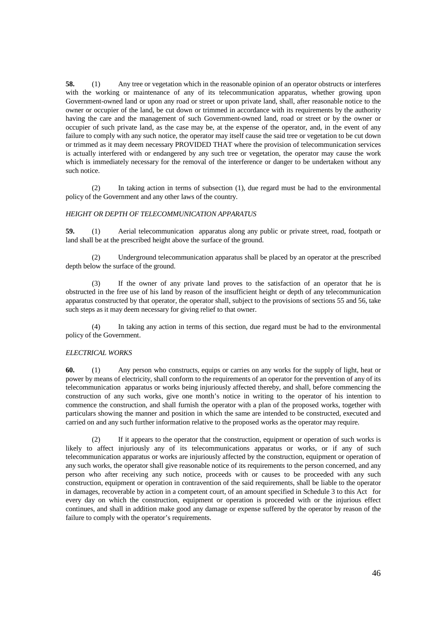**58.** (1) Any tree or vegetation which in the reasonable opinion of an operator obstructs or interferes with the working or maintenance of any of its telecommunication apparatus, whether growing upon Government-owned land or upon any road or street or upon private land, shall, after reasonable notice to the owner or occupier of the land, be cut down or trimmed in accordance with its requirements by the authority having the care and the management of such Government-owned land, road or street or by the owner or occupier of such private land, as the case may be, at the expense of the operator, and, in the event of any failure to comply with any such notice, the operator may itself cause the said tree or vegetation to be cut down or trimmed as it may deem necessary PROVIDED THAT where the provision of telecommunication services is actually interfered with or endangered by any such tree or vegetation, the operator may cause the work which is immediately necessary for the removal of the interference or danger to be undertaken without any such notice.

 (2) In taking action in terms of subsection (1), due regard must be had to the environmental policy of the Government and any other laws of the country.

## *HEIGHT OR DEPTH OF TELECOMMUNICATION APPARATUS*

**59.** (1) Aerial telecommunication apparatus along any public or private street, road, footpath or land shall be at the prescribed height above the surface of the ground.

 (2) Underground telecommunication apparatus shall be placed by an operator at the prescribed depth below the surface of the ground.

If the owner of any private land proves to the satisfaction of an operator that he is obstructed in the free use of his land by reason of the insufficient height or depth of any telecommunication apparatus constructed by that operator, the operator shall, subject to the provisions of sections 55 and 56, take such steps as it may deem necessary for giving relief to that owner.

 (4) In taking any action in terms of this section, due regard must be had to the environmental policy of the Government.

## *ELECTRICAL WORKS*

**60.** (1) Any person who constructs, equips or carries on any works for the supply of light, heat or power by means of electricity, shall conform to the requirements of an operator for the prevention of any of its telecommunication apparatus or works being injuriously affected thereby, and shall, before commencing the construction of any such works, give one month's notice in writing to the operator of his intention to commence the construction, and shall furnish the operator with a plan of the proposed works, together with particulars showing the manner and position in which the same are intended to be constructed, executed and carried on and any such further information relative to the proposed works as the operator may require.

 (2) If it appears to the operator that the construction, equipment or operation of such works is likely to affect injuriously any of its telecommunications apparatus or works, or if any of such telecommunication apparatus or works are injuriously affected by the construction, equipment or operation of any such works, the operator shall give reasonable notice of its requirements to the person concerned, and any person who after receiving any such notice, proceeds with or causes to be proceeded with any such construction, equipment or operation in contravention of the said requirements, shall be liable to the operator in damages, recoverable by action in a competent court, of an amount specified in Schedule 3 to this Act for every day on which the construction, equipment or operation is proceeded with or the injurious effect continues, and shall in addition make good any damage or expense suffered by the operator by reason of the failure to comply with the operator's requirements.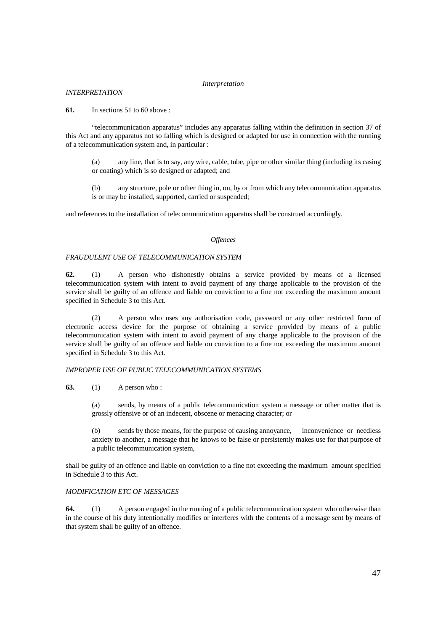#### *Interpretation*

## *INTERPRETATION*

**61.** In sections 51 to 60 above :

 "telecommunication apparatus" includes any apparatus falling within the definition in section 37 of this Act and any apparatus not so falling which is designed or adapted for use in connection with the running of a telecommunication system and, in particular :

(a) any line, that is to say, any wire, cable, tube, pipe or other similar thing (including its casing or coating) which is so designed or adapted; and

(b) any structure, pole or other thing in, on, by or from which any telecommunication apparatus is or may be installed, supported, carried or suspended;

and references to the installation of telecommunication apparatus shall be construed accordingly.

## *Offences*

#### *FRAUDULENT USE OF TELECOMMUNICATION SYSTEM*

**62.** (1) A person who dishonestly obtains a service provided by means of a licensed telecommunication system with intent to avoid payment of any charge applicable to the provision of the service shall be guilty of an offence and liable on conviction to a fine not exceeding the maximum amount specified in Schedule 3 to this Act.

 (2) A person who uses any authorisation code, password or any other restricted form of electronic access device for the purpose of obtaining a service provided by means of a public telecommunication system with intent to avoid payment of any charge applicable to the provision of the service shall be guilty of an offence and liable on conviction to a fine not exceeding the maximum amount specified in Schedule 3 to this Act.

## *IMPROPER USE OF PUBLIC TELECOMMUNICATION SYSTEMS*

## **63.** (1) A person who :

(a) sends, by means of a public telecommunication system a message or other matter that is grossly offensive or of an indecent, obscene or menacing character; or

(b) sends by those means, for the purpose of causing annoyance, inconvenience or needless anxiety to another, a message that he knows to be false or persistently makes use for that purpose of a public telecommunication system,

shall be guilty of an offence and liable on conviction to a fine not exceeding the maximum amount specified in Schedule 3 to this Act.

## *MODIFICATION ETC OF MESSAGES*

**64.** (1) A person engaged in the running of a public telecommunication system who otherwise than in the course of his duty intentionally modifies or interferes with the contents of a message sent by means of that system shall be guilty of an offence.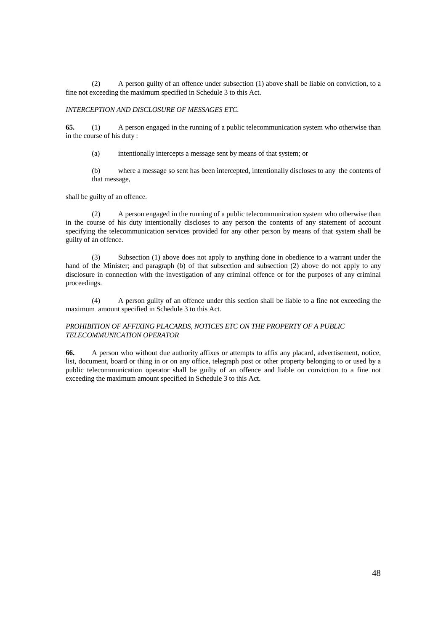(2) A person guilty of an offence under subsection (1) above shall be liable on conviction, to a fine not exceeding the maximum specified in Schedule 3 to this Act.

## *INTERCEPTION AND DISCLOSURE OF MESSAGES ETC.*

**65.** (1) A person engaged in the running of a public telecommunication system who otherwise than in the course of his duty :

(a) intentionally intercepts a message sent by means of that system; or

(b) where a message so sent has been intercepted, intentionally discloses to any the contents of that message,

shall be guilty of an offence.

 (2) A person engaged in the running of a public telecommunication system who otherwise than in the course of his duty intentionally discloses to any person the contents of any statement of account specifying the telecommunication services provided for any other person by means of that system shall be guilty of an offence.

 (3) Subsection (1) above does not apply to anything done in obedience to a warrant under the hand of the Minister; and paragraph (b) of that subsection and subsection (2) above do not apply to any disclosure in connection with the investigation of any criminal offence or for the purposes of any criminal proceedings.

 (4) A person guilty of an offence under this section shall be liable to a fine not exceeding the maximum amount specified in Schedule 3 to this Act.

## *PROHIBITION OF AFFIXING PLACARDS, NOTICES ETC ON THE PROPERTY OF A PUBLIC TELECOMMUNICATION OPERATOR*

**66.** A person who without due authority affixes or attempts to affix any placard, advertisement, notice, list, document, board or thing in or on any office, telegraph post or other property belonging to or used by a public telecommunication operator shall be guilty of an offence and liable on conviction to a fine not exceeding the maximum amount specified in Schedule 3 to this Act.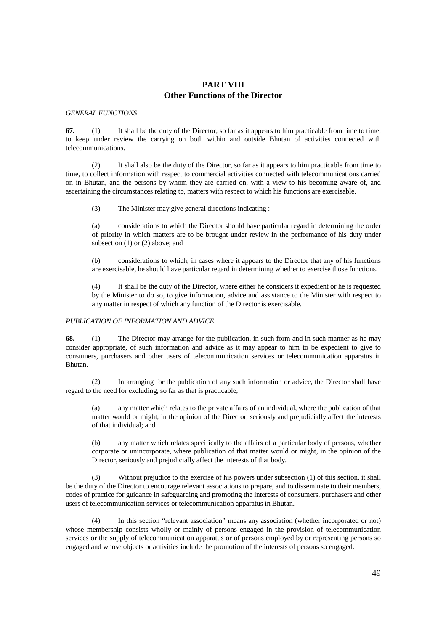## **PART VIII Other Functions of the Director**

*GENERAL FUNCTIONS* 

**67.** (1) It shall be the duty of the Director, so far as it appears to him practicable from time to time, to keep under review the carrying on both within and outside Bhutan of activities connected with telecommunications.

 (2) It shall also be the duty of the Director, so far as it appears to him practicable from time to time, to collect information with respect to commercial activities connected with telecommunications carried on in Bhutan, and the persons by whom they are carried on, with a view to his becoming aware of, and ascertaining the circumstances relating to, matters with respect to which his functions are exercisable.

(3) The Minister may give general directions indicating :

(a) considerations to which the Director should have particular regard in determining the order of priority in which matters are to be brought under review in the performance of his duty under subsection (1) or (2) above; and

(b) considerations to which, in cases where it appears to the Director that any of his functions are exercisable, he should have particular regard in determining whether to exercise those functions.

(4) It shall be the duty of the Director, where either he considers it expedient or he is requested by the Minister to do so, to give information, advice and assistance to the Minister with respect to any matter in respect of which any function of the Director is exercisable.

## *PUBLICATION OF INFORMATION AND ADVICE*

**68.** (1) The Director may arrange for the publication, in such form and in such manner as he may consider appropriate, of such information and advice as it may appear to him to be expedient to give to consumers, purchasers and other users of telecommunication services or telecommunication apparatus in Bhutan.

 (2) In arranging for the publication of any such information or advice, the Director shall have regard to the need for excluding, so far as that is practicable,

(a) any matter which relates to the private affairs of an individual, where the publication of that matter would or might, in the opinion of the Director, seriously and prejudicially affect the interests of that individual; and

(b) any matter which relates specifically to the affairs of a particular body of persons, whether corporate or unincorporate, where publication of that matter would or might, in the opinion of the Director, seriously and prejudicially affect the interests of that body.

 (3) Without prejudice to the exercise of his powers under subsection (1) of this section, it shall be the duty of the Director to encourage relevant associations to prepare, and to disseminate to their members, codes of practice for guidance in safeguarding and promoting the interests of consumers, purchasers and other users of telecommunication services or telecommunication apparatus in Bhutan.

 (4) In this section "relevant association" means any association (whether incorporated or not) whose membership consists wholly or mainly of persons engaged in the provision of telecommunication services or the supply of telecommunication apparatus or of persons employed by or representing persons so engaged and whose objects or activities include the promotion of the interests of persons so engaged.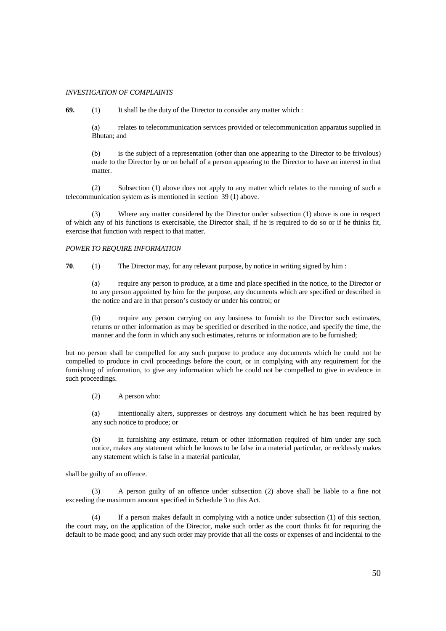#### *INVESTIGATION OF COMPLAINTS*

**69.** (1) It shall be the duty of the Director to consider any matter which :

(a) relates to telecommunication services provided or telecommunication apparatus supplied in Bhutan; and

(b) is the subject of a representation (other than one appearing to the Director to be frivolous) made to the Director by or on behalf of a person appearing to the Director to have an interest in that matter.

 (2) Subsection (1) above does not apply to any matter which relates to the running of such a telecommunication system as is mentioned in section 39 (1) above.

 (3) Where any matter considered by the Director under subsection (1) above is one in respect of which any of his functions is exercisable, the Director shall, if he is required to do so or if he thinks fit, exercise that function with respect to that matter.

## *POWER TO REQUIRE INFORMATION*

**70**. (1) The Director may, for any relevant purpose, by notice in writing signed by him :

(a) require any person to produce, at a time and place specified in the notice, to the Director or to any person appointed by him for the purpose, any documents which are specified or described in the notice and are in that person's custody or under his control; or

(b) require any person carrying on any business to furnish to the Director such estimates, returns or other information as may be specified or described in the notice, and specify the time, the manner and the form in which any such estimates, returns or information are to be furnished;

but no person shall be compelled for any such purpose to produce any documents which he could not be compelled to produce in civil proceedings before the court, or in complying with any requirement for the furnishing of information, to give any information which he could not be compelled to give in evidence in such proceedings.

(2) A person who:

(a) intentionally alters, suppresses or destroys any document which he has been required by any such notice to produce; or

(b) in furnishing any estimate, return or other information required of him under any such notice, makes any statement which he knows to be false in a material particular, or recklessly makes any statement which is false in a material particular,

shall be guilty of an offence.

 (3) A person guilty of an offence under subsection (2) above shall be liable to a fine not exceeding the maximum amount specified in Schedule 3 to this Act.

 (4) If a person makes default in complying with a notice under subsection (1) of this section, the court may, on the application of the Director, make such order as the court thinks fit for requiring the default to be made good; and any such order may provide that all the costs or expenses of and incidental to the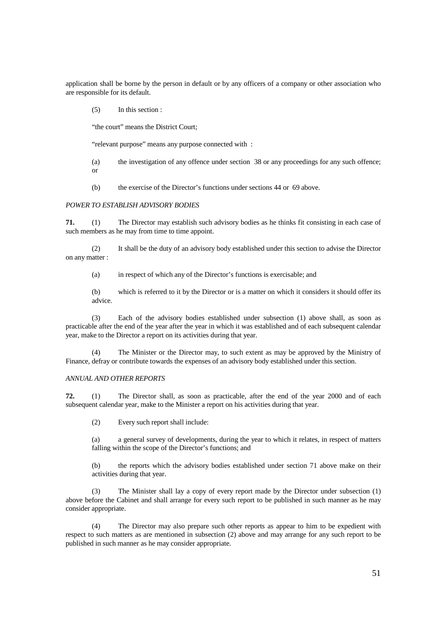application shall be borne by the person in default or by any officers of a company or other association who are responsible for its default.

(5) In this section :

"the court" means the District Court;

"relevant purpose" means any purpose connected with :

(a) the investigation of any offence under section 38 or any proceedings for any such offence; or

(b) the exercise of the Director's functions under sections 44 or 69 above.

## *POWER TO ESTABLISH ADVISORY BODIES*

**71.** (1) The Director may establish such advisory bodies as he thinks fit consisting in each case of such members as he may from time to time appoint.

 (2) It shall be the duty of an advisory body established under this section to advise the Director on any matter :

(a) in respect of which any of the Director's functions is exercisable; and

(b) which is referred to it by the Director or is a matter on which it considers it should offer its advice.

 (3) Each of the advisory bodies established under subsection (1) above shall, as soon as practicable after the end of the year after the year in which it was established and of each subsequent calendar year, make to the Director a report on its activities during that year.

The Minister or the Director may, to such extent as may be approved by the Ministry of Finance, defray or contribute towards the expenses of an advisory body established under this section.

#### *ANNUAL AND OTHER REPORTS*

**72.** (1) The Director shall, as soon as practicable, after the end of the year 2000 and of each subsequent calendar year, make to the Minister a report on his activities during that year.

(2) Every such report shall include:

(a) a general survey of developments, during the year to which it relates, in respect of matters falling within the scope of the Director's functions; and

(b) the reports which the advisory bodies established under section 71 above make on their activities during that year.

 (3) The Minister shall lay a copy of every report made by the Director under subsection (1) above before the Cabinet and shall arrange for every such report to be published in such manner as he may consider appropriate.

 (4) The Director may also prepare such other reports as appear to him to be expedient with respect to such matters as are mentioned in subsection (2) above and may arrange for any such report to be published in such manner as he may consider appropriate.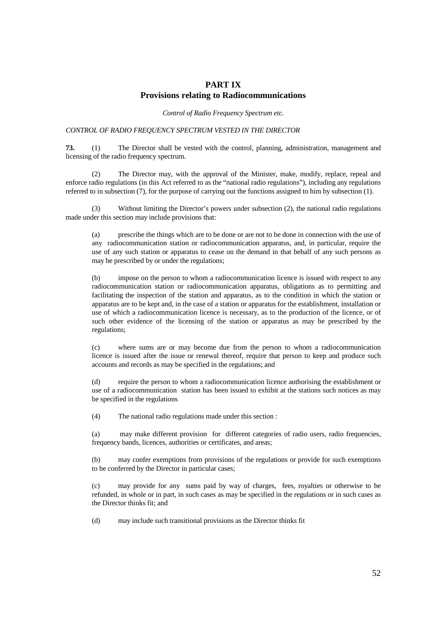## **PART IX Provisions relating to Radiocommunications**

*Control of Radio Frequency Spectrum etc.*

## *CONTROL OF RADIO FREQUENCY SPECTRUM VESTED IN THE DIRECTOR*

**73.** (1) The Director shall be vested with the control, planning, administration, management and licensing of the radio frequency spectrum.

 (2) The Director may, with the approval of the Minister, make, modify, replace, repeal and enforce radio regulations (in this Act referred to as the "national radio regulations"), including any regulations referred to in subsection (7), for the purpose of carrying out the functions assigned to him by subsection (1).

 (3) Without limiting the Director's powers under subsection (2), the national radio regulations made under this section may include provisions that:

(a) prescribe the things which are to be done or are not to be done in connection with the use of any radiocommunication station or radiocommunication apparatus, and, in particular, require the use of any such station or apparatus to cease on the demand in that behalf of any such persons as may be prescribed by or under the regulations;

(b) impose on the person to whom a radiocommunication licence is issued with respect to any radiocommunication station or radiocommunication apparatus, obligations as to permitting and facilitating the inspection of the station and apparatus, as to the condition in which the station or apparatus are to be kept and, in the case of a station or apparatus for the establishment, installation or use of which a radiocommunication licence is necessary, as to the production of the licence, or of such other evidence of the licensing of the station or apparatus as may be prescribed by the regulations;

(c) where sums are or may become due from the person to whom a radiocommunication licence is issued after the issue or renewal thereof, require that person to keep and produce such accounts and records as may be specified in the regulations; and

(d) require the person to whom a radiocommunication licence authorising the establishment or use of a radiocommunication station has been issued to exhibit at the stations such notices as may be specified in the regulations

(4) The national radio regulations made under this section :

(a) may make different provision for different categories of radio users, radio frequencies, frequency bands, licences, authorities or certificates, and areas;

(b) may confer exemptions from provisions of the regulations or provide for such exemptions to be conferred by the Director in particular cases;

(c) may provide for any sums paid by way of charges, fees, royalties or otherwise to be refunded, in whole or in part, in such cases as may be specified in the regulations or in such cases as the Director thinks fit; and

(d) may include such transitional provisions as the Director thinks fit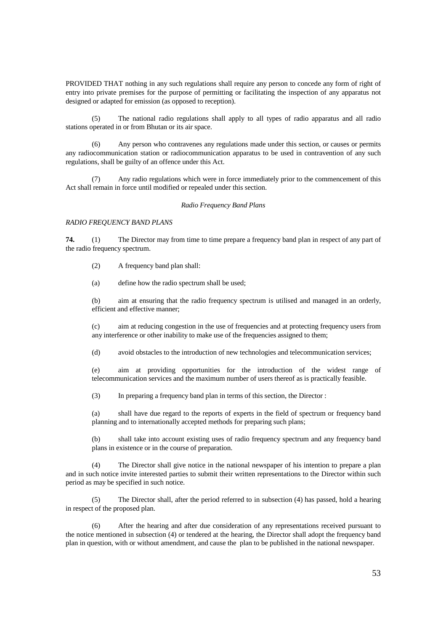PROVIDED THAT nothing in any such regulations shall require any person to concede any form of right of entry into private premises for the purpose of permitting or facilitating the inspection of any apparatus not designed or adapted for emission (as opposed to reception).

 (5) The national radio regulations shall apply to all types of radio apparatus and all radio stations operated in or from Bhutan or its air space.

 (6) Any person who contravenes any regulations made under this section, or causes or permits any radiocommunication station or radiocommunication apparatus to be used in contravention of any such regulations, shall be guilty of an offence under this Act.

 (7) Any radio regulations which were in force immediately prior to the commencement of this Act shall remain in force until modified or repealed under this section.

#### *Radio Frequency Band Plans*

## *RADIO FREQUENCY BAND PLANS*

**74.** (1) The Director may from time to time prepare a frequency band plan in respect of any part of the radio frequency spectrum.

(2) A frequency band plan shall:

(a) define how the radio spectrum shall be used;

(b) aim at ensuring that the radio frequency spectrum is utilised and managed in an orderly, efficient and effective manner;

(c) aim at reducing congestion in the use of frequencies and at protecting frequency users from any interference or other inability to make use of the frequencies assigned to them;

(d) avoid obstacles to the introduction of new technologies and telecommunication services;

(e) aim at providing opportunities for the introduction of the widest range of telecommunication services and the maximum number of users thereof as is practically feasible.

(3) In preparing a frequency band plan in terms of this section, the Director :

(a) shall have due regard to the reports of experts in the field of spectrum or frequency band planning and to internationally accepted methods for preparing such plans;

(b) shall take into account existing uses of radio frequency spectrum and any frequency band plans in existence or in the course of preparation.

 (4) The Director shall give notice in the national newspaper of his intention to prepare a plan and in such notice invite interested parties to submit their written representations to the Director within such period as may be specified in such notice.

 (5) The Director shall, after the period referred to in subsection (4) has passed, hold a hearing in respect of the proposed plan.

 (6) After the hearing and after due consideration of any representations received pursuant to the notice mentioned in subsection (4) or tendered at the hearing, the Director shall adopt the frequency band plan in question, with or without amendment, and cause the plan to be published in the national newspaper.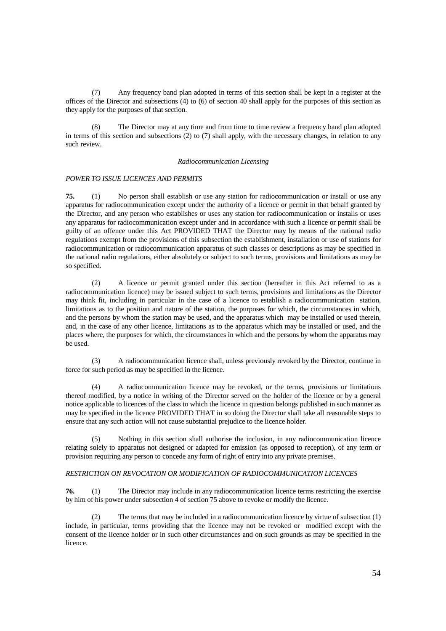(7) Any frequency band plan adopted in terms of this section shall be kept in a register at the offices of the Director and subsections (4) to (6) of section 40 shall apply for the purposes of this section as they apply for the purposes of that section.

(8) The Director may at any time and from time to time review a frequency band plan adopted in terms of this section and subsections (2) to (7) shall apply, with the necessary changes, in relation to any such review.

#### *Radiocommunication Licensing*

#### *POWER TO ISSUE LICENCES AND PERMITS*

**75.** (1) No person shall establish or use any station for radiocommunication or install or use any apparatus for radiocommunication except under the authority of a licence or permit in that behalf granted by the Director, and any person who establishes or uses any station for radiocommunication or installs or uses any apparatus for radiocommunication except under and in accordance with such a licence or permit shall be guilty of an offence under this Act PROVIDED THAT the Director may by means of the national radio regulations exempt from the provisions of this subsection the establishment, installation or use of stations for radiocommunication or radiocommunication apparatus of such classes or descriptions as may be specified in the national radio regulations, either absolutely or subject to such terms, provisions and limitations as may be so specified.

 (2) A licence or permit granted under this section (hereafter in this Act referred to as a radiocommunication licence) may be issued subject to such terms, provisions and limitations as the Director may think fit, including in particular in the case of a licence to establish a radiocommunication station, limitations as to the position and nature of the station, the purposes for which, the circumstances in which, and the persons by whom the station may be used, and the apparatus which may be installed or used therein, and, in the case of any other licence, limitations as to the apparatus which may be installed or used, and the places where, the purposes for which, the circumstances in which and the persons by whom the apparatus may be used.

 (3) A radiocommunication licence shall, unless previously revoked by the Director, continue in force for such period as may be specified in the licence.

 (4) A radiocommunication licence may be revoked, or the terms, provisions or limitations thereof modified, by a notice in writing of the Director served on the holder of the licence or by a general notice applicable to licences of the class to which the licence in question belongs published in such manner as may be specified in the licence PROVIDED THAT in so doing the Director shall take all reasonable steps to ensure that any such action will not cause substantial prejudice to the licence holder.

 (5) Nothing in this section shall authorise the inclusion, in any radiocommunication licence relating solely to apparatus not designed or adapted for emission (as opposed to reception), of any term or provision requiring any person to concede any form of right of entry into any private premises.

## *RESTRICTION ON REVOCATION OR MODIFICATION OF RADIOCOMMUNICATION LICENCES*

**76.** (1) The Director may include in any radiocommunication licence terms restricting the exercise by him of his power under subsection 4 of section 75 above to revoke or modify the licence.

 (2) The terms that may be included in a radiocommunication licence by virtue of subsection (1) include, in particular, terms providing that the licence may not be revoked or modified except with the consent of the licence holder or in such other circumstances and on such grounds as may be specified in the licence.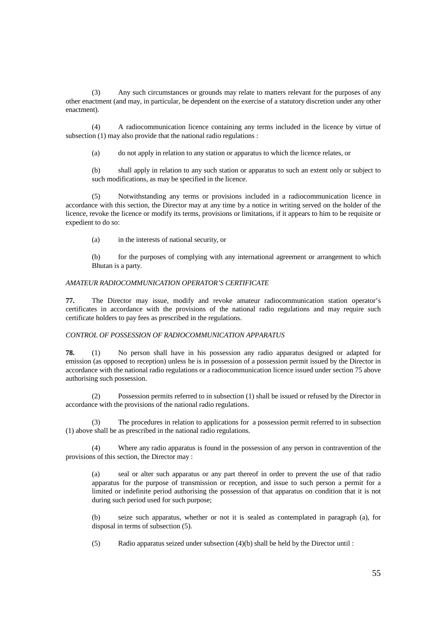(3) Any such circumstances or grounds may relate to matters relevant for the purposes of any other enactment (and may, in particular, be dependent on the exercise of a statutory discretion under any other enactment).

 (4) A radiocommunication licence containing any terms included in the licence by virtue of subsection (1) may also provide that the national radio regulations :

(a) do not apply in relation to any station or apparatus to which the licence relates, or

(b) shall apply in relation to any such station or apparatus to such an extent only or subject to such modifications, as may be specified in the licence.

 (5) Notwithstanding any terms or provisions included in a radiocommunication licence in accordance with this section, the Director may at any time by a notice in writing served on the holder of the licence, revoke the licence or modify its terms, provisions or limitations, if it appears to him to be requisite or expedient to do so:

(a) in the interests of national security, or

(b) for the purposes of complying with any international agreement or arrangement to which Bhutan is a party.

## *AMATEUR RADIOCOMMUNICATION OPERATOR'S CERTIFICATE*

**77.** The Director may issue, modify and revoke amateur radiocommunication station operator's certificates in accordance with the provisions of the national radio regulations and may require such certificate holders to pay fees as prescribed in the regulations.

## *CONTROL OF POSSESSION OF RADIOCOMMUNICATION APPARATUS*

**78.** (1) No person shall have in his possession any radio apparatus designed or adapted for emission (as opposed to reception) unless he is in possession of a possession permit issued by the Director in accordance with the national radio regulations or a radiocommunication licence issued under section 75 above authorising such possession.

 (2) Possession permits referred to in subsection (1) shall be issued or refused by the Director in accordance with the provisions of the national radio regulations.

 (3) The procedures in relation to applications for a possession permit referred to in subsection (1) above shall be as prescribed in the national radio regulations.

 (4) Where any radio apparatus is found in the possession of any person in contravention of the provisions of this section, the Director may :

(a) seal or alter such apparatus or any part thereof in order to prevent the use of that radio apparatus for the purpose of transmission or reception, and issue to such person a permit for a limited or indefinite period authorising the possession of that apparatus on condition that it is not during such period used for such purpose;

(b) seize such apparatus, whether or not it is sealed as contemplated in paragraph (a), for disposal in terms of subsection (5).

(5) Radio apparatus seized under subsection (4)(b) shall be held by the Director until :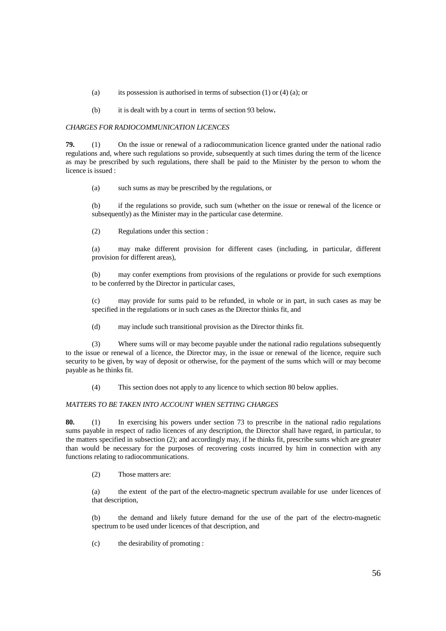- (a) its possession is authorised in terms of subsection  $(1)$  or  $(4)$   $(a)$ ; or
- (b) it is dealt with by a court in terms of section 93 below**.**

## *CHARGES FOR RADIOCOMMUNICATION LICENCES*

**79.** (1) On the issue or renewal of a radiocommunication licence granted under the national radio regulations and, where such regulations so provide, subsequently at such times during the term of the licence as may be prescribed by such regulations, there shall be paid to the Minister by the person to whom the licence is issued :

(a) such sums as may be prescribed by the regulations, or

(b) if the regulations so provide, such sum (whether on the issue or renewal of the licence or subsequently) as the Minister may in the particular case determine.

(2) Regulations under this section :

(a) may make different provision for different cases (including, in particular, different provision for different areas),

(b) may confer exemptions from provisions of the regulations or provide for such exemptions to be conferred by the Director in particular cases,

(c) may provide for sums paid to be refunded, in whole or in part, in such cases as may be specified in the regulations or in such cases as the Director thinks fit, and

(d) may include such transitional provision as the Director thinks fit.

 (3) Where sums will or may become payable under the national radio regulations subsequently to the issue or renewal of a licence, the Director may, in the issue or renewal of the licence, require such security to be given, by way of deposit or otherwise, for the payment of the sums which will or may become payable as he thinks fit.

(4) This section does not apply to any licence to which section 80 below applies.

## *MATTERS TO BE TAKEN INTO ACCOUNT WHEN SETTING CHARGES*

**80.** (1) In exercising his powers under section 73 to prescribe in the national radio regulations sums payable in respect of radio licences of any description, the Director shall have regard, in particular, to the matters specified in subsection (2); and accordingly may, if he thinks fit, prescribe sums which are greater than would be necessary for the purposes of recovering costs incurred by him in connection with any functions relating to radiocommunications.

(2) Those matters are:

(a) the extent of the part of the electro-magnetic spectrum available for use under licences of that description,

(b) the demand and likely future demand for the use of the part of the electro-magnetic spectrum to be used under licences of that description, and

(c) the desirability of promoting :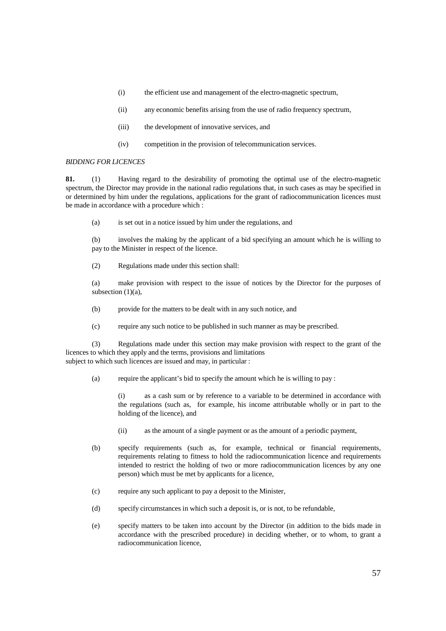- (i) the efficient use and management of the electro-magnetic spectrum,
- (ii) any economic benefits arising from the use of radio frequency spectrum,
- (iii) the development of innovative services, and
- (iv) competition in the provision of telecommunication services.

## *BIDDING FOR LICENCES*

**81.** (1) Having regard to the desirability of promoting the optimal use of the electro-magnetic spectrum, the Director may provide in the national radio regulations that, in such cases as may be specified in or determined by him under the regulations, applications for the grant of radiocommunication licences must be made in accordance with a procedure which :

(a) is set out in a notice issued by him under the regulations, and

(b) involves the making by the applicant of a bid specifying an amount which he is willing to pay to the Minister in respect of the licence.

(2) Regulations made under this section shall:

(a) make provision with respect to the issue of notices by the Director for the purposes of subsection (1)(a),

- (b) provide for the matters to be dealt with in any such notice, and
- (c) require any such notice to be published in such manner as may be prescribed.

 (3) Regulations made under this section may make provision with respect to the grant of the licences to which they apply and the terms, provisions and limitations subject to which such licences are issued and may, in particular :

(a) require the applicant's bid to specify the amount which he is willing to pay :

(i) as a cash sum or by reference to a variable to be determined in accordance with the regulations (such as, for example, his income attributable wholly or in part to the holding of the licence), and

- (ii) as the amount of a single payment or as the amount of a periodic payment,
- (b) specify requirements (such as, for example, technical or financial requirements, requirements relating to fitness to hold the radiocommunication licence and requirements intended to restrict the holding of two or more radiocommunication licences by any one person) which must be met by applicants for a licence,
- (c) require any such applicant to pay a deposit to the Minister,
- (d) specify circumstances in which such a deposit is, or is not, to be refundable,
- (e) specify matters to be taken into account by the Director (in addition to the bids made in accordance with the prescribed procedure) in deciding whether, or to whom, to grant a radiocommunication licence,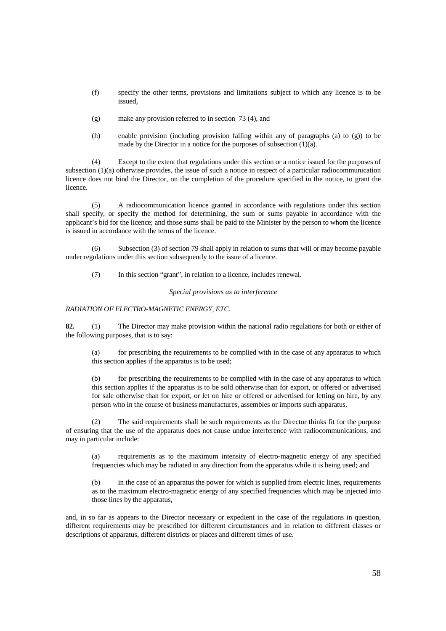- (f) specify the other terms, provisions and limitations subject to which any licence is to be issued,
- (g) make any provision referred to in section 73 (4), and
- (h) enable provision (including provision falling within any of paragraphs (a) to (g)) to be made by the Director in a notice for the purposes of subsection  $(1)(a)$ .

 (4) Except to the extent that regulations under this section or a notice issued for the purposes of subsection (1)(a) otherwise provides, the issue of such a notice in respect of a particular radiocommunication licence does not bind the Director, on the completion of the procedure specified in the notice, to grant the licence.

 (5) A radiocommunication licence granted in accordance with regulations under this section shall specify, or specify the method for determining, the sum or sums payable in accordance with the applicant's bid for the licence; and those sums shall be paid to the Minister by the person to whom the licence is issued in accordance with the terms of the licence.

 (6) Subsection (3) of section 79 shall apply in relation to sums that will or may become payable under regulations under this section subsequently to the issue of a licence.

(7) In this section "grant", in relation to a licence, includes renewal.

*Special provisions as to interference* 

## *RADIATION OF ELECTRO-MAGNETIC ENERGY, ETC.*

**82.** (1) The Director may make provision within the national radio regulations for both or either of the following purposes, that is to say:

(a) for prescribing the requirements to be complied with in the case of any apparatus to which this section applies if the apparatus is to be used;

(b) for prescribing the requirements to be complied with in the case of any apparatus to which this section applies if the apparatus is to be sold otherwise than for export, or offered or advertised for sale otherwise than for export, or let on hire or offered or advertised for letting on hire, by any person who in the course of business manufactures, assembles or imports such apparatus.

 (2) The said requirements shall be such requirements as the Director thinks fit for the purpose of ensuring that the use of the apparatus does not cause undue interference with radiocommunications, and may in particular include:

(a) requirements as to the maximum intensity of electro-magnetic energy of any specified frequencies which may be radiated in any direction from the apparatus while it is being used; and

(b) in the case of an apparatus the power for which is supplied from electric lines, requirements as to the maximum electro-magnetic energy of any specified frequencies which may be injected into those lines by the apparatus,

and, in so far as appears to the Director necessary or expedient in the case of the regulations in question, different requirements may be prescribed for different circumstances and in relation to different classes or descriptions of apparatus, different districts or places and different times of use.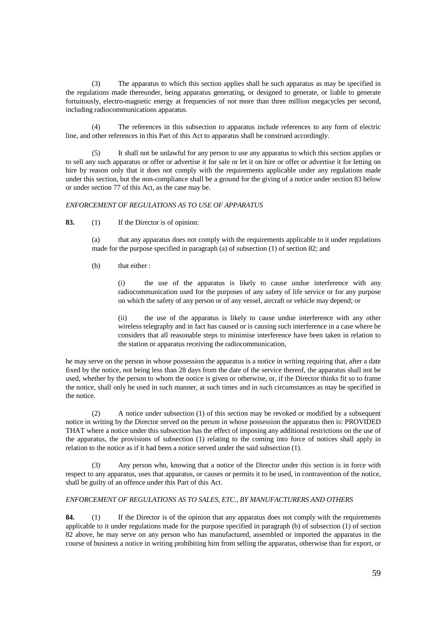(3) The apparatus to which this section applies shall be such apparatus as may be specified in the regulations made thereunder, being apparatus generating, or designed to generate, or liable to generate fortuitously, electro-magnetic energy at frequencies of not more than three million megacycles per second, including radiocommunications apparatus.

 (4) The references in this subsection to apparatus include references to any form of electric line, and other references in this Part of this Act to apparatus shall be construed accordingly.

 (5) It shall not be unlawful for any person to use any apparatus to which this section applies or to sell any such apparatus or offer or advertise it for sale or let it on hire or offer or advertise it for letting on hire by reason only that it does not comply with the requirements applicable under any regulations made under this section, but the non-compliance shall be a ground for the giving of a notice under section 83 below or under section 77 of this Act, as the case may be.

## *ENFORCEMENT OF REGULATIONS AS TO USE OF APPARATUS*

**83.** (1) If the Director is of opinion:

(a) that any apparatus does not comply with the requirements applicable to it under regulations made for the purpose specified in paragraph (a) of subsection (1) of section 82; and

(b) that either :

(i) the use of the apparatus is likely to cause undue interference with any radiocommunication used for the purposes of any safety of life service or for any purpose on which the safety of any person or of any vessel, aircraft or vehicle may depend; or

(ii) the use of the apparatus is likely to cause undue interference with any other wireless telegraphy and in fact has caused or is causing such interference in a case where he considers that all reasonable steps to minimise interference have been taken in relation to the station or apparatus receiving the radiocommunication,

he may serve on the person in whose possession the apparatus is a notice in writing requiring that, after a date fixed by the notice, not being less than 28 days from the date of the service thereof, the apparatus shall not be used, whether by the person to whom the notice is given or otherwise, or, if the Director thinks fit so to frame the notice, shall only be used in such manner, at such times and in such circumstances as may be specified in the notice.

 (2) A notice under subsection (1) of this section may be revoked or modified by a subsequent notice in writing by the Director served on the person in whose possession the apparatus then is: PROVIDED THAT where a notice under this subsection has the effect of imposing any additional restrictions on the use of the apparatus, the provisions of subsection (1) relating to the coming into force of notices shall apply in relation to the notice as if it had been a notice served under the said subsection (1).

 (3) Any person who, knowing that a notice of the Director under this section is in force with respect to any apparatus, uses that apparatus, or causes or permits it to be used, in contravention of the notice, shall be guilty of an offence under this Part of this Act.

## *ENFORCEMENT OF REGULATIONS AS TO SALES, ETC., BY MANUFACTURERS AND OTHERS*

84. (1) If the Director is of the opinion that any apparatus does not comply with the requirements applicable to it under regulations made for the purpose specified in paragraph (b) of subsection (1) of section 82 above, he may serve on any person who has manufactured, assembled or imported the apparatus in the course of business a notice in writing prohibiting him from selling the apparatus, otherwise than for export, or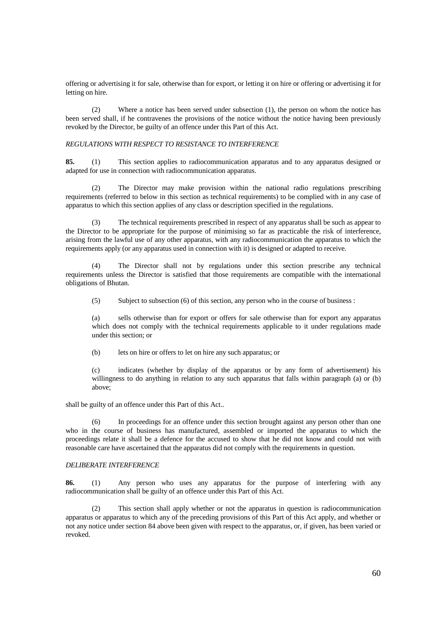offering or advertising it for sale, otherwise than for export, or letting it on hire or offering or advertising it for letting on hire.

 (2) Where a notice has been served under subsection (1), the person on whom the notice has been served shall, if he contravenes the provisions of the notice without the notice having been previously revoked by the Director, be guilty of an offence under this Part of this Act.

## *REGULATIONS WITH RESPECT TO RESISTANCE TO INTERFERENCE*

**85.** (1) This section applies to radiocommunication apparatus and to any apparatus designed or adapted for use in connection with radiocommunication apparatus.

 (2) The Director may make provision within the national radio regulations prescribing requirements (referred to below in this section as technical requirements) to be complied with in any case of apparatus to which this section applies of any class or description specified in the regulations.

 (3) The technical requirements prescribed in respect of any apparatus shall be such as appear to the Director to be appropriate for the purpose of minimising so far as practicable the risk of interference, arising from the lawful use of any other apparatus, with any radiocommunication the apparatus to which the requirements apply (or any apparatus used in connection with it) is designed or adapted to receive.

 (4) The Director shall not by regulations under this section prescribe any technical requirements unless the Director is satisfied that those requirements are compatible with the international obligations of Bhutan.

(5) Subject to subsection (6) of this section, any person who in the course of business :

(a) sells otherwise than for export or offers for sale otherwise than for export any apparatus which does not comply with the technical requirements applicable to it under regulations made under this section; or

(b) lets on hire or offers to let on hire any such apparatus; or

(c) indicates (whether by display of the apparatus or by any form of advertisement) his willingness to do anything in relation to any such apparatus that falls within paragraph (a) or (b) above;

shall be guilty of an offence under this Part of this Act..

 (6) In proceedings for an offence under this section brought against any person other than one who in the course of business has manufactured, assembled or imported the apparatus to which the proceedings relate it shall be a defence for the accused to show that he did not know and could not with reasonable care have ascertained that the apparatus did not comply with the requirements in question.

## *DELIBERATE INTERFERENCE*

**86.** (1) Any person who uses any apparatus for the purpose of interfering with any radiocommunication shall be guilty of an offence under this Part of this Act.

 (2) This section shall apply whether or not the apparatus in question is radiocommunication apparatus or apparatus to which any of the preceding provisions of this Part of this Act apply, and whether or not any notice under section 84 above been given with respect to the apparatus, or, if given, has been varied or revoked.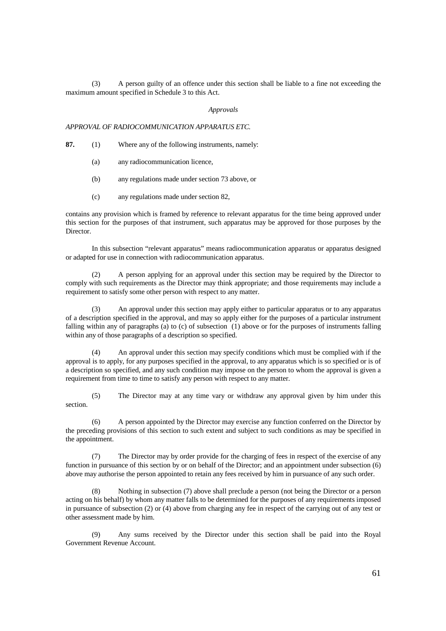(3) A person guilty of an offence under this section shall be liable to a fine not exceeding the maximum amount specified in Schedule 3 to this Act.

#### *Approvals*

*APPROVAL OF RADIOCOMMUNICATION APPARATUS ETC.* 

- **87.** (1) Where any of the following instruments, namely:
	- (a) any radiocommunication licence,
	- (b) any regulations made under section 73 above, or
	- (c) any regulations made under section 82,

contains any provision which is framed by reference to relevant apparatus for the time being approved under this section for the purposes of that instrument, such apparatus may be approved for those purposes by the Director.

 In this subsection "relevant apparatus" means radiocommunication apparatus or apparatus designed or adapted for use in connection with radiocommunication apparatus.

 (2) A person applying for an approval under this section may be required by the Director to comply with such requirements as the Director may think appropriate; and those requirements may include a requirement to satisfy some other person with respect to any matter.

 (3) An approval under this section may apply either to particular apparatus or to any apparatus of a description specified in the approval, and may so apply either for the purposes of a particular instrument falling within any of paragraphs (a) to (c) of subsection (1) above or for the purposes of instruments falling within any of those paragraphs of a description so specified.

 (4) An approval under this section may specify conditions which must be complied with if the approval is to apply, for any purposes specified in the approval, to any apparatus which is so specified or is of a description so specified, and any such condition may impose on the person to whom the approval is given a requirement from time to time to satisfy any person with respect to any matter.

 (5) The Director may at any time vary or withdraw any approval given by him under this section.

 (6) A person appointed by the Director may exercise any function conferred on the Director by the preceding provisions of this section to such extent and subject to such conditions as may be specified in the appointment.

 (7) The Director may by order provide for the charging of fees in respect of the exercise of any function in pursuance of this section by or on behalf of the Director; and an appointment under subsection (6) above may authorise the person appointed to retain any fees received by him in pursuance of any such order.

 (8) Nothing in subsection (7) above shall preclude a person (not being the Director or a person acting on his behalf) by whom any matter falls to be determined for the purposes of any requirements imposed in pursuance of subsection (2) or (4) above from charging any fee in respect of the carrying out of any test or other assessment made by him.

 (9) Any sums received by the Director under this section shall be paid into the Royal Government Revenue Account.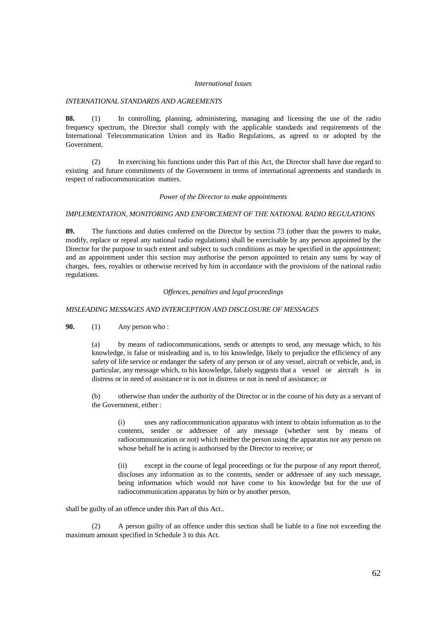#### *International Issues*

#### *INTERNATIONAL STANDARDS AND AGREEMENTS*

**88.** (1) In controlling, planning, administering, managing and licensing the use of the radio frequency spectrum, the Director shall comply with the applicable standards and requirements of the International Telecommunication Union and its Radio Regulations, as agreed to or adopted by the Government.

 (2) In exercising his functions under this Part of this Act, the Director shall have due regard to existing and future commitments of the Government in terms of international agreements and standards in respect of radiocommunication matters.

#### *Power of the Director to make appointments*

## *IMPLEMENTATION, MONITORING AND ENFORCEMENT OF THE NATIONAL RADIO REGULATIONS*

**89.** The functions and duties conferred on the Director by section 73 (other than the powers to make, modify, replace or repeal any national radio regulations) shall be exercisable by any person appointed by the Director for the purpose to such extent and subject to such conditions as may be specified in the appointment; and an appointment under this section may authorise the person appointed to retain any sums by way of charges, fees, royalties or otherwise received by him in accordance with the provisions of the national radio regulations.

#### *Offences, penalties and legal proceedings*

## *MISLEADING MESSAGES AND INTERCEPTION AND DISCLOSURE OF MESSAGES*

**90.** (1) Any person who :

(a) by means of radiocommunications, sends or attempts to send, any message which, to his knowledge, is false or misleading and is, to his knowledge, likely to prejudice the efficiency of any safety of life service or endanger the safety of any person or of any vessel, aircraft or vehicle, and, in particular, any message which, to his knowledge, falsely suggests that a vessel or aircraft is in distress or in need of assistance or is not in distress or not in need of assistance; or

(b) otherwise than under the authority of the Director or in the course of his duty as a servant of the Government, either :

(i) uses any radiocommunication apparatus with intent to obtain information as to the contents, sender or addressee of any message (whether sent by means of radiocommunication or not) which neither the person using the apparatus nor any person on whose behalf he is acting is authorised by the Director to receive; or

(ii) except in the course of legal proceedings or for the purpose of any report thereof, discloses any information as to the contents, sender or addressee of any such message, being information which would not have come to his knowledge but for the use of radiocommunication apparatus by him or by another person,

shall be guilty of an offence under this Part of this Act..

 (2) A person guilty of an offence under this section shall be liable to a fine not exceeding the maximum amount specified in Schedule 3 to this Act.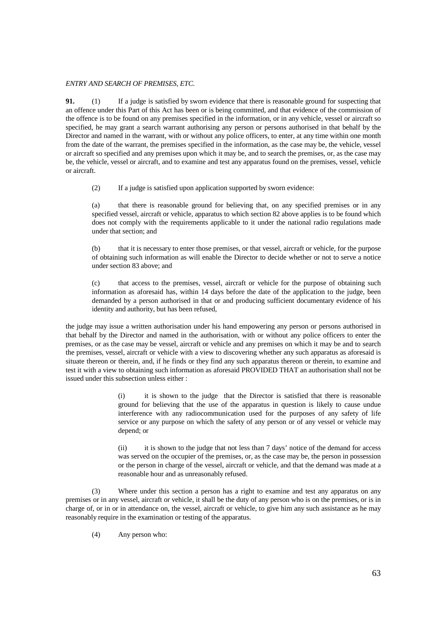## *ENTRY AND SEARCH OF PREMISES, ETC.*

**91.** (1) If a judge is satisfied by sworn evidence that there is reasonable ground for suspecting that an offence under this Part of this Act has been or is being committed, and that evidence of the commission of the offence is to be found on any premises specified in the information, or in any vehicle, vessel or aircraft so specified, he may grant a search warrant authorising any person or persons authorised in that behalf by the Director and named in the warrant, with or without any police officers, to enter, at any time within one month from the date of the warrant, the premises specified in the information, as the case may be, the vehicle, vessel or aircraft so specified and any premises upon which it may be, and to search the premises, or, as the case may be, the vehicle, vessel or aircraft, and to examine and test any apparatus found on the premises, vessel, vehicle or aircraft.

(2) If a judge is satisfied upon application supported by sworn evidence:

(a) that there is reasonable ground for believing that, on any specified premises or in any specified vessel, aircraft or vehicle, apparatus to which section 82 above applies is to be found which does not comply with the requirements applicable to it under the national radio regulations made under that section; and

(b) that it is necessary to enter those premises, or that vessel, aircraft or vehicle, for the purpose of obtaining such information as will enable the Director to decide whether or not to serve a notice under section 83 above; and

(c) that access to the premises, vessel, aircraft or vehicle for the purpose of obtaining such information as aforesaid has, within 14 days before the date of the application to the judge, been demanded by a person authorised in that or and producing sufficient documentary evidence of his identity and authority, but has been refused,

the judge may issue a written authorisation under his hand empowering any person or persons authorised in that behalf by the Director and named in the authorisation, with or without any police officers to enter the premises, or as the case may be vessel, aircraft or vehicle and any premises on which it may be and to search the premises, vessel, aircraft or vehicle with a view to discovering whether any such apparatus as aforesaid is situate thereon or therein, and, if he finds or they find any such apparatus thereon or therein, to examine and test it with a view to obtaining such information as aforesaid PROVIDED THAT an authorisation shall not be issued under this subsection unless either :

> (i) it is shown to the judge that the Director is satisfied that there is reasonable ground for believing that the use of the apparatus in question is likely to cause undue interference with any radiocommunication used for the purposes of any safety of life service or any purpose on which the safety of any person or of any vessel or vehicle may depend; or

> (ii) it is shown to the judge that not less than 7 days' notice of the demand for access was served on the occupier of the premises, or, as the case may be, the person in possession or the person in charge of the vessel, aircraft or vehicle, and that the demand was made at a reasonable hour and as unreasonably refused.

 (3) Where under this section a person has a right to examine and test any apparatus on any premises or in any vessel, aircraft or vehicle, it shall be the duty of any person who is on the premises, or is in charge of, or in or in attendance on, the vessel, aircraft or vehicle, to give him any such assistance as he may reasonably require in the examination or testing of the apparatus.

(4) Any person who: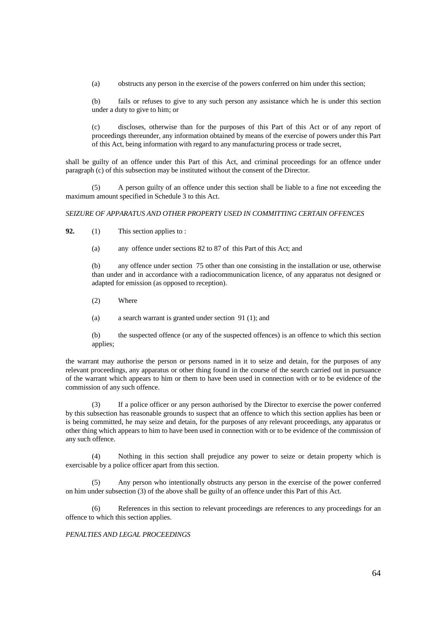(a) obstructs any person in the exercise of the powers conferred on him under this section;

(b) fails or refuses to give to any such person any assistance which he is under this section under a duty to give to him; or

(c) discloses, otherwise than for the purposes of this Part of this Act or of any report of proceedings thereunder, any information obtained by means of the exercise of powers under this Part of this Act, being information with regard to any manufacturing process or trade secret,

shall be guilty of an offence under this Part of this Act, and criminal proceedings for an offence under paragraph (c) of this subsection may be instituted without the consent of the Director.

 (5) A person guilty of an offence under this section shall be liable to a fine not exceeding the maximum amount specified in Schedule 3 to this Act.

## *SEIZURE OF APPARATUS AND OTHER PROPERTY USED IN COMMITTING CERTAIN OFFENCES*

**92.** (1) This section applies to :

(a) any offence under sections 82 to 87 of this Part of this Act; and

(b) any offence under section 75 other than one consisting in the installation or use, otherwise than under and in accordance with a radiocommunication licence, of any apparatus not designed or adapted for emission (as opposed to reception).

(2) Where

(a) a search warrant is granted under section 91 (1); and

(b) the suspected offence (or any of the suspected offences) is an offence to which this section applies;

the warrant may authorise the person or persons named in it to seize and detain, for the purposes of any relevant proceedings, any apparatus or other thing found in the course of the search carried out in pursuance of the warrant which appears to him or them to have been used in connection with or to be evidence of the commission of any such offence.

 (3) If a police officer or any person authorised by the Director to exercise the power conferred by this subsection has reasonable grounds to suspect that an offence to which this section applies has been or is being committed, he may seize and detain, for the purposes of any relevant proceedings, any apparatus or other thing which appears to him to have been used in connection with or to be evidence of the commission of any such offence.

 (4) Nothing in this section shall prejudice any power to seize or detain property which is exercisable by a police officer apart from this section.

 (5) Any person who intentionally obstructs any person in the exercise of the power conferred on him under subsection (3) of the above shall be guilty of an offence under this Part of this Act.

 (6) References in this section to relevant proceedings are references to any proceedings for an offence to which this section applies.

## *PENALTIES AND LEGAL PROCEEDINGS*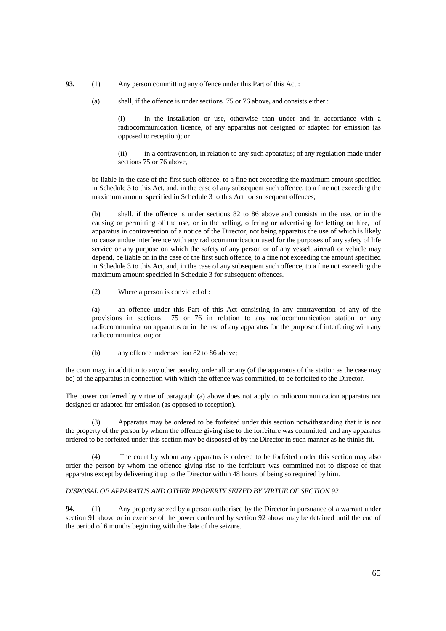**93.** (1) Any person committing any offence under this Part of this Act :

(a) shall, if the offence is under sections 75 or 76 above**,** and consists either :

(i) in the installation or use, otherwise than under and in accordance with a radiocommunication licence, of any apparatus not designed or adapted for emission (as opposed to reception); or

(ii) in a contravention, in relation to any such apparatus; of any regulation made under sections 75 or 76 above,

be liable in the case of the first such offence, to a fine not exceeding the maximum amount specified in Schedule 3 to this Act, and, in the case of any subsequent such offence, to a fine not exceeding the maximum amount specified in Schedule 3 to this Act for subsequent offences;

(b) shall, if the offence is under sections 82 to 86 above and consists in the use, or in the causing or permitting of the use, or in the selling, offering or advertising for letting on hire, of apparatus in contravention of a notice of the Director, not being apparatus the use of which is likely to cause undue interference with any radiocommunication used for the purposes of any safety of life service or any purpose on which the safety of any person or of any vessel, aircraft or vehicle may depend, be liable on in the case of the first such offence, to a fine not exceeding the amount specified in Schedule 3 to this Act, and, in the case of any subsequent such offence, to a fine not exceeding the maximum amount specified in Schedule 3 for subsequent offences.

(2) Where a person is convicted of :

(a) an offence under this Part of this Act consisting in any contravention of any of the provisions in sections 75 or 76 in relation to any radiocommunication station or any radiocommunication apparatus or in the use of any apparatus for the purpose of interfering with any radiocommunication; or

(b) any offence under section 82 to 86 above;

the court may, in addition to any other penalty, order all or any (of the apparatus of the station as the case may be) of the apparatus in connection with which the offence was committed, to be forfeited to the Director.

The power conferred by virtue of paragraph (a) above does not apply to radiocommunication apparatus not designed or adapted for emission (as opposed to reception).

 (3) Apparatus may be ordered to be forfeited under this section notwithstanding that it is not the property of the person by whom the offence giving rise to the forfeiture was committed, and any apparatus ordered to be forfeited under this section may be disposed of by the Director in such manner as he thinks fit.

 (4) The court by whom any apparatus is ordered to be forfeited under this section may also order the person by whom the offence giving rise to the forfeiture was committed not to dispose of that apparatus except by delivering it up to the Director within 48 hours of being so required by him.

## *DISPOSAL OF APPARATUS AND OTHER PROPERTY SEIZED BY VIRTUE OF SECTION 92*

**94.** (1) Any property seized by a person authorised by the Director in pursuance of a warrant under section 91 above or in exercise of the power conferred by section 92 above may be detained until the end of the period of 6 months beginning with the date of the seizure.

65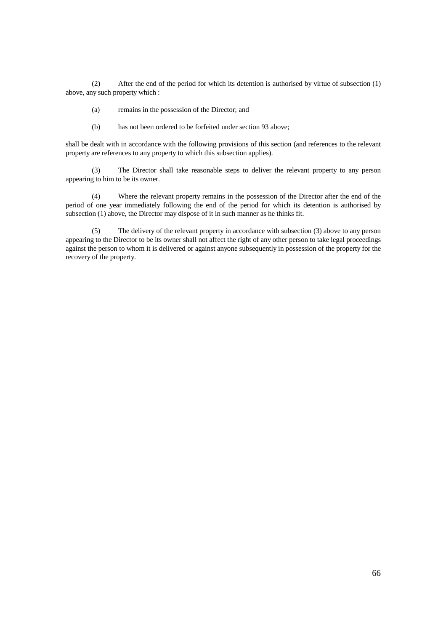(2) After the end of the period for which its detention is authorised by virtue of subsection (1) above, any such property which :

(a) remains in the possession of the Director; and

(b) has not been ordered to be forfeited under section 93 above;

shall be dealt with in accordance with the following provisions of this section (and references to the relevant property are references to any property to which this subsection applies).

 (3) The Director shall take reasonable steps to deliver the relevant property to any person appearing to him to be its owner.

 (4) Where the relevant property remains in the possession of the Director after the end of the period of one year immediately following the end of the period for which its detention is authorised by subsection (1) above, the Director may dispose of it in such manner as he thinks fit.

 (5) The delivery of the relevant property in accordance with subsection (3) above to any person appearing to the Director to be its owner shall not affect the right of any other person to take legal proceedings against the person to whom it is delivered or against anyone subsequently in possession of the property for the recovery of the property.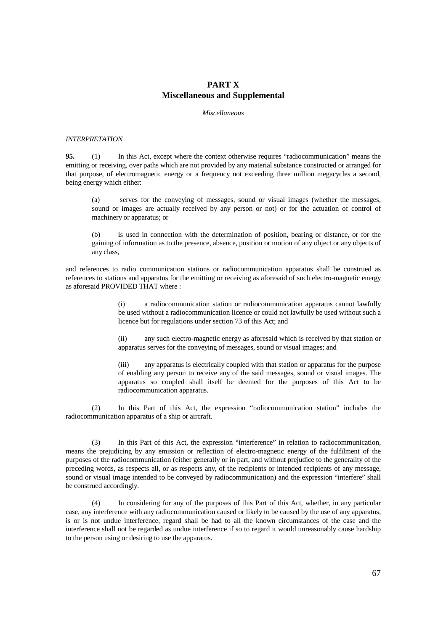## **PART X Miscellaneous and Supplemental**

## *Miscellaneous*

#### *INTERPRETATION*

**95.** (1) In this Act, except where the context otherwise requires "radiocommunication" means the emitting or receiving, over paths which are not provided by any material substance constructed or arranged for that purpose, of electromagnetic energy or a frequency not exceeding three million megacycles a second, being energy which either:

(a) serves for the conveying of messages, sound or visual images (whether the messages, sound or images are actually received by any person or not) or for the actuation of control of machinery or apparatus; or

is used in connection with the determination of position, bearing or distance, or for the gaining of information as to the presence, absence, position or motion of any object or any objects of any class,

and references to radio communication stations or radiocommunication apparatus shall be construed as references to stations and apparatus for the emitting or receiving as aforesaid of such electro-magnetic energy as aforesaid PROVIDED THAT where :

> (i) a radiocommunication station or radiocommunication apparatus cannot lawfully be used without a radiocommunication licence or could not lawfully be used without such a licence but for regulations under section 73 of this Act; and

> (ii) any such electro-magnetic energy as aforesaid which is received by that station or apparatus serves for the conveying of messages, sound or visual images; and

> (iii) any apparatus is electrically coupled with that station or apparatus for the purpose of enabling any person to receive any of the said messages, sound or visual images. The apparatus so coupled shall itself be deemed for the purposes of this Act to be radiocommunication apparatus.

 (2) In this Part of this Act, the expression "radiocommunication station" includes the radiocommunication apparatus of a ship or aircraft.

 (3) In this Part of this Act, the expression "interference" in relation to radiocommunication, means the prejudicing by any emission or reflection of electro-magnetic energy of the fulfilment of the purposes of the radiocommunication (either generally or in part, and without prejudice to the generality of the preceding words, as respects all, or as respects any, of the recipients or intended recipients of any message, sound or visual image intended to be conveyed by radiocommunication) and the expression "interfere" shall be construed accordingly.

 (4) In considering for any of the purposes of this Part of this Act, whether, in any particular case, any interference with any radiocommunication caused or likely to be caused by the use of any apparatus, is or is not undue interference, regard shall be had to all the known circumstances of the case and the interference shall not be regarded as undue interference if so to regard it would unreasonably cause hardship to the person using or desiring to use the apparatus.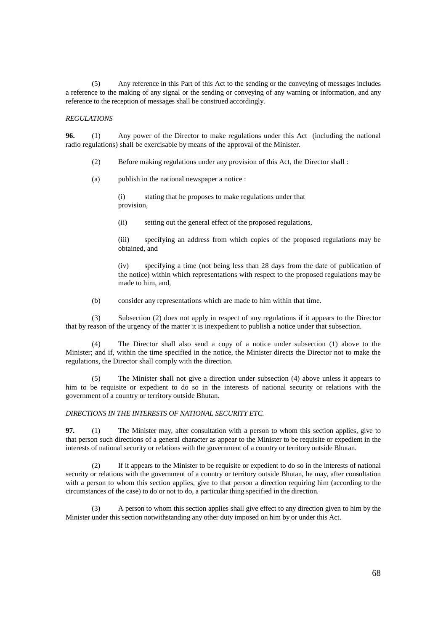(5) Any reference in this Part of this Act to the sending or the conveying of messages includes a reference to the making of any signal or the sending or conveying of any warning or information, and any reference to the reception of messages shall be construed accordingly.

## *REGULATIONS*

**96.** (1) Any power of the Director to make regulations under this Act (including the national radio regulations) shall be exercisable by means of the approval of the Minister.

(2) Before making regulations under any provision of this Act, the Director shall :

(a) publish in the national newspaper a notice :

 (i) stating that he proposes to make regulations under that provision,

(ii) setting out the general effect of the proposed regulations,

(iii) specifying an address from which copies of the proposed regulations may be obtained, and

(iv) specifying a time (not being less than 28 days from the date of publication of the notice) within which representations with respect to the proposed regulations may be made to him, and,

(b) consider any representations which are made to him within that time.

 (3) Subsection (2) does not apply in respect of any regulations if it appears to the Director that by reason of the urgency of the matter it is inexpedient to publish a notice under that subsection.

 (4) The Director shall also send a copy of a notice under subsection (1) above to the Minister; and if, within the time specified in the notice, the Minister directs the Director not to make the regulations, the Director shall comply with the direction.

 (5) The Minister shall not give a direction under subsection (4) above unless it appears to him to be requisite or expedient to do so in the interests of national security or relations with the government of a country or territory outside Bhutan.

## *DIRECTIONS IN THE INTERESTS OF NATIONAL SECURITY ETC.*

**97.** (1) The Minister may, after consultation with a person to whom this section applies, give to that person such directions of a general character as appear to the Minister to be requisite or expedient in the interests of national security or relations with the government of a country or territory outside Bhutan.

 (2) If it appears to the Minister to be requisite or expedient to do so in the interests of national security or relations with the government of a country or territory outside Bhutan, he may, after consultation with a person to whom this section applies, give to that person a direction requiring him (according to the circumstances of the case) to do or not to do, a particular thing specified in the direction.

 (3) A person to whom this section applies shall give effect to any direction given to him by the Minister under this section notwithstanding any other duty imposed on him by or under this Act.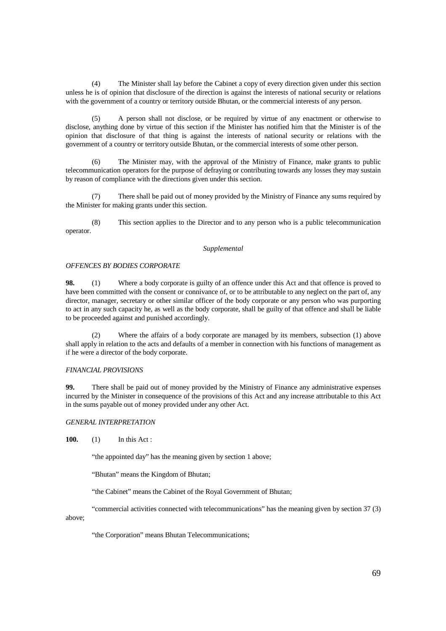(4) The Minister shall lay before the Cabinet a copy of every direction given under this section unless he is of opinion that disclosure of the direction is against the interests of national security or relations with the government of a country or territory outside Bhutan, or the commercial interests of any person.

 (5) A person shall not disclose, or be required by virtue of any enactment or otherwise to disclose, anything done by virtue of this section if the Minister has notified him that the Minister is of the opinion that disclosure of that thing is against the interests of national security or relations with the government of a country or territory outside Bhutan, or the commercial interests of some other person.

 (6) The Minister may, with the approval of the Ministry of Finance, make grants to public telecommunication operators for the purpose of defraying or contributing towards any losses they may sustain by reason of compliance with the directions given under this section.

 (7) There shall be paid out of money provided by the Ministry of Finance any sums required by the Minister for making grants under this section.

 (8) This section applies to the Director and to any person who is a public telecommunication operator.

## *Supplemental*

## *OFFENCES BY BODIES CORPORATE*

**98.** (1) Where a body corporate is guilty of an offence under this Act and that offence is proved to have been committed with the consent or connivance of, or to be attributable to any neglect on the part of, any director, manager, secretary or other similar officer of the body corporate or any person who was purporting to act in any such capacity he, as well as the body corporate, shall be guilty of that offence and shall be liable to be proceeded against and punished accordingly.

 (2) Where the affairs of a body corporate are managed by its members, subsection (1) above shall apply in relation to the acts and defaults of a member in connection with his functions of management as if he were a director of the body corporate.

## *FINANCIAL PROVISIONS*

**99.** There shall be paid out of money provided by the Ministry of Finance any administrative expenses incurred by the Minister in consequence of the provisions of this Act and any increase attributable to this Act in the sums payable out of money provided under any other Act.

## *GENERAL INTERPRETATION*

**100.** (1) In this Act :

"the appointed day" has the meaning given by section 1 above;

"Bhutan" means the Kingdom of Bhutan;

"the Cabinet" means the Cabinet of the Royal Government of Bhutan;

"commercial activities connected with telecommunications" has the meaning given by section 37 (3)

above;

"the Corporation" means Bhutan Telecommunications;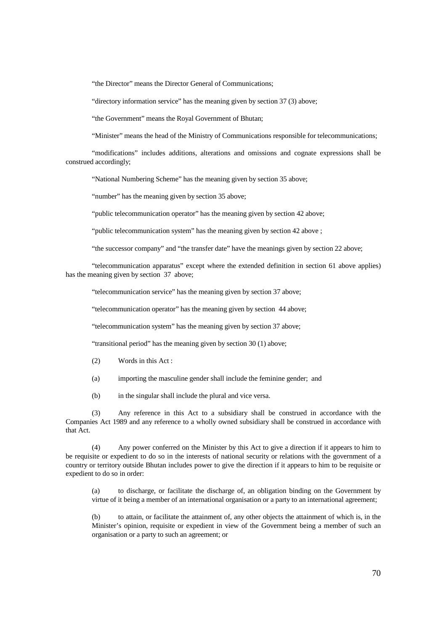"the Director" means the Director General of Communications;

"directory information service" has the meaning given by section 37 (3) above;

"the Government" means the Royal Government of Bhutan;

"Minister" means the head of the Ministry of Communications responsible for telecommunications;

 "modifications" includes additions, alterations and omissions and cognate expressions shall be construed accordingly;

"National Numbering Scheme" has the meaning given by section 35 above;

"number" has the meaning given by section 35 above;

"public telecommunication operator" has the meaning given by section 42 above;

"public telecommunication system" has the meaning given by section 42 above ;

"the successor company" and "the transfer date" have the meanings given by section 22 above;

 "telecommunication apparatus" except where the extended definition in section 61 above applies) has the meaning given by section 37 above;

"telecommunication service" has the meaning given by section 37 above;

"telecommunication operator" has the meaning given by section 44 above;

"telecommunication system" has the meaning given by section 37 above;

"transitional period" has the meaning given by section 30 (1) above;

- (2) Words in this Act :
- (a) importing the masculine gender shall include the feminine gender; and
- (b) in the singular shall include the plural and vice versa.

 (3) Any reference in this Act to a subsidiary shall be construed in accordance with the Companies Act 1989 and any reference to a wholly owned subsidiary shall be construed in accordance with that Act.

 (4) Any power conferred on the Minister by this Act to give a direction if it appears to him to be requisite or expedient to do so in the interests of national security or relations with the government of a country or territory outside Bhutan includes power to give the direction if it appears to him to be requisite or expedient to do so in order:

(a) to discharge, or facilitate the discharge of, an obligation binding on the Government by virtue of it being a member of an international organisation or a party to an international agreement;

(b) to attain, or facilitate the attainment of, any other objects the attainment of which is, in the Minister's opinion, requisite or expedient in view of the Government being a member of such an organisation or a party to such an agreement; or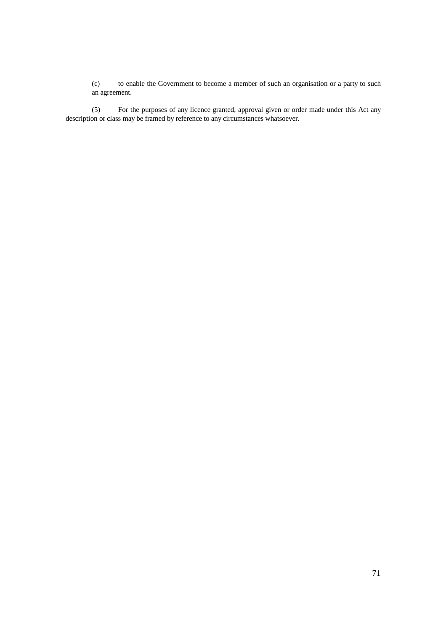(c) to enable the Government to become a member of such an organisation or a party to such an agreement.

(5) For the purposes of any licence granted, approval given or order made under this Act any description or class may be framed by reference to any circumstances whatsoever.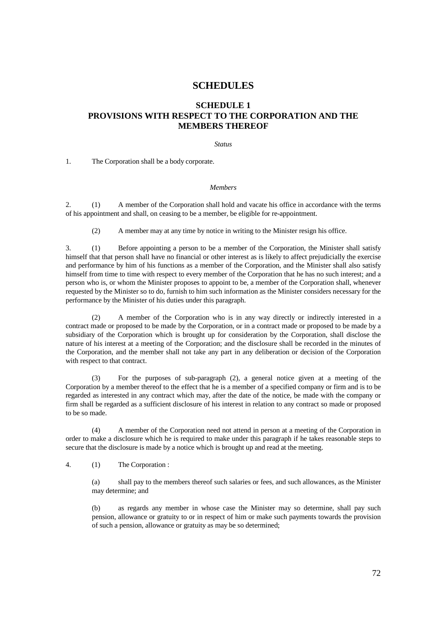# **SCHEDULES**

## **SCHEDULE 1**

# **PROVISIONS WITH RESPECT TO THE CORPORATION AND THE MEMBERS THEREOF**

*Status* 

1. The Corporation shall be a body corporate.

## *Members*

2. (1) A member of the Corporation shall hold and vacate his office in accordance with the terms of his appointment and shall, on ceasing to be a member, be eligible for re-appointment.

(2) A member may at any time by notice in writing to the Minister resign his office.

3. (1) Before appointing a person to be a member of the Corporation, the Minister shall satisfy himself that that person shall have no financial or other interest as is likely to affect prejudicially the exercise and performance by him of his functions as a member of the Corporation, and the Minister shall also satisfy himself from time to time with respect to every member of the Corporation that he has no such interest; and a person who is, or whom the Minister proposes to appoint to be, a member of the Corporation shall, whenever requested by the Minister so to do, furnish to him such information as the Minister considers necessary for the performance by the Minister of his duties under this paragraph.

A member of the Corporation who is in any way directly or indirectly interested in a contract made or proposed to be made by the Corporation, or in a contract made or proposed to be made by a subsidiary of the Corporation which is brought up for consideration by the Corporation, shall disclose the nature of his interest at a meeting of the Corporation; and the disclosure shall be recorded in the minutes of the Corporation, and the member shall not take any part in any deliberation or decision of the Corporation with respect to that contract.

 (3) For the purposes of sub-paragraph (2), a general notice given at a meeting of the Corporation by a member thereof to the effect that he is a member of a specified company or firm and is to be regarded as interested in any contract which may, after the date of the notice, be made with the company or firm shall be regarded as a sufficient disclosure of his interest in relation to any contract so made or proposed to be so made.

 (4) A member of the Corporation need not attend in person at a meeting of the Corporation in order to make a disclosure which he is required to make under this paragraph if he takes reasonable steps to secure that the disclosure is made by a notice which is brought up and read at the meeting.

4. (1) The Corporation :

(a) shall pay to the members thereof such salaries or fees, and such allowances, as the Minister may determine; and

(b) as regards any member in whose case the Minister may so determine, shall pay such pension, allowance or gratuity to or in respect of him or make such payments towards the provision of such a pension, allowance or gratuity as may be so determined;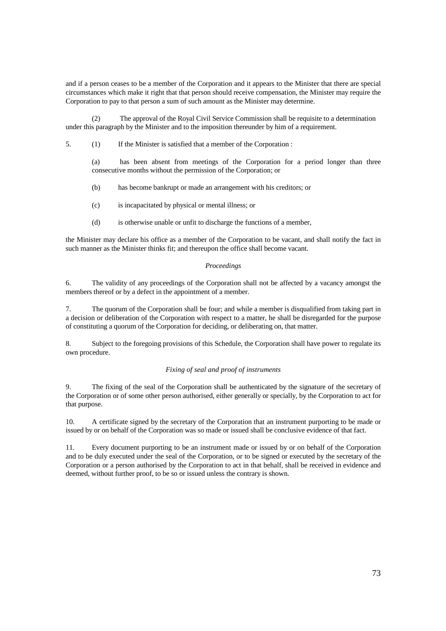and if a person ceases to be a member of the Corporation and it appears to the Minister that there are special circumstances which make it right that that person should receive compensation, the Minister may require the Corporation to pay to that person a sum of such amount as the Minister may determine.

 (2) The approval of the Royal Civil Service Commission shall be requisite to a determination under this paragraph by the Minister and to the imposition thereunder by him of a requirement.

5. (1) If the Minister is satisfied that a member of the Corporation :

(a) has been absent from meetings of the Corporation for a period longer than three consecutive months without the permission of the Corporation; or

- (b) has become bankrupt or made an arrangement with his creditors; or
- (c) is incapacitated by physical or mental illness; or
- (d) is otherwise unable or unfit to discharge the functions of a member,

the Minister may declare his office as a member of the Corporation to be vacant, and shall notify the fact in such manner as the Minister thinks fit; and thereupon the office shall become vacant.

## *Proceedings*

6. The validity of any proceedings of the Corporation shall not be affected by a vacancy amongst the members thereof or by a defect in the appointment of a member.

7. The quorum of the Corporation shall be four; and while a member is disqualified from taking part in a decision or deliberation of the Corporation with respect to a matter, he shall be disregarded for the purpose of constituting a quorum of the Corporation for deciding, or deliberating on, that matter.

8. Subject to the foregoing provisions of this Schedule, the Corporation shall have power to regulate its own procedure.

## *Fixing of seal and proof of instruments*

9. The fixing of the seal of the Corporation shall be authenticated by the signature of the secretary of the Corporation or of some other person authorised, either generally or specially, by the Corporation to act for that purpose.

10. A certificate signed by the secretary of the Corporation that an instrument purporting to be made or issued by or on behalf of the Corporation was so made or issued shall be conclusive evidence of that fact.

11. Every document purporting to be an instrument made or issued by or on behalf of the Corporation and to be duly executed under the seal of the Corporation, or to be signed or executed by the secretary of the Corporation or a person authorised by the Corporation to act in that behalf, shall be received in evidence and deemed, without further proof, to be so or issued unless the contrary is shown.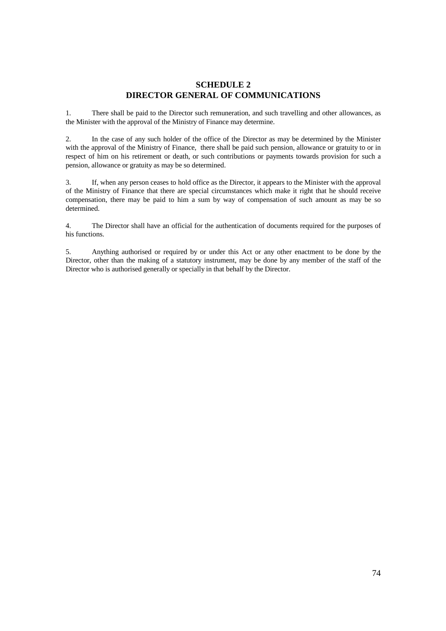## **SCHEDULE 2 DIRECTOR GENERAL OF COMMUNICATIONS**

1. There shall be paid to the Director such remuneration, and such travelling and other allowances, as the Minister with the approval of the Ministry of Finance may determine.

2. In the case of any such holder of the office of the Director as may be determined by the Minister with the approval of the Ministry of Finance, there shall be paid such pension, allowance or gratuity to or in respect of him on his retirement or death, or such contributions or payments towards provision for such a pension, allowance or gratuity as may be so determined.

3. If, when any person ceases to hold office as the Director, it appears to the Minister with the approval of the Ministry of Finance that there are special circumstances which make it right that he should receive compensation, there may be paid to him a sum by way of compensation of such amount as may be so determined.

4. The Director shall have an official for the authentication of documents required for the purposes of his functions.

5. Anything authorised or required by or under this Act or any other enactment to be done by the Director, other than the making of a statutory instrument, may be done by any member of the staff of the Director who is authorised generally or specially in that behalf by the Director.